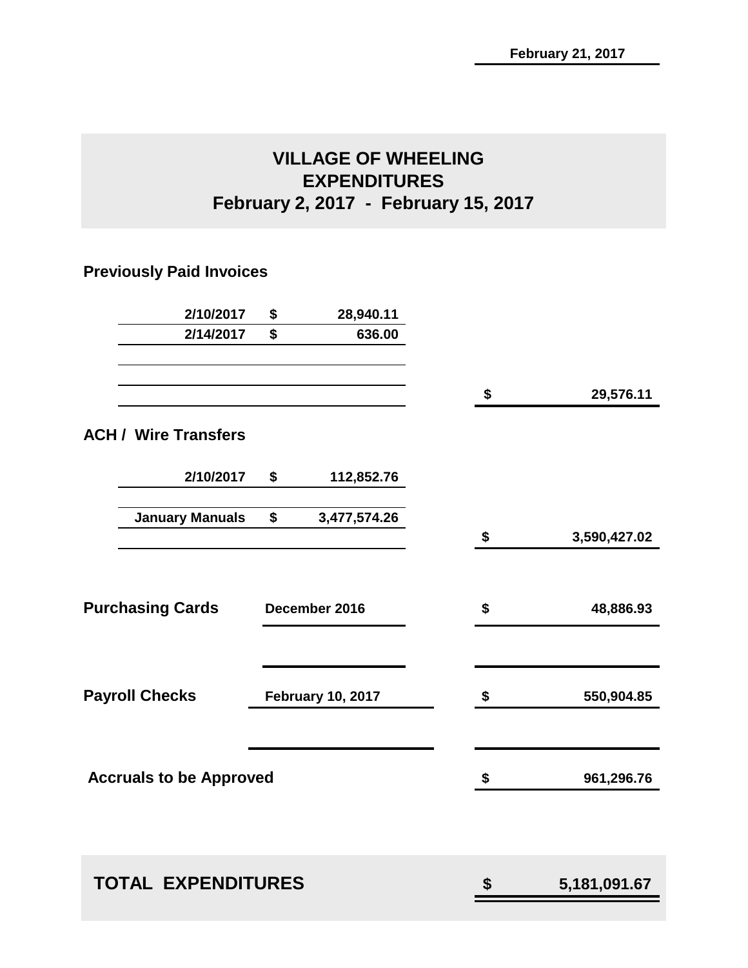# **VILLAGE OF WHEELING EXPENDITURES February 2, 2017 - February 15, 2017**

## **Previously Paid Invoices**

| 2/10/2017                      | \$<br>28,940.11          |    |                |
|--------------------------------|--------------------------|----|----------------|
| 2/14/2017                      | \$<br>636.00             |    |                |
|                                |                          | \$ | 29,576.11      |
| <b>ACH / Wire Transfers</b>    |                          |    |                |
| 2/10/2017                      | \$<br>112,852.76         |    |                |
| <b>January Manuals</b>         | \$<br>3,477,574.26       |    |                |
|                                |                          | \$ | 3,590,427.02   |
|                                |                          |    |                |
| <b>Purchasing Cards</b>        | December 2016            | \$ | 48,886.93      |
|                                |                          |    |                |
| <b>Payroll Checks</b>          | <b>February 10, 2017</b> | \$ | 550,904.85     |
|                                |                          |    |                |
| <b>Accruals to be Approved</b> |                          | \$ | 961,296.76     |
|                                |                          |    |                |
| <b>TOTAL EXPENDITURES</b>      |                          | \$ | 5, 181, 091.67 |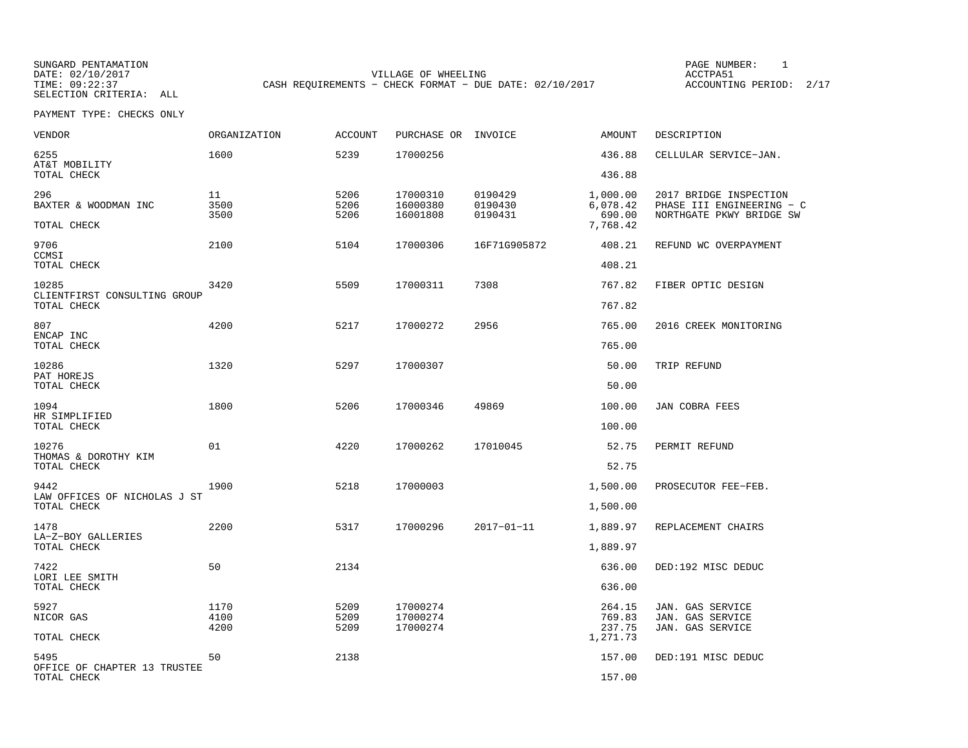SELECTION CRITERIA: ALL

SUNGARD PENTAMATION PAGE NUMBER: 1VILLAGE OF WHEELING **ACCTPA51** TIME: 09:22:37 CASH REQUIREMENTS - CHECK FORMAT - DUE DATE: 02/10/2017

| VENDOR                                      | ORGANIZATION       | <b>ACCOUNT</b>       | PURCHASE OR INVOICE              |                               | AMOUNT                                     | DESCRIPTION                                                                     |
|---------------------------------------------|--------------------|----------------------|----------------------------------|-------------------------------|--------------------------------------------|---------------------------------------------------------------------------------|
| 6255<br>AT&T MOBILITY                       | 1600               | 5239                 | 17000256                         |                               | 436.88                                     | CELLULAR SERVICE-JAN.                                                           |
| TOTAL CHECK                                 |                    |                      |                                  |                               | 436.88                                     |                                                                                 |
| 296<br>BAXTER & WOODMAN INC<br>TOTAL CHECK  | 11<br>3500<br>3500 | 5206<br>5206<br>5206 | 17000310<br>16000380<br>16001808 | 0190429<br>0190430<br>0190431 | 1,000.00<br>6,078.42<br>690.00<br>7,768.42 | 2017 BRIDGE INSPECTION<br>PHASE III ENGINEERING - C<br>NORTHGATE PKWY BRIDGE SW |
|                                             |                    |                      |                                  |                               |                                            |                                                                                 |
| 9706<br>CCMSI<br>TOTAL CHECK                | 2100               | 5104                 | 17000306                         | 16F71G905872                  | 408.21<br>408.21                           | REFUND WC OVERPAYMENT                                                           |
| 10285                                       | 3420               | 5509                 | 17000311                         | 7308                          | 767.82                                     | FIBER OPTIC DESIGN                                                              |
| CLIENTFIRST CONSULTING GROUP<br>TOTAL CHECK |                    |                      |                                  |                               | 767.82                                     |                                                                                 |
| 807<br>ENCAP INC                            | 4200               | 5217                 | 17000272                         | 2956                          | 765.00                                     | 2016 CREEK MONITORING                                                           |
| TOTAL CHECK                                 |                    |                      |                                  |                               | 765.00                                     |                                                                                 |
| 10286<br>PAT HOREJS                         | 1320               | 5297                 | 17000307                         |                               | 50.00                                      | TRIP REFUND                                                                     |
| TOTAL CHECK                                 |                    |                      |                                  |                               | 50.00                                      |                                                                                 |
| 1094<br>HR SIMPLIFIED                       | 1800               | 5206                 | 17000346                         | 49869                         | 100.00                                     | JAN COBRA FEES                                                                  |
| TOTAL CHECK                                 |                    |                      |                                  |                               | 100.00                                     |                                                                                 |
| 10276<br>THOMAS & DOROTHY KIM               | 01                 | 4220                 | 17000262                         | 17010045                      | 52.75                                      | PERMIT REFUND                                                                   |
| TOTAL CHECK                                 |                    |                      |                                  |                               | 52.75                                      |                                                                                 |
| 9442<br>LAW OFFICES OF NICHOLAS J ST        | 1900               | 5218                 | 17000003                         |                               | 1,500.00                                   | PROSECUTOR FEE-FEB.                                                             |
| TOTAL CHECK                                 |                    |                      |                                  |                               | 1,500.00                                   |                                                                                 |
| 1478<br>LA-Z-BOY GALLERIES                  | 2200               | 5317                 | 17000296                         | $2017 - 01 - 11$              | 1,889.97                                   | REPLACEMENT CHAIRS                                                              |
| TOTAL CHECK                                 |                    |                      |                                  |                               | 1,889.97                                   |                                                                                 |
| 7422                                        | 50                 | 2134                 |                                  |                               | 636.00                                     | DED:192 MISC DEDUC                                                              |
| LORI LEE SMITH<br>TOTAL CHECK               |                    |                      |                                  |                               | 636.00                                     |                                                                                 |
| 5927                                        | 1170               | 5209                 | 17000274                         |                               | 264.15                                     | JAN. GAS SERVICE                                                                |
| NICOR GAS<br>TOTAL CHECK                    | 4100<br>4200       | 5209<br>5209         | 17000274<br>17000274             |                               | 769.83<br>237.75<br>1,271.73               | JAN. GAS SERVICE<br>JAN. GAS SERVICE                                            |
| 5495                                        | 50                 | 2138                 |                                  |                               | 157.00                                     | DED:191 MISC DEDUC                                                              |
| OFFICE OF CHAPTER 13 TRUSTEE<br>TOTAL CHECK |                    |                      |                                  |                               | 157.00                                     |                                                                                 |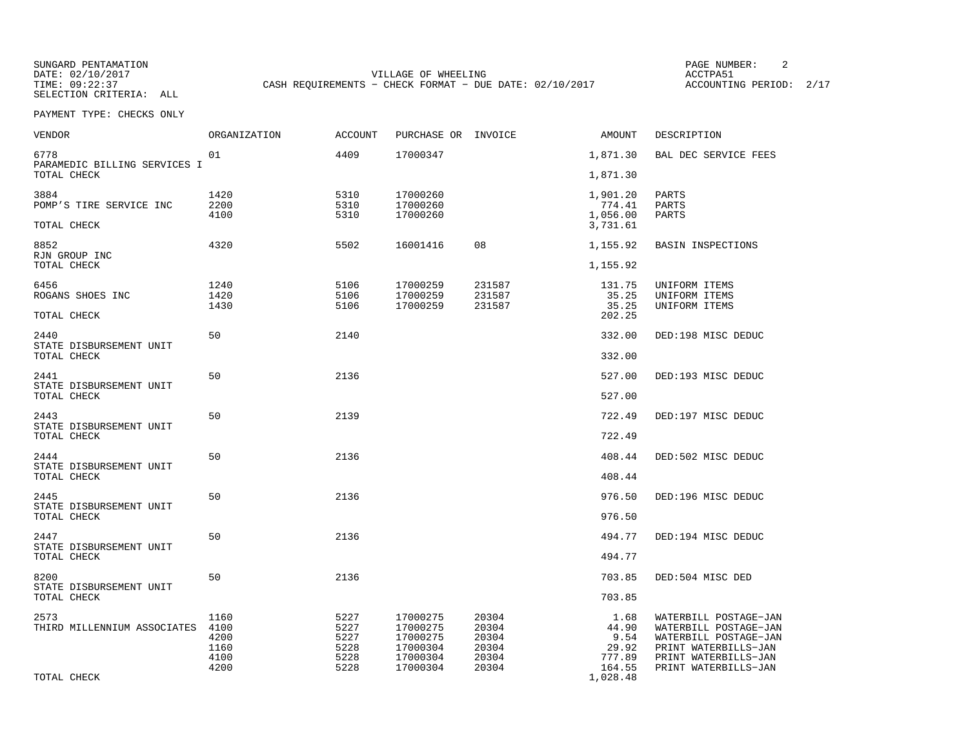SUNGARD PENTAMATION PAGE NUMBER: 2SELECTION CRITERIA: ALL

DATE: 02/10/2017 VILLAGE OF WHEELING ACCTPA51TIME: 09:22:37 CASH REQUIREMENTS - CHECK FORMAT - DUE DATE: 02/10/2017

ACCOUNTING PERIOD: 2/17

| VENDOR                                 | ORGANIZATION | <b>ACCOUNT</b> | PURCHASE OR INVOICE  |                  | AMOUNT             | DESCRIPTION                                    |
|----------------------------------------|--------------|----------------|----------------------|------------------|--------------------|------------------------------------------------|
| 6778<br>PARAMEDIC BILLING SERVICES I   | 01           | 4409           | 17000347             |                  | 1,871.30           | BAL DEC SERVICE FEES                           |
| TOTAL CHECK                            |              |                |                      |                  | 1,871.30           |                                                |
| 3884                                   | 1420         | 5310           | 17000260             |                  | 1,901.20           | PARTS                                          |
| POMP'S TIRE SERVICE INC                | 2200<br>4100 | 5310<br>5310   | 17000260<br>17000260 |                  | 774.41<br>1,056.00 | PARTS<br>PARTS                                 |
| TOTAL CHECK                            |              |                |                      |                  | 3,731.61           |                                                |
| 8852<br>RJN GROUP INC                  | 4320         | 5502           | 16001416             | 08               | 1,155.92           | <b>BASIN INSPECTIONS</b>                       |
| TOTAL CHECK                            |              |                |                      |                  | 1,155.92           |                                                |
| 6456                                   | 1240         | 5106           | 17000259             | 231587           | 131.75             | UNIFORM ITEMS                                  |
| ROGANS SHOES INC                       | 1420<br>1430 | 5106<br>5106   | 17000259<br>17000259 | 231587<br>231587 | 35.25<br>35.25     | UNIFORM ITEMS<br>UNIFORM ITEMS                 |
| TOTAL CHECK                            |              |                |                      |                  | 202.25             |                                                |
| 2440<br>STATE DISBURSEMENT UNIT        | 50           | 2140           |                      |                  | 332.00             | DED:198 MISC DEDUC                             |
| TOTAL CHECK                            |              |                |                      |                  | 332.00             |                                                |
| 2441                                   | 50           | 2136           |                      |                  | 527.00             | DED:193 MISC DEDUC                             |
| STATE DISBURSEMENT UNIT<br>TOTAL CHECK |              |                |                      |                  | 527.00             |                                                |
| 2443                                   | 50           | 2139           |                      |                  | 722.49             | DED:197 MISC DEDUC                             |
| STATE DISBURSEMENT UNIT<br>TOTAL CHECK |              |                |                      |                  | 722.49             |                                                |
| 2444                                   | 50           | 2136           |                      |                  | 408.44             | DED:502 MISC DEDUC                             |
| STATE DISBURSEMENT UNIT<br>TOTAL CHECK |              |                |                      |                  | 408.44             |                                                |
| 2445                                   | 50           | 2136           |                      |                  | 976.50             | DED:196 MISC DEDUC                             |
| STATE DISBURSEMENT UNIT<br>TOTAL CHECK |              |                |                      |                  | 976.50             |                                                |
| 2447                                   | 50           | 2136           |                      |                  | 494.77             | DED:194 MISC DEDUC                             |
| STATE DISBURSEMENT UNIT<br>TOTAL CHECK |              |                |                      |                  | 494.77             |                                                |
| 8200                                   | 50           | 2136           |                      |                  | 703.85             | DED:504 MISC DED                               |
| STATE DISBURSEMENT UNIT<br>TOTAL CHECK |              |                |                      |                  | 703.85             |                                                |
| 2573                                   | 1160         | 5227           | 17000275             | 20304            | 1.68               | WATERBILL POSTAGE-JAN                          |
| THIRD MILLENNIUM ASSOCIATES            | 4100<br>4200 | 5227<br>5227   | 17000275<br>17000275 | 20304<br>20304   | 44.90<br>9.54      | WATERBILL POSTAGE-JAN<br>WATERBILL POSTAGE-JAN |
|                                        | 1160         | 5228           | 17000304             | 20304            | 29.92              | PRINT WATERBILLS-JAN                           |
|                                        | 4100<br>4200 | 5228<br>5228   | 17000304<br>17000304 | 20304<br>20304   | 777.89<br>164.55   | PRINT WATERBILLS-JAN<br>PRINT WATERBILLS-JAN   |
| TOTAL CHECK                            |              |                |                      |                  | 1,028.48           |                                                |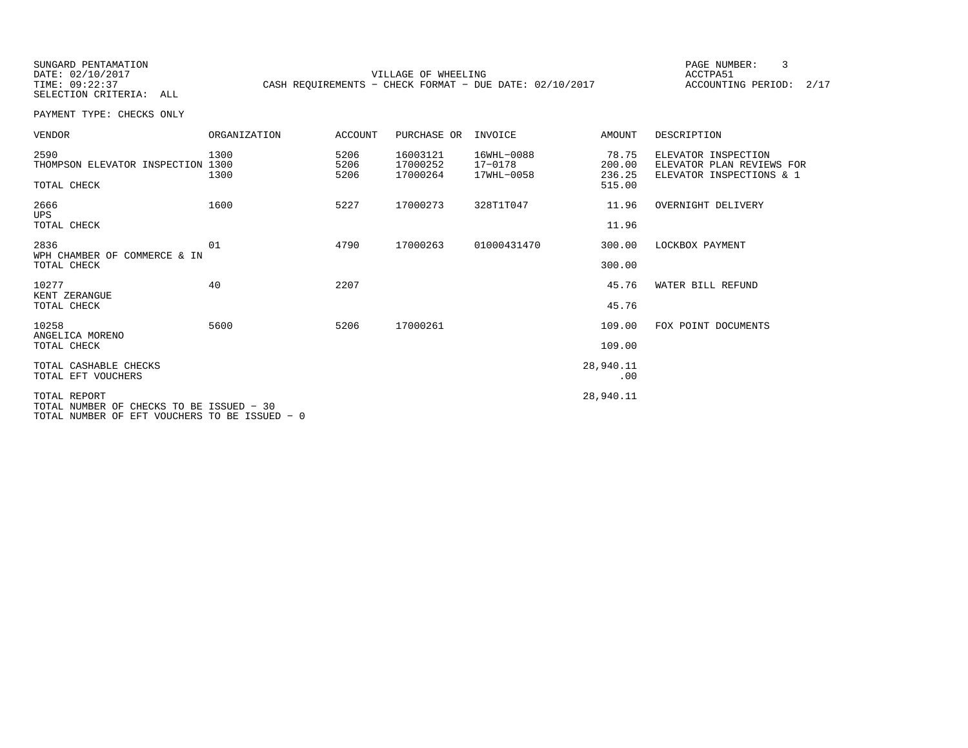SUNGARD PENTAMATION PAGE NUMBER: 3SELECTION CRITERIA: ALL

DATE: 02/10/2017 VILLAGE OF WHEELING ACCTPA51TIME: 09:22:37 CASH REQUIREMENTS - CHECK FORMAT - DUE DATE: 02/10/2017

ACCOUNTING PERIOD: 2/17

| VENDOR                                                                                                    | ORGANIZATION | ACCOUNT              | PURCHASE OR                      | INVOICE                             | AMOUNT                    | DESCRIPTION                                                                  |
|-----------------------------------------------------------------------------------------------------------|--------------|----------------------|----------------------------------|-------------------------------------|---------------------------|------------------------------------------------------------------------------|
| 2590<br>THOMPSON ELEVATOR INSPECTION 1300                                                                 | 1300<br>1300 | 5206<br>5206<br>5206 | 16003121<br>17000252<br>17000264 | 16WHL-0088<br>17-0178<br>17WHL-0058 | 78.75<br>200.00<br>236.25 | ELEVATOR INSPECTION<br>ELEVATOR PLAN REVIEWS FOR<br>ELEVATOR INSPECTIONS & 1 |
| TOTAL CHECK                                                                                               |              |                      |                                  |                                     | 515.00                    |                                                                              |
| 2666<br>UPS                                                                                               | 1600         | 5227                 | 17000273                         | 328T1T047                           | 11.96                     | OVERNIGHT DELIVERY                                                           |
| TOTAL CHECK                                                                                               |              |                      |                                  |                                     | 11.96                     |                                                                              |
| 2836<br>WPH CHAMBER OF COMMERCE & IN                                                                      | 01           | 4790                 | 17000263                         | 01000431470                         | 300.00                    | LOCKBOX PAYMENT                                                              |
| TOTAL CHECK                                                                                               |              |                      |                                  |                                     | 300.00                    |                                                                              |
| 10277                                                                                                     | 40           | 2207                 |                                  |                                     | 45.76                     | WATER BILL REFUND                                                            |
| KENT ZERANGUE<br>TOTAL CHECK                                                                              |              |                      |                                  |                                     | 45.76                     |                                                                              |
| 10258<br>ANGELICA MORENO                                                                                  | 5600         | 5206                 | 17000261                         |                                     | 109.00                    | FOX POINT DOCUMENTS                                                          |
| TOTAL CHECK                                                                                               |              |                      |                                  |                                     | 109.00                    |                                                                              |
| TOTAL CASHABLE CHECKS<br>TOTAL EFT VOUCHERS                                                               |              |                      |                                  |                                     | 28,940.11<br>.00          |                                                                              |
| TOTAL REPORT<br>TOTAL NUMBER OF CHECKS TO BE ISSUED - 30<br>TOTAL NUMBER OF EFT VOUCHERS TO BE ISSUED - 0 |              |                      |                                  |                                     | 28,940.11                 |                                                                              |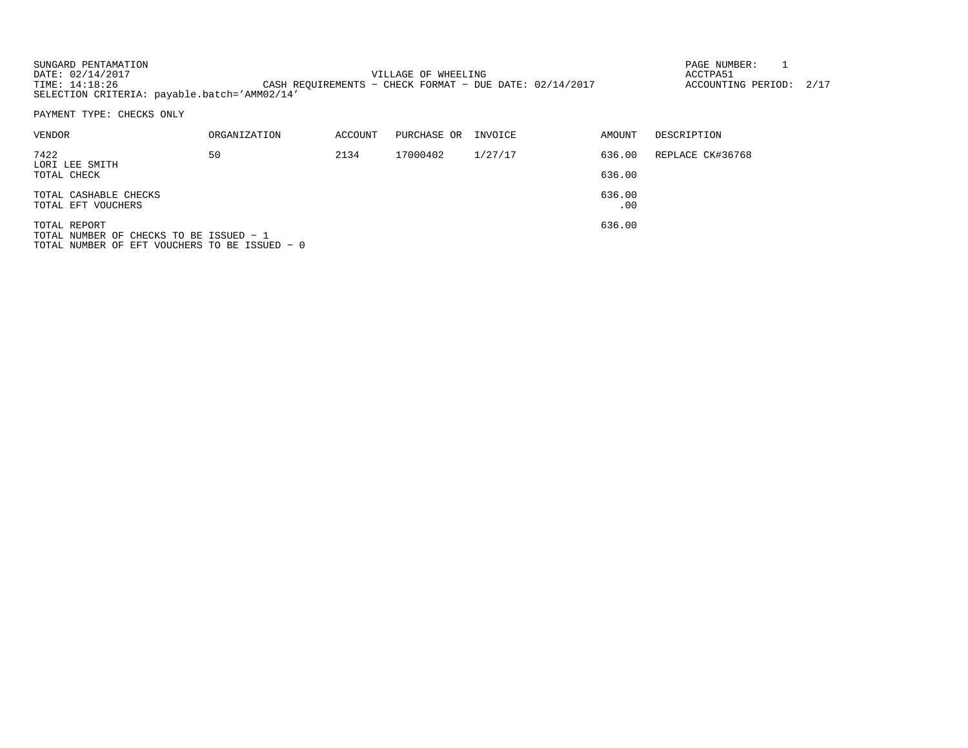| SUNGARD PENTAMATION                          |                                                           | PAGE NUMBER:            |  |
|----------------------------------------------|-----------------------------------------------------------|-------------------------|--|
| DATE: 02/14/2017                             | VILLAGE OF WHEELING                                       | ACCTPA51                |  |
| TIME: 14:18:26                               | CASH REOUIREMENTS - CHECK FORMAT - DUE DATE: $02/14/2017$ | ACCOUNTING PERIOD: 2/17 |  |
| SELECTION CRITERIA: payable.batch='AMM02/14' |                                                           |                         |  |

| VENDOR                                                  | ORGANIZATION | ACCOUNT | PURCHASE OR | INVOICE | AMOUNT        | DESCRIPTION      |
|---------------------------------------------------------|--------------|---------|-------------|---------|---------------|------------------|
| 7422<br>LORI LEE SMITH                                  | 50           | 2134    | 17000402    | 1/27/17 | 636.00        | REPLACE CK#36768 |
| TOTAL CHECK                                             |              |         |             |         | 636.00        |                  |
| TOTAL CASHABLE CHECKS<br>TOTAL EFT VOUCHERS             |              |         |             |         | 636.00<br>.00 |                  |
| TOTAL REPORT<br>TOTAL NUMBER OF CHECKS TO BE ISSUED - 1 |              |         |             |         | 636.00        |                  |

TOTAL NUMBER OF CHECKS TO BE ISSUED − 1 TOTAL NUMBER OF EFT VOUCHERS TO BE ISSUED − 0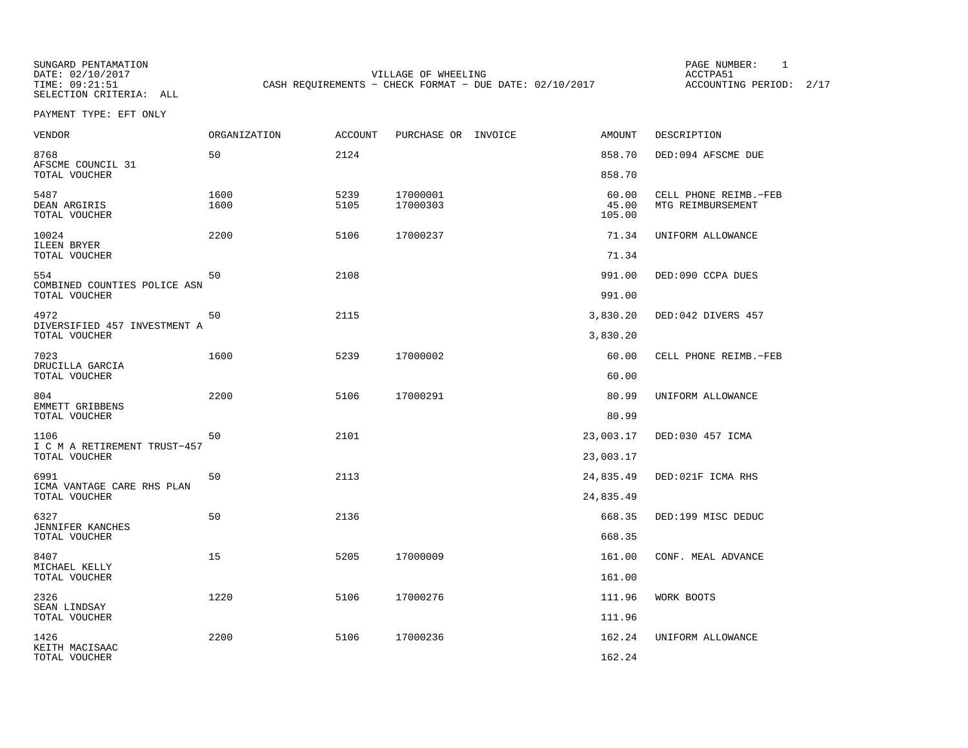SELECTION CRITERIA: ALL

SUNGARD PENTAMATION PAGE NUMBER: 1DATE: 02/10/2017 VILLAGE OF WHEELING ACCTPA51CASH REQUIREMENTS - CHECK FORMAT - DUE DATE: 02/10/2017

ACCOUNTING PERIOD: 2/17

PAYMENT TYPE: EFT ONLY

| <b>VENDOR</b>                                         | <b>ORGANIZATION</b> | <b>ACCOUNT</b> | PURCHASE OR INVOICE  | <b>AMOUNT</b>            | DESCRIPTION                                |
|-------------------------------------------------------|---------------------|----------------|----------------------|--------------------------|--------------------------------------------|
| 8768<br>AFSCME COUNCIL 31                             | 50                  | 2124           |                      | 858.70                   | DED:094 AFSCME DUE                         |
| TOTAL VOUCHER                                         |                     |                |                      | 858.70                   |                                            |
| 5487<br>DEAN ARGIRIS<br>TOTAL VOUCHER                 | 1600<br>1600        | 5239<br>5105   | 17000001<br>17000303 | 60.00<br>45.00<br>105.00 | CELL PHONE REIMB.-FEB<br>MTG REIMBURSEMENT |
| 10024<br>ILEEN BRYER<br>TOTAL VOUCHER                 | 2200                | 5106           | 17000237             | 71.34<br>71.34           | UNIFORM ALLOWANCE                          |
|                                                       |                     |                |                      |                          |                                            |
| 554<br>COMBINED COUNTIES POLICE ASN<br>TOTAL VOUCHER  | 50                  | 2108           |                      | 991.00<br>991.00         | DED:090 CCPA DUES                          |
|                                                       | 50                  |                |                      |                          |                                            |
| 4972<br>DIVERSIFIED 457 INVESTMENT A<br>TOTAL VOUCHER |                     | 2115           |                      | 3,830.20<br>3,830.20     | DED:042 DIVERS 457                         |
| 7023                                                  | 1600                | 5239           | 17000002             | 60.00                    | CELL PHONE REIMB.-FEB                      |
| DRUCILLA GARCIA<br>TOTAL VOUCHER                      |                     |                |                      | 60.00                    |                                            |
| 804<br>EMMETT GRIBBENS                                | 2200                | 5106           | 17000291             | 80.99                    | UNIFORM ALLOWANCE                          |
| TOTAL VOUCHER                                         |                     |                |                      | 80.99                    |                                            |
| 1106<br>I C M A RETIREMENT TRUST-457                  | 50                  | 2101           |                      | 23,003.17                | DED:030 457 ICMA                           |
| TOTAL VOUCHER                                         |                     |                |                      | 23,003.17                |                                            |
| 6991<br>ICMA VANTAGE CARE RHS PLAN                    | 50                  | 2113           |                      | 24,835.49                | DED:021F ICMA RHS                          |
| TOTAL VOUCHER                                         |                     |                |                      | 24,835.49                |                                            |
| 6327<br>JENNIFER KANCHES                              | 50                  | 2136           |                      | 668.35                   | DED:199 MISC DEDUC                         |
| TOTAL VOUCHER                                         |                     |                |                      | 668.35                   |                                            |
| 8407<br>MICHAEL KELLY                                 | 15                  | 5205           | 17000009             | 161.00                   | CONF. MEAL ADVANCE                         |
| TOTAL VOUCHER                                         |                     |                |                      | 161.00                   |                                            |
| 2326<br>SEAN LINDSAY                                  | 1220                | 5106           | 17000276             | 111.96                   | WORK BOOTS                                 |
| TOTAL VOUCHER                                         |                     |                |                      | 111.96                   |                                            |
| 1426<br>KEITH MACISAAC                                | 2200                | 5106           | 17000236             | 162.24                   | UNIFORM ALLOWANCE                          |
| TOTAL VOUCHER                                         |                     |                |                      | 162.24                   |                                            |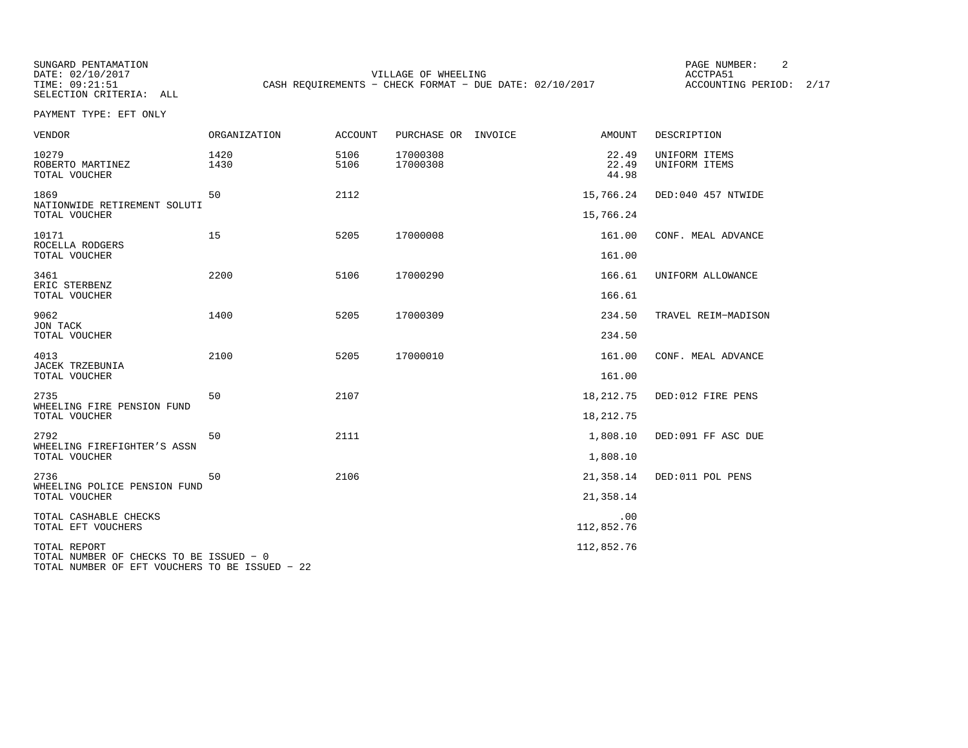SUNGARD PENTAMATION PAGE NUMBER: 2SELECTION CRITERIA: ALL

DATE: 02/10/2017 VILLAGE OF WHEELING ACCTPA51TIME: 09:21:51 CASH REQUIREMENTS - CHECK FORMAT - DUE DATE: 02/10/2017

ACCOUNTING PERIOD: 2/17

PAYMENT TYPE: EFT ONLY

| <b>VENDOR</b>                                                                                             | <b>ORGANIZATION</b> | <b>ACCOUNT</b> | PURCHASE OR<br>INVOICE | AMOUNT                  | DESCRIPTION                    |
|-----------------------------------------------------------------------------------------------------------|---------------------|----------------|------------------------|-------------------------|--------------------------------|
| 10279<br>ROBERTO MARTINEZ<br>TOTAL VOUCHER                                                                | 1420<br>1430        | 5106<br>5106   | 17000308<br>17000308   | 22.49<br>22.49<br>44.98 | UNIFORM ITEMS<br>UNIFORM ITEMS |
| 1869                                                                                                      | 50                  | 2112           |                        | 15,766.24               | DED:040 457 NTWIDE             |
| NATIONWIDE RETIREMENT SOLUTI<br>TOTAL VOUCHER                                                             |                     |                |                        | 15,766.24               |                                |
| 10171<br>ROCELLA RODGERS                                                                                  | 15                  | 5205           | 17000008               | 161.00                  | CONF. MEAL ADVANCE             |
| TOTAL VOUCHER                                                                                             |                     |                |                        | 161.00                  |                                |
| 3461<br>ERIC STERBENZ                                                                                     | 2200                | 5106           | 17000290               | 166.61                  | UNIFORM ALLOWANCE              |
| TOTAL VOUCHER                                                                                             |                     |                |                        | 166.61                  |                                |
| 9062<br>JON TACK                                                                                          | 1400                | 5205           | 17000309               | 234.50                  | TRAVEL REIM-MADISON            |
| TOTAL VOUCHER                                                                                             |                     |                |                        | 234.50                  |                                |
| 4013<br>JACEK TRZEBUNIA                                                                                   | 2100                | 5205           | 17000010               | 161.00                  | CONF. MEAL ADVANCE             |
| TOTAL VOUCHER                                                                                             |                     |                |                        | 161.00                  |                                |
| 2735<br>WHEELING FIRE PENSION FUND                                                                        | 50                  | 2107           |                        | 18,212.75               | DED:012 FIRE PENS              |
| TOTAL VOUCHER                                                                                             |                     |                |                        | 18, 212. 75             |                                |
| 2792<br>WHEELING FIREFIGHTER'S ASSN                                                                       | 50                  | 2111           |                        | 1,808.10                | DED:091 FF ASC DUE             |
| TOTAL VOUCHER                                                                                             |                     |                |                        | 1,808.10                |                                |
| 2736<br>WHEELING POLICE PENSION FUND                                                                      | 50                  | 2106           |                        | 21,358.14               | DED:011 POL PENS               |
| TOTAL VOUCHER                                                                                             |                     |                |                        | 21,358.14               |                                |
| TOTAL CASHABLE CHECKS<br>TOTAL EFT VOUCHERS                                                               |                     |                |                        | .00<br>112,852.76       |                                |
| TOTAL REPORT<br>TOTAL NUMBER OF CHECKS TO BE ISSUED - 0<br>TOTAL NUMBER OF EFT VOUCHERS TO BE ISSUED - 22 |                     |                |                        | 112,852.76              |                                |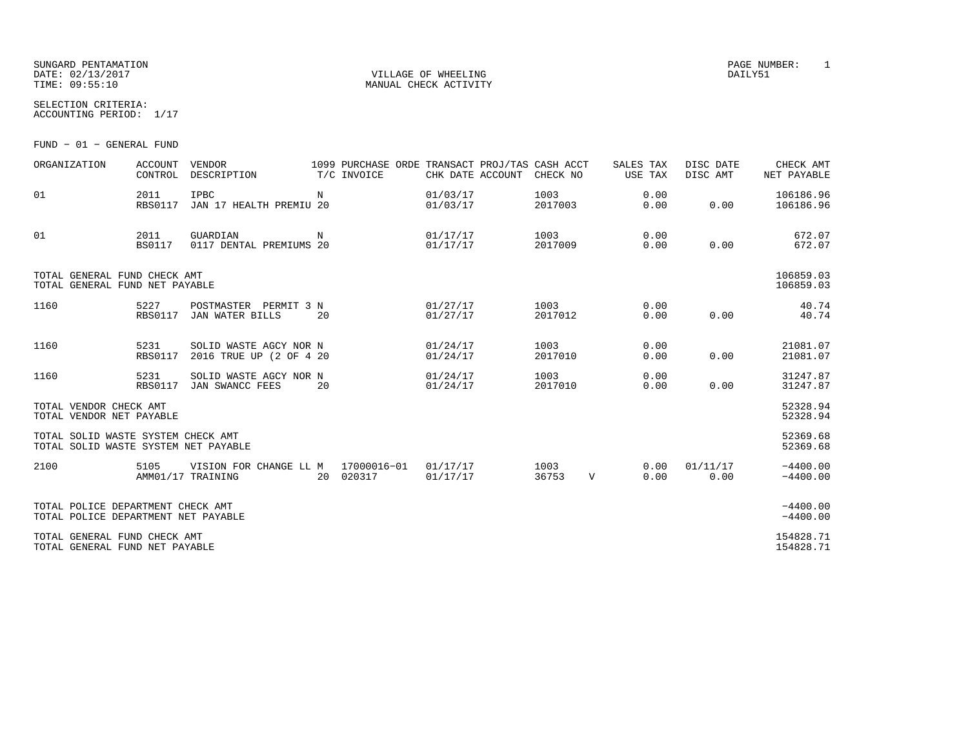### SUNGARD PENTAMATION PAGE NUMBER: 1 DATE: 02/13/2017 VILLAGE OF WHEELING DAILY51

SELECTION CRITERIA:

ACCOUNTING PERIOD: 1/17

FUND − 01 − GENERAL FUND

| ORGANIZATION                                                               | <b>ACCOUNT</b><br>CONTROL | VENDOR<br>DESCRIPTION                             |    | 1099 PURCHASE ORDE TRANSACT PROJ/TAS CASH ACCT<br>T/C INVOICE | CHK DATE ACCOUNT     | CHECK NO        |   | SALES TAX<br>USE TAX | DISC DATE<br>DISC AMT | CHECK AMT<br>NET PAYABLE |
|----------------------------------------------------------------------------|---------------------------|---------------------------------------------------|----|---------------------------------------------------------------|----------------------|-----------------|---|----------------------|-----------------------|--------------------------|
| 01                                                                         | 2011<br><b>RBS0117</b>    | IPBC<br>JAN 17 HEALTH PREMIU 20                   | N  |                                                               | 01/03/17<br>01/03/17 | 1003<br>2017003 |   | 0.00<br>0.00         | 0.00                  | 106186.96<br>106186.96   |
| 01                                                                         | 2011<br><b>BS0117</b>     | GUARDIAN<br>0117 DENTAL PREMIUMS 20               | N  |                                                               | 01/17/17<br>01/17/17 | 1003<br>2017009 |   | 0.00<br>0.00         | 0.00                  | 672.07<br>672.07         |
| TOTAL GENERAL FUND CHECK AMT<br>TOTAL GENERAL FUND NET PAYABLE             |                           |                                                   |    |                                                               |                      |                 |   |                      |                       | 106859.03<br>106859.03   |
| 1160                                                                       | 5227<br><b>RBS0117</b>    | POSTMASTER PERMIT 3 N<br>JAN WATER BILLS          | 20 |                                                               | 01/27/17<br>01/27/17 | 1003<br>2017012 |   | 0.00<br>0.00         | 0.00                  | 40.74<br>40.74           |
| 1160                                                                       | 5231<br><b>RBS0117</b>    | SOLID WASTE AGCY NOR N<br>2016 TRUE UP (2 OF 4 20 |    |                                                               | 01/24/17<br>01/24/17 | 1003<br>2017010 |   | 0.00<br>0.00         | 0.00                  | 21081.07<br>21081.07     |
| 1160                                                                       | 5231<br><b>RBS0117</b>    | SOLID WASTE AGCY NOR N<br>JAN SWANCC FEES         | 20 |                                                               | 01/24/17<br>01/24/17 | 1003<br>2017010 |   | 0.00<br>0.00         | 0.00                  | 31247.87<br>31247.87     |
| TOTAL VENDOR CHECK AMT<br>TOTAL VENDOR NET PAYABLE                         |                           |                                                   |    |                                                               |                      |                 |   |                      |                       | 52328.94<br>52328.94     |
| TOTAL SOLID WASTE SYSTEM CHECK AMT<br>TOTAL SOLID WASTE SYSTEM NET PAYABLE |                           |                                                   |    |                                                               |                      |                 |   |                      |                       | 52369.68<br>52369.68     |
| 2100                                                                       | 5105                      | VISION FOR CHANGE LL M<br>AMM01/17 TRAINING       |    | 17000016-01<br>20 020317                                      | 01/17/17<br>01/17/17 | 1003<br>36753   | V | 0.00<br>0.00         | 01/11/17<br>0.00      | $-4400.00$<br>$-4400.00$ |
| TOTAL POLICE DEPARTMENT CHECK AMT<br>TOTAL POLICE DEPARTMENT NET PAYABLE   |                           |                                                   |    |                                                               |                      |                 |   |                      |                       | $-4400.00$<br>$-4400.00$ |
| TOTAL GENERAL FUND CHECK AMT<br>TOTAL GENERAL FUND NET PAYABLE             |                           |                                                   |    |                                                               |                      |                 |   |                      |                       | 154828.71<br>154828.71   |

MANUAL CHECK ACTIVITY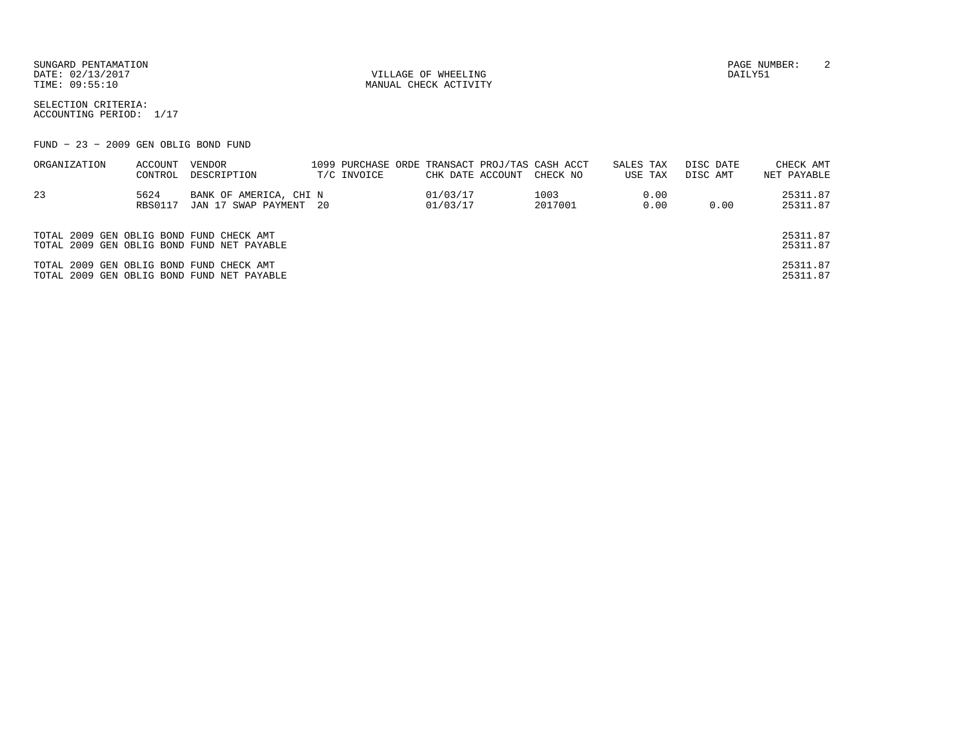DATE: 02/13/2017 VILLAGE OF WHEELING DAILY51

MANUAL CHECK ACTIVITY

SUNGARD PENTAMATION PAGE NUMBER: 2

SELECTION CRITERIA:ACCOUNTING PERIOD: 1/17

FUND − 23 − 2009 GEN OBLIG BOND FUND

| ORGANIZATION                             | ACCOUNT | VENDOR                                     |             |                  | 1099 PURCHASE ORDE TRANSACT PROJ/TAS CASH ACCT | SALES TAX |      | DISC DATE | CHECK AMT   |
|------------------------------------------|---------|--------------------------------------------|-------------|------------------|------------------------------------------------|-----------|------|-----------|-------------|
|                                          | CONTROL | DESCRIPTION                                | T/C INVOICE | CHK DATE ACCOUNT | CHECK NO                                       | USE TAX   |      | DISC AMT  | NET PAYABLE |
| 23                                       | 5624    | BANK OF AMERICA, CHI N                     |             | 01/03/17         | 1003                                           |           | 0.00 |           | 25311.87    |
|                                          | RBS0117 | JAN 17 SWAP PAYMENT 20                     |             | 01/03/17         | 2017001                                        |           | 0.00 | 0.00      | 25311.87    |
|                                          |         |                                            |             |                  |                                                |           |      |           |             |
| TOTAL 2009 GEN OBLIG BOND FUND CHECK AMT |         |                                            |             |                  |                                                |           |      |           | 25311.87    |
|                                          |         | TOTAL 2009 GEN OBLIG BOND FUND NET PAYABLE |             |                  |                                                |           |      |           | 25311.87    |
| TOTAL 2009 GEN OBLIG BOND FUND CHECK AMT |         |                                            |             |                  |                                                |           |      |           | 25311.87    |
|                                          |         | TOTAL 2009 GEN OBLIG BOND FUND NET PAYABLE |             |                  |                                                |           |      |           | 25311.87    |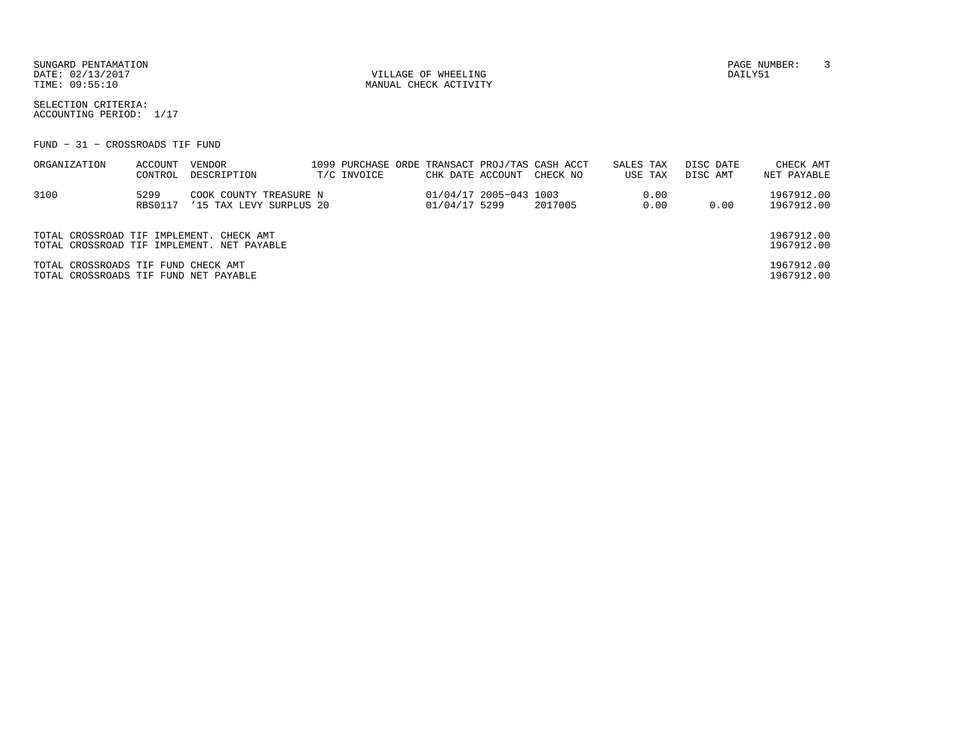SUNGARD PENTAMATION PAGE NUMBER: 3DATE: 02/13/2017 VILLAGE OF WHEELING DAILY51

MANUAL CHECK ACTIVITY

SELECTION CRITERIA:ACCOUNTING PERIOD: 1/17

FUND − 31 − CROSSROADS TIF FUND

| ORGANIZATION                                                                 | ACCOUNT<br>CONTROL | VENDOR<br>DESCRIPTION                             | T/C INVOICE | CHK DATE ACCOUNT |                        | 1099 PURCHASE ORDE TRANSACT PROJ/TAS CASH ACCT<br>CHECK NO | SALES TAX | USE TAX      | DISC DATE<br>DISC AMT | CHECK AMT<br>NET PAYABLE |
|------------------------------------------------------------------------------|--------------------|---------------------------------------------------|-------------|------------------|------------------------|------------------------------------------------------------|-----------|--------------|-----------------------|--------------------------|
| 3100                                                                         | 5299<br>RBS0117    | COOK COUNTY TREASURE N<br>'15 TAX LEVY SURPLUS 20 |             | 01/04/17 5299    | 01/04/17 2005-043 1003 | 2017005                                                    |           | 0.00<br>0.00 | 0.00                  | 1967912.00<br>1967912.00 |
| TOTAL CROSSROAD TIF IMPLEMENT. CHECK AMT                                     |                    | TOTAL CROSSROAD TIF IMPLEMENT. NET PAYABLE        |             |                  |                        |                                                            |           |              |                       | 1967912.00<br>1967912.00 |
| TOTAL CROSSROADS TIF FUND CHECK AMT<br>TOTAL CROSSROADS TIF FUND NET PAYABLE |                    |                                                   |             |                  |                        |                                                            |           |              |                       | 1967912.00<br>1967912.00 |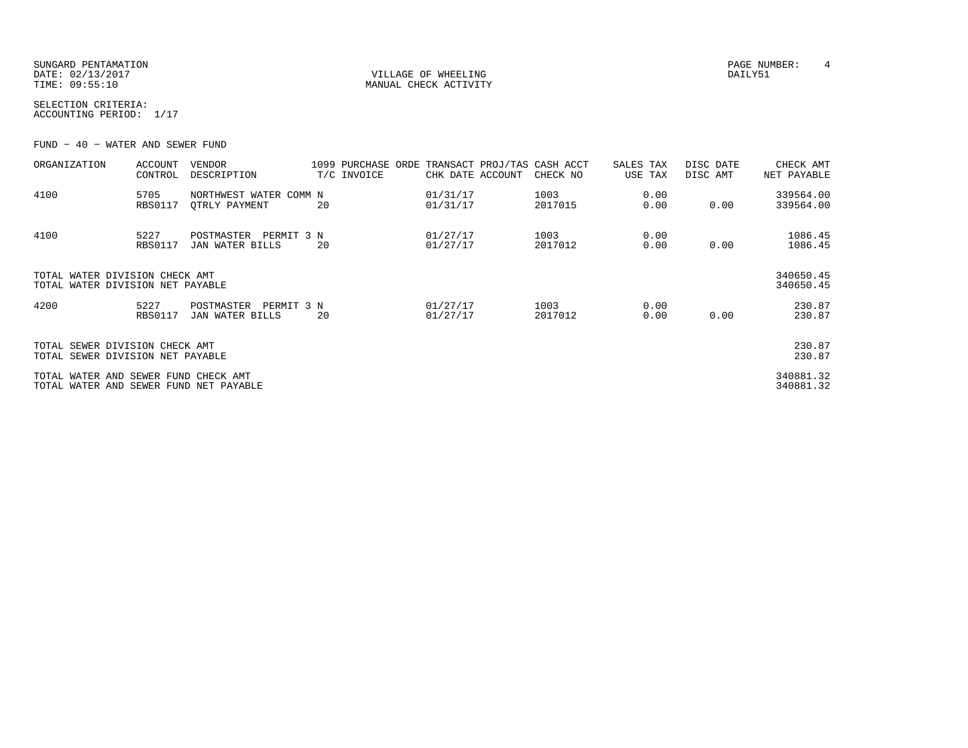SUNGARD PENTAMATION PAGE NUMBER: 4 DATE: 02/13/2017 VILLAGE OF WHEELING DAILY51

MANUAL CHECK ACTIVITY

SELECTION CRITERIA:ACCOUNTING PERIOD: 1/17

FUND − 40 − WATER AND SEWER FUND

| ORGANIZATION                                                                   | <b>ACCOUNT</b><br>CONTROL | VENDOR<br>DESCRIPTION                       |    | 1099 PURCHASE ORDE<br>T/C INVOICE | CHK DATE ACCOUNT     | TRANSACT PROJ/TAS CASH ACCT<br>CHECK NO | SALES TAX<br>USE TAX | DISC DATE<br>DISC AMT | CHECK AMT<br>NET PAYABLE |
|--------------------------------------------------------------------------------|---------------------------|---------------------------------------------|----|-----------------------------------|----------------------|-----------------------------------------|----------------------|-----------------------|--------------------------|
| 4100                                                                           | 5705<br><b>RBS0117</b>    | NORTHWEST WATER COMM N<br>OTRLY PAYMENT     | 20 |                                   | 01/31/17<br>01/31/17 | 1003<br>2017015                         | 0.00<br>0.00         | 0.00                  | 339564.00<br>339564.00   |
| 4100                                                                           | 5227<br><b>RBS0117</b>    | POSTMASTER<br>PERMIT 3 N<br>JAN WATER BILLS | 20 |                                   | 01/27/17<br>01/27/17 | 1003<br>2017012                         | 0.00<br>0.00         | 0.00                  | 1086.45<br>1086.45       |
| TOTAL WATER DIVISION CHECK AMT<br>TOTAL WATER DIVISION NET PAYABLE             |                           |                                             |    |                                   |                      |                                         |                      |                       | 340650.45<br>340650.45   |
| 4200                                                                           | 5227<br><b>RBS0117</b>    | POSTMASTER<br>PERMIT 3 N<br>JAN WATER BILLS | 20 |                                   | 01/27/17<br>01/27/17 | 1003<br>2017012                         | 0.00<br>0.00         | 0.00                  | 230.87<br>230.87         |
| TOTAL SEWER DIVISION CHECK AMT<br>TOTAL SEWER DIVISION NET PAYABLE             |                           |                                             |    |                                   |                      |                                         |                      |                       | 230.87<br>230.87         |
| TOTAL WATER AND SEWER FUND CHECK AMT<br>TOTAL WATER AND SEWER FUND NET PAYABLE |                           |                                             |    |                                   |                      |                                         |                      |                       | 340881.32<br>340881.32   |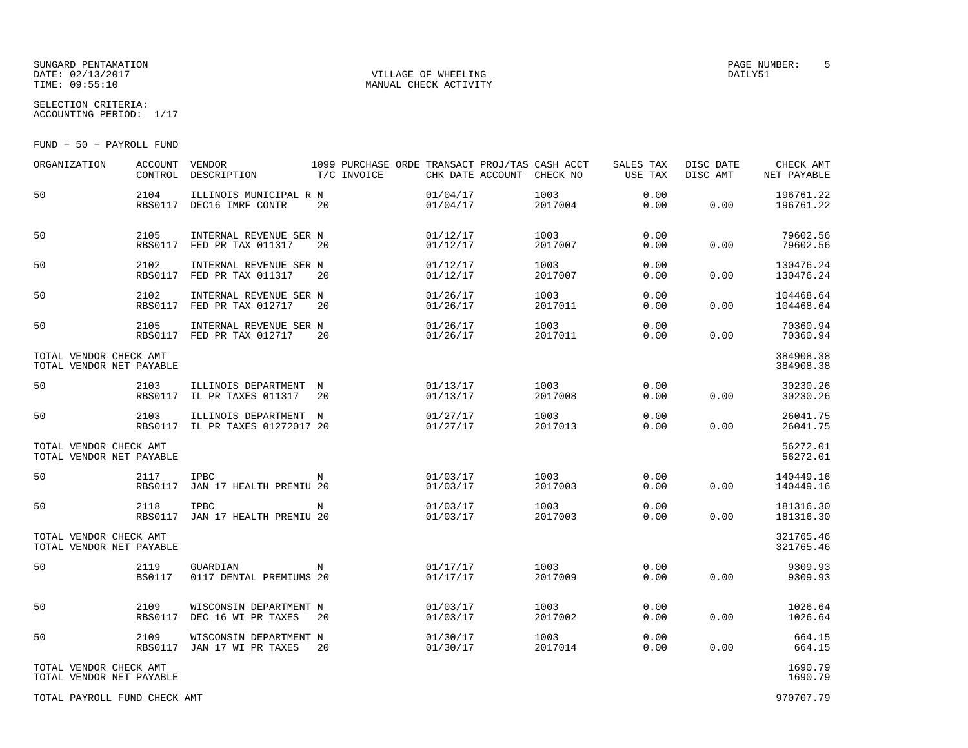### SUNGARD PENTAMATION PAGE NUMBER: 5DATE: 02/13/2017 VILLAGE OF WHEELING DAILY51

SELECTION CRITERIA:

MANUAL CHECK ACTIVITY

ACCOUNTING PERIOD: 1/17

FUND − 50 − PAYROLL FUND

| ORGANIZATION                                       | <b>ACCOUNT</b><br>CONTROL | VENDOR<br>DESCRIPTION                                    | T/C INVOICE | 1099 PURCHASE ORDE TRANSACT PROJ/TAS CASH ACCT | CHK DATE ACCOUNT     | CHECK NO        | SALES TAX<br>USE TAX | DISC DATE<br>DISC AMT | CHECK AMT<br>NET PAYABLE |
|----------------------------------------------------|---------------------------|----------------------------------------------------------|-------------|------------------------------------------------|----------------------|-----------------|----------------------|-----------------------|--------------------------|
| 50                                                 | 2104<br><b>RBS0117</b>    | ILLINOIS MUNICIPAL R N<br>DEC16 IMRF CONTR               | 20          |                                                | 01/04/17<br>01/04/17 | 1003<br>2017004 | 0.00<br>0.00         | 0.00                  | 196761.22<br>196761.22   |
| 50                                                 | 2105<br>RBS0117           | INTERNAL REVENUE SER N<br>FED PR TAX 011317              | 20          |                                                | 01/12/17<br>01/12/17 | 1003<br>2017007 | 0.00<br>0.00         | 0.00                  | 79602.56<br>79602.56     |
| 50                                                 | 2102<br><b>RBS0117</b>    | INTERNAL REVENUE SER N<br>FED PR TAX 011317              | 20          |                                                | 01/12/17<br>01/12/17 | 1003<br>2017007 | 0.00<br>0.00         | 0.00                  | 130476.24<br>130476.24   |
| 50                                                 | 2102<br>RBS0117           | INTERNAL REVENUE SER N<br>FED PR TAX 012717              | 20          |                                                | 01/26/17<br>01/26/17 | 1003<br>2017011 | 0.00<br>0.00         | 0.00                  | 104468.64<br>104468.64   |
| 50                                                 | 2105<br>RBS0117           | INTERNAL REVENUE SER N<br>FED PR TAX 012717              | 20          |                                                | 01/26/17<br>01/26/17 | 1003<br>2017011 | 0.00<br>0.00         | 0.00                  | 70360.94<br>70360.94     |
| TOTAL VENDOR CHECK AMT<br>TOTAL VENDOR NET PAYABLE |                           |                                                          |             |                                                |                      |                 |                      |                       | 384908.38<br>384908.38   |
| 50                                                 | 2103<br>RBS0117           | ILLINOIS DEPARTMENT<br>IL PR TAXES 011317                | N<br>20     |                                                | 01/13/17<br>01/13/17 | 1003<br>2017008 | 0.00<br>0.00         | 0.00                  | 30230.26<br>30230.26     |
| 50                                                 | 2103                      | ILLINOIS DEPARTMENT N<br>RBS0117 IL PR TAXES 01272017 20 |             |                                                | 01/27/17<br>01/27/17 | 1003<br>2017013 | 0.00<br>0.00         | 0.00                  | 26041.75<br>26041.75     |
| TOTAL VENDOR CHECK AMT<br>TOTAL VENDOR NET PAYABLE |                           |                                                          |             |                                                |                      |                 |                      |                       | 56272.01<br>56272.01     |
| 50                                                 | 2117<br><b>RBS0117</b>    | <b>IPBC</b><br>JAN 17 HEALTH PREMIU 20                   | N           |                                                | 01/03/17<br>01/03/17 | 1003<br>2017003 | 0.00<br>0.00         | 0.00                  | 140449.16<br>140449.16   |
| 50                                                 | 2118<br><b>RBS0117</b>    | <b>IPBC</b><br>JAN 17 HEALTH PREMIU 20                   | N           |                                                | 01/03/17<br>01/03/17 | 1003<br>2017003 | 0.00<br>0.00         | 0.00                  | 181316.30<br>181316.30   |
| TOTAL VENDOR CHECK AMT<br>TOTAL VENDOR NET PAYABLE |                           |                                                          |             |                                                |                      |                 |                      |                       | 321765.46<br>321765.46   |
| 50                                                 | 2119<br><b>BS0117</b>     | GUARDIAN<br>0117 DENTAL PREMIUMS 20                      | N           |                                                | 01/17/17<br>01/17/17 | 1003<br>2017009 | 0.00<br>0.00         | 0.00                  | 9309.93<br>9309.93       |
| 50                                                 | 2109<br><b>RBS0117</b>    | WISCONSIN DEPARTMENT N<br>DEC 16 WI PR TAXES             | 20          |                                                | 01/03/17<br>01/03/17 | 1003<br>2017002 | 0.00<br>0.00         | 0.00                  | 1026.64<br>1026.64       |
| 50                                                 | 2109<br>RBS0117           | WISCONSIN DEPARTMENT N<br>JAN 17 WI PR TAXES             | 20          |                                                | 01/30/17<br>01/30/17 | 1003<br>2017014 | 0.00<br>0.00         | 0.00                  | 664.15<br>664.15         |
| TOTAL VENDOR CHECK AMT<br>TOTAL VENDOR NET PAYABLE |                           |                                                          |             |                                                |                      |                 |                      |                       | 1690.79<br>1690.79       |
| TOTAL PAYROLL FUND CHECK AMT                       |                           |                                                          |             |                                                |                      |                 |                      |                       | 970707.79                |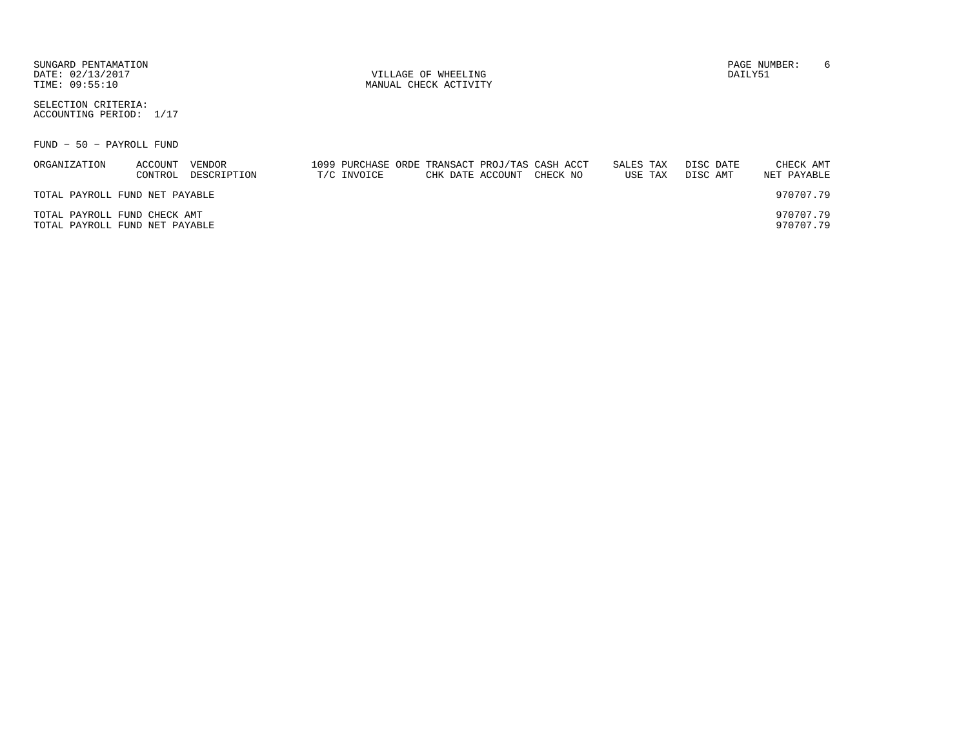SUNGARD PENTAMATION PAGE NUMBER: 6DATE: 02/13/2017 VILLAGE OF WHEELING DAILY51

MANUAL CHECK ACTIVITY

SELECTION CRITERIA:ACCOUNTING PERIOD: 1/17

FUND − 50 − PAYROLL FUND

| ORGANIZATION                   | ACCOUNT | VENDOR      |             |  | 1099 PURCHASE ORDE TRANSACT PROJ/TAS CASH ACCT | SALES TAX |         | DISC DATE | CHECK AMT   |
|--------------------------------|---------|-------------|-------------|--|------------------------------------------------|-----------|---------|-----------|-------------|
|                                | CONTROL | DESCRIPTION | T/C INVOICE |  | CHK DATE ACCOUNT CHECK NO                      |           | USE TAX | DISC AMT  | NET PAYABLE |
|                                |         |             |             |  |                                                |           |         |           |             |
| TOTAL PAYROLL FUND NET PAYABLE |         |             |             |  |                                                |           |         |           | 970707.79   |
|                                |         |             |             |  |                                                |           |         |           |             |
| TOTAL PAYROLL FUND CHECK AMT   |         |             |             |  |                                                |           |         |           | 970707.79   |
| TOTAL PAYROLL FUND NET PAYABLE |         |             |             |  |                                                |           |         |           | 970707.79   |
|                                |         |             |             |  |                                                |           |         |           |             |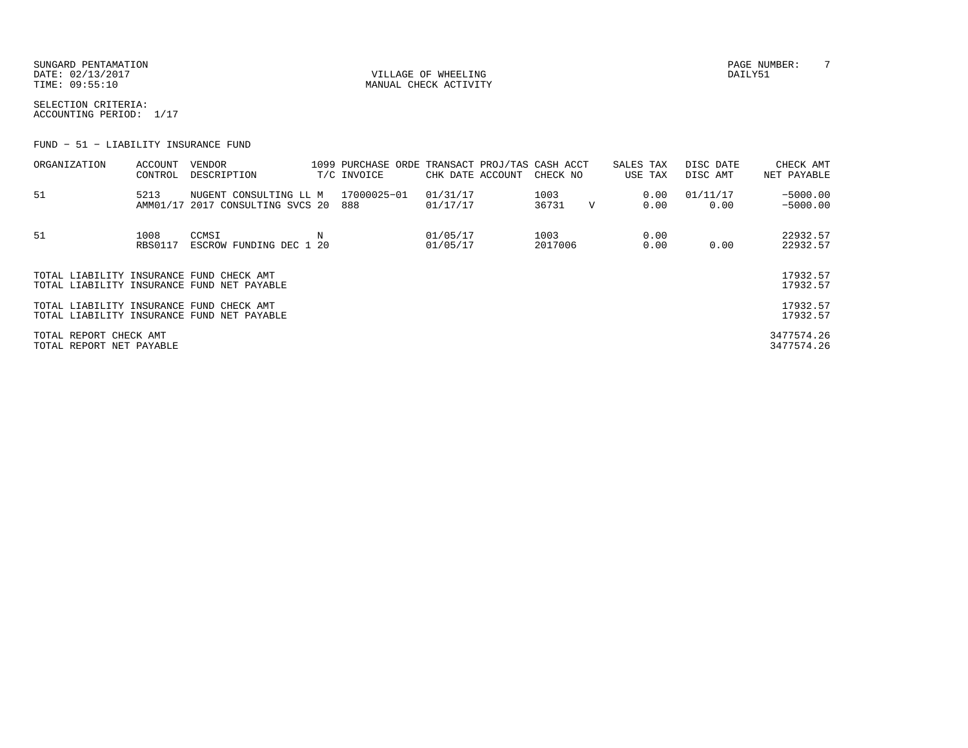SUNGARD PENTAMATION PAGE NUMBER: T DATE: 02/13/2017 VILLAGE OF WHEELING DAILY51

MANUAL CHECK ACTIVITY

SELECTION CRITERIA:ACCOUNTING PERIOD: 1/17

FUND − 51 − LIABILITY INSURANCE FUND

| ORGANIZATION                                       | ACCOUNT<br>CONTROL     | VENDOR<br>DESCRIPTION                                      | 1099 PURCHASE ORDE TRANSACT PROJ/TAS CASH ACCT<br>T/C INVOICE | CHK DATE ACCOUNT     | CHECK NO        |             | SALES TAX<br>USE TAX | DISC DATE<br>DISC AMT | CHECK AMT<br>NET PAYABLE |
|----------------------------------------------------|------------------------|------------------------------------------------------------|---------------------------------------------------------------|----------------------|-----------------|-------------|----------------------|-----------------------|--------------------------|
| 51                                                 | 5213                   | NUGENT CONSULTING LL M<br>AMM01/17 2017 CONSULTING SVCS 20 | 17000025-01<br>888                                            | 01/31/17<br>01/17/17 | 1003<br>36731   | $\mathbf v$ | 0.00<br>0.00         | 01/11/17<br>0.00      | $-5000.00$<br>$-5000.00$ |
| 51                                                 | 1008<br><b>RBS0117</b> | CCMSI<br>ESCROW FUNDING DEC 1 20                           |                                                               | 01/05/17<br>01/05/17 | 1003<br>2017006 |             | 0.00<br>0.00         | 0.00                  | 22932.57<br>22932.57     |
| TOTAL LIABILITY INSURANCE FUND CHECK AMT           |                        | TOTAL LIABILITY INSURANCE FUND NET PAYABLE                 |                                                               |                      |                 |             |                      |                       | 17932.57<br>17932.57     |
| TOTAL LIABILITY INSURANCE FUND CHECK AMT           |                        | TOTAL LIABILITY INSURANCE FUND NET PAYABLE                 |                                                               |                      |                 |             |                      |                       | 17932.57<br>17932.57     |
| TOTAL REPORT CHECK AMT<br>TOTAL REPORT NET PAYABLE |                        |                                                            |                                                               |                      |                 |             |                      |                       | 3477574.26<br>3477574.26 |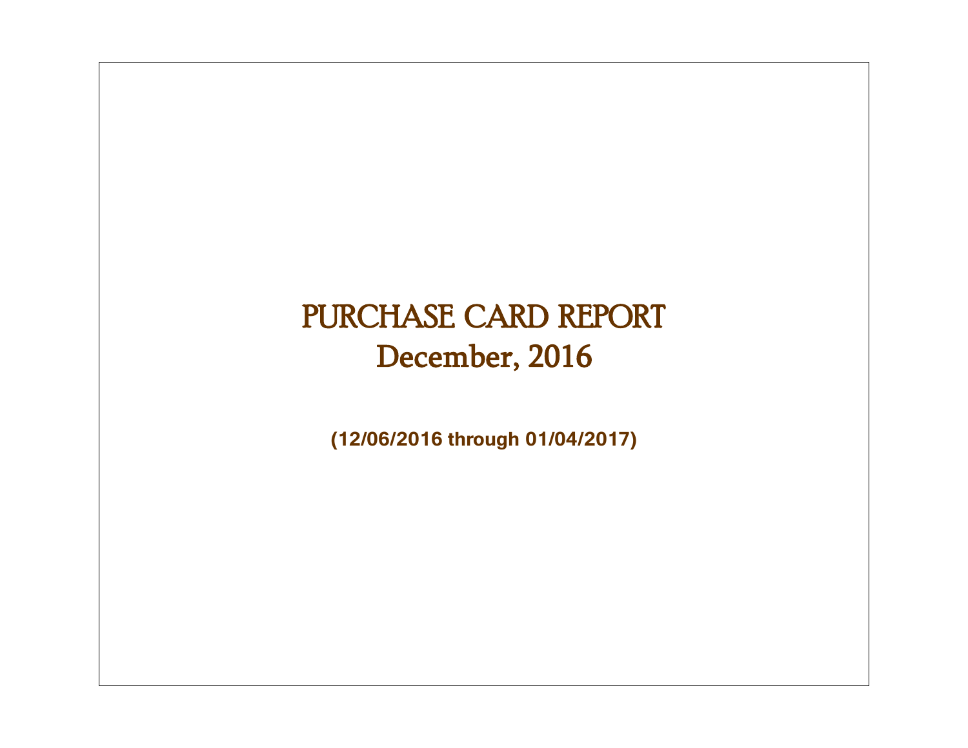# PURCHASE CARD REPORT December, 2016

**(12/06/2016 through 01/04/2017)**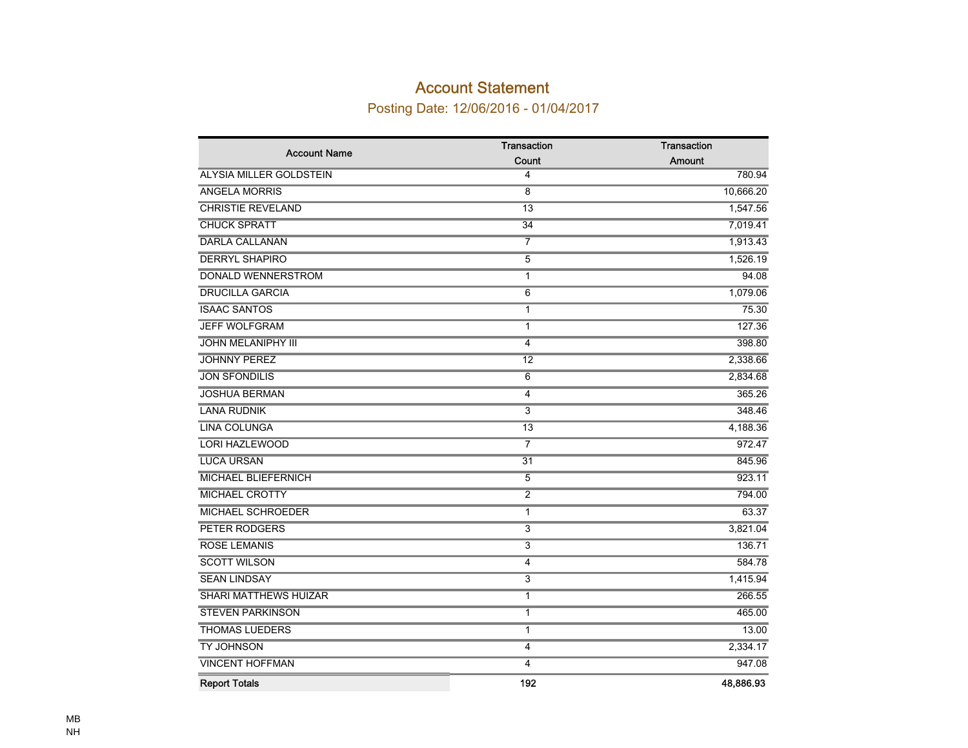### Account Statement

Posting Date: 12/06/2016 - 01/04/2017

| <b>Account Name</b>          | Transaction             | Transaction |
|------------------------------|-------------------------|-------------|
|                              | Count                   | Amount      |
| ALYSIA MILLER GOLDSTEIN      | 4                       | 780.94      |
| <b>ANGELA MORRIS</b>         | 8                       | 10,666.20   |
| <b>CHRISTIE REVELAND</b>     | $\overline{13}$         | 1,547.56    |
| <b>CHUCK SPRATT</b>          | 34                      | 7,019.41    |
| <b>DARLA CALLANAN</b>        | 7                       | 1,913.43    |
| <b>DERRYL SHAPIRO</b>        | 5                       | 1,526.19    |
| <b>DONALD WENNERSTROM</b>    | 1                       | 94.08       |
| <b>DRUCILLA GARCIA</b>       | 6                       | 1,079.06    |
| <b>ISAAC SANTOS</b>          | 1                       | 75.30       |
| <b>JEFF WOLFGRAM</b>         | 1                       | 127.36      |
| <b>JOHN MELANIPHY III</b>    | 4                       | 398.80      |
| <b>JOHNNY PEREZ</b>          | 12                      | 2,338.66    |
| <b>JON SFONDILIS</b>         | 6                       | 2,834.68    |
| <b>JOSHUA BERMAN</b>         | 4                       | 365.26      |
| <b>LANA RUDNIK</b>           | 3                       | 348.46      |
| <b>LINA COLUNGA</b>          | $\overline{13}$         | 4,188.36    |
| <b>LORI HAZLEWOOD</b>        | $\overline{7}$          | 972.47      |
| <b>LUCA URSAN</b>            | $\overline{31}$         | 845.96      |
| MICHAEL BLIEFERNICH          | 5                       | 923.11      |
| <b>MICHAEL CROTTY</b>        | $\overline{2}$          | 794.00      |
| <b>MICHAEL SCHROEDER</b>     | $\overline{1}$          | 63.37       |
| <b>PETER RODGERS</b>         | $\overline{\mathbf{3}}$ | 3,821.04    |
| <b>ROSE LEMANIS</b>          | $\overline{3}$          | 136.71      |
| <b>SCOTT WILSON</b>          | 4                       | 584.78      |
| <b>SEAN LINDSAY</b>          | $\overline{3}$          | 1,415.94    |
| <b>SHARI MATTHEWS HUIZAR</b> | 1                       | 266.55      |
| <b>STEVEN PARKINSON</b>      | 1                       | 465.00      |
| <b>THOMAS LUEDERS</b>        | $\mathbf{1}$            | 13.00       |
| TY JOHNSON                   | 4                       | 2,334.17    |
| <b>VINCENT HOFFMAN</b>       | 4                       | 947.08      |
| <b>Report Totals</b>         | 192                     | 48,886.93   |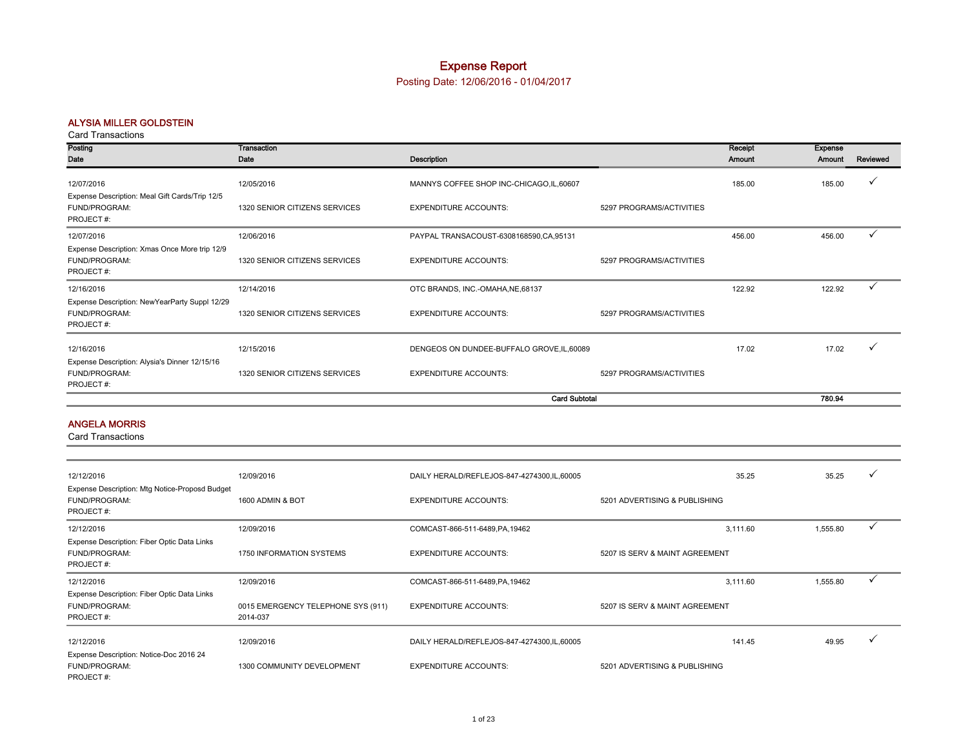### Expense Report

Posting Date: 12/06/2016 - 01/04/2017

#### ALYSIA MILLER GOLDSTEIN

#### Card Transactions

| Posting                                                                      | Transaction                   |                                            |                          | Receipt | Expense |          |
|------------------------------------------------------------------------------|-------------------------------|--------------------------------------------|--------------------------|---------|---------|----------|
| Date                                                                         | Date                          | Description                                |                          | Amount  | Amount  | Reviewed |
| 12/07/2016                                                                   | 12/05/2016                    | MANNYS COFFEE SHOP INC-CHICAGO, IL, 60607  |                          | 185.00  | 185.00  |          |
| Expense Description: Meal Gift Cards/Trip 12/5<br>FUND/PROGRAM:<br>PROJECT#: | 1320 SENIOR CITIZENS SERVICES | <b>EXPENDITURE ACCOUNTS:</b>               | 5297 PROGRAMS/ACTIVITIES |         |         |          |
| 12/07/2016                                                                   | 12/06/2016                    | PAYPAL TRANSACOUST-6308168590,CA,95131     |                          | 456.00  | 456.00  |          |
| Expense Description: Xmas Once More trip 12/9<br>FUND/PROGRAM:<br>PROJECT#:  | 1320 SENIOR CITIZENS SERVICES | <b>EXPENDITURE ACCOUNTS:</b>               | 5297 PROGRAMS/ACTIVITIES |         |         |          |
| 12/16/2016                                                                   | 12/14/2016                    | OTC BRANDS, INC.-OMAHA, NE, 68137          |                          | 122.92  | 122.92  |          |
| Expense Description: NewYearParty Suppl 12/29<br>FUND/PROGRAM:<br>PROJECT#:  | 1320 SENIOR CITIZENS SERVICES | <b>EXPENDITURE ACCOUNTS:</b>               | 5297 PROGRAMS/ACTIVITIES |         |         |          |
| 12/16/2016                                                                   | 12/15/2016                    | DENGEOS ON DUNDEE-BUFFALO GROVE, IL, 60089 |                          | 17.02   | 17.02   |          |
| Expense Description: Alysia's Dinner 12/15/16<br>FUND/PROGRAM:<br>PROJECT#:  | 1320 SENIOR CITIZENS SERVICES | <b>EXPENDITURE ACCOUNTS:</b>               | 5297 PROGRAMS/ACTIVITIES |         |         |          |
|                                                                              |                               | <b>Card Subtotal</b>                       |                          |         | 780.94  |          |

#### ANGELA MORRIS

| 12/12/2016                                                                   | 12/09/2016                                     | DAILY HERALD/REFLEJOS-847-4274300,IL,60005   | 35.25                          | 35.25    |              |
|------------------------------------------------------------------------------|------------------------------------------------|----------------------------------------------|--------------------------------|----------|--------------|
| Expense Description: Mtg Notice-Proposd Budget<br>FUND/PROGRAM:<br>PROJECT#: | 1600 ADMIN & BOT                               | <b>EXPENDITURE ACCOUNTS:</b>                 | 5201 ADVERTISING & PUBLISHING  |          |              |
| 12/12/2016                                                                   | 12/09/2016                                     | COMCAST-866-511-6489, PA, 19462              | 3,111.60                       | 1,555.80 | $\checkmark$ |
| Expense Description: Fiber Optic Data Links<br>FUND/PROGRAM:<br>PROJECT#:    | 1750 INFORMATION SYSTEMS                       | <b>EXPENDITURE ACCOUNTS:</b>                 | 5207 IS SERV & MAINT AGREEMENT |          |              |
| 12/12/2016                                                                   | 12/09/2016                                     | COMCAST-866-511-6489, PA, 19462              | 3,111.60                       | 1,555.80 | $\checkmark$ |
| Expense Description: Fiber Optic Data Links<br>FUND/PROGRAM:<br>PROJECT#:    | 0015 EMERGENCY TELEPHONE SYS (911)<br>2014-037 | <b>EXPENDITURE ACCOUNTS:</b>                 | 5207 IS SERV & MAINT AGREEMENT |          |              |
| 12/12/2016                                                                   | 12/09/2016                                     | DAILY HERALD/REFLEJOS-847-4274300, IL, 60005 | 141.45                         | 49.95    |              |
| Expense Description: Notice-Doc 2016 24<br>FUND/PROGRAM:<br>PROJECT#:        | 1300 COMMUNITY DEVELOPMENT                     | <b>EXPENDITURE ACCOUNTS:</b>                 | 5201 ADVERTISING & PUBLISHING  |          |              |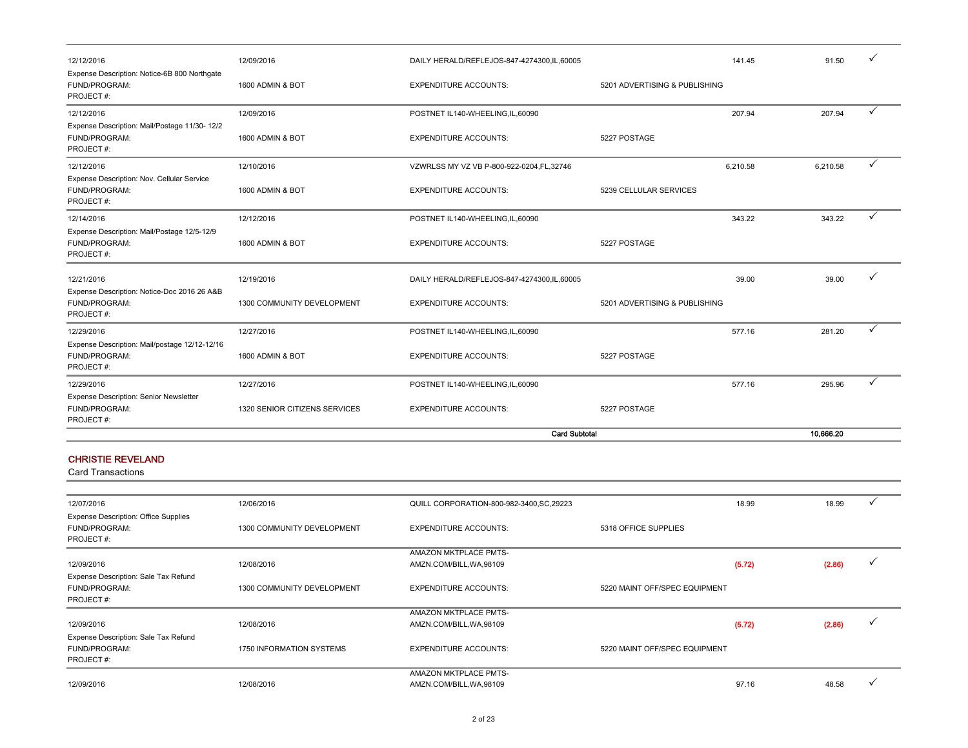| 12/12/2016                                                                  | 12/09/2016                    | DAILY HERALD/REFLEJOS-847-4274300,IL,60005        |                               | 141.45   | 91.50     |   |
|-----------------------------------------------------------------------------|-------------------------------|---------------------------------------------------|-------------------------------|----------|-----------|---|
| Expense Description: Notice-6B 800 Northgate<br>FUND/PROGRAM:<br>PROJECT#:  | 1600 ADMIN & BOT              | <b>EXPENDITURE ACCOUNTS:</b>                      | 5201 ADVERTISING & PUBLISHING |          |           |   |
| 12/12/2016                                                                  | 12/09/2016                    | POSTNET IL140-WHEELING, IL, 60090                 |                               | 207.94   | 207.94    | ✓ |
| Expense Description: Mail/Postage 11/30- 12/2<br>FUND/PROGRAM:<br>PROJECT#: | 1600 ADMIN & BOT              | <b>EXPENDITURE ACCOUNTS:</b>                      | 5227 POSTAGE                  |          |           |   |
| 12/12/2016                                                                  | 12/10/2016                    | VZWRLSS MY VZ VB P-800-922-0204,FL,32746          |                               | 6,210.58 | 6,210.58  | ✓ |
| Expense Description: Nov. Cellular Service<br>FUND/PROGRAM:<br>PROJECT#:    | 1600 ADMIN & BOT              | <b>EXPENDITURE ACCOUNTS:</b>                      | 5239 CELLULAR SERVICES        |          |           |   |
| 12/14/2016                                                                  | 12/12/2016                    | POSTNET IL140-WHEELING, IL, 60090                 |                               | 343.22   | 343.22    | ✓ |
| Expense Description: Mail/Postage 12/5-12/9<br>FUND/PROGRAM:<br>PROJECT#:   | 1600 ADMIN & BOT              | <b>EXPENDITURE ACCOUNTS:</b>                      | 5227 POSTAGE                  |          |           |   |
| 12/21/2016                                                                  | 12/19/2016                    | DAILY HERALD/REFLEJOS-847-4274300,IL,60005        |                               | 39.00    | 39.00     | ✓ |
| Expense Description: Notice-Doc 2016 26 A&B<br>FUND/PROGRAM:<br>PROJECT#:   | 1300 COMMUNITY DEVELOPMENT    | <b>EXPENDITURE ACCOUNTS:</b>                      | 5201 ADVERTISING & PUBLISHING |          |           |   |
| 12/29/2016                                                                  | 12/27/2016                    | POSTNET IL140-WHEELING, IL, 60090                 |                               | 577.16   | 281.20    | ✓ |
| Expense Description: Mail/postage 12/12-12/16<br>FUND/PROGRAM:<br>PROJECT#: | 1600 ADMIN & BOT              | <b>EXPENDITURE ACCOUNTS:</b>                      | 5227 POSTAGE                  |          |           |   |
| 12/29/2016                                                                  | 12/27/2016                    | POSTNET IL140-WHEELING, IL, 60090                 |                               | 577.16   | 295.96    | ✓ |
| Expense Description: Senior Newsletter<br>FUND/PROGRAM:<br>PROJECT#:        | 1320 SENIOR CITIZENS SERVICES | <b>EXPENDITURE ACCOUNTS:</b>                      | 5227 POSTAGE                  |          |           |   |
|                                                                             |                               | <b>Card Subtotal</b>                              |                               |          | 10,666.20 |   |
| <b>CHRISTIE REVELAND</b><br><b>Card Transactions</b>                        |                               |                                                   |                               |          |           |   |
| 12/07/2016                                                                  | 12/06/2016                    | QUILL CORPORATION-800-982-3400, SC, 29223         |                               | 18.99    | 18.99     | ✓ |
| Expense Description: Office Supplies<br>FUND/PROGRAM:<br>PROJECT#:          | 1300 COMMUNITY DEVELOPMENT    | <b>EXPENDITURE ACCOUNTS:</b>                      | 5318 OFFICE SUPPLIES          |          |           |   |
| 12/09/2016                                                                  | 12/08/2016                    | AMAZON MKTPLACE PMTS-<br>AMZN.COM/BILL, WA, 98109 |                               | (5.72)   | (2.86)    | ✓ |

| Expense Description: Sale Tax Refund<br>FUND/PROGRAM:<br>PROJECT #: | 1300 COMMUNITY DEVELOPMENT | <b>EXPENDITURE ACCOUNTS:</b> | 5220 MAINT OFF/SPEC EQUIPMENT |        |        |  |
|---------------------------------------------------------------------|----------------------------|------------------------------|-------------------------------|--------|--------|--|
|                                                                     |                            | <b>AMAZON MKTPLACE PMTS-</b> |                               |        |        |  |
| 12/09/2016                                                          | 12/08/2016                 | AMZN.COM/BILL, WA, 98109     |                               | (5.72) | (2.86) |  |
| Expense Description: Sale Tax Refund                                |                            |                              |                               |        |        |  |
| FUND/PROGRAM:                                                       | 1750 INFORMATION SYSTEMS   | <b>EXPENDITURE ACCOUNTS:</b> | 5220 MAINT OFF/SPEC EQUIPMENT |        |        |  |
| PROJECT #:                                                          |                            |                              |                               |        |        |  |
|                                                                     |                            | AMAZON MKTPLACE PMTS-        |                               |        |        |  |
| 12/09/2016                                                          | 12/08/2016                 | AMZN.COM/BILL, WA, 98109     |                               | 97.16  | 48.58  |  |
|                                                                     |                            |                              |                               |        |        |  |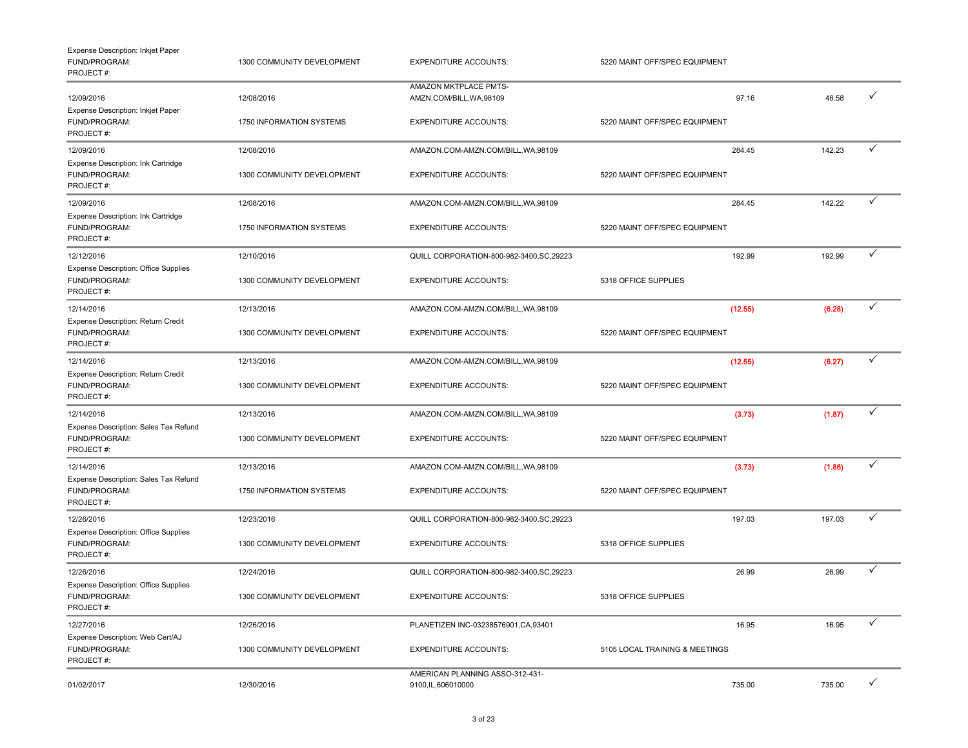| Expense Description: Inkjet Paper<br>FUND/PROGRAM:<br>PROJECT#:     | 1300 COMMUNITY DEVELOPMENT | <b>EXPENDITURE ACCOUNTS:</b>                           | 5220 MAINT OFF/SPEC EQUIPMENT  |        |              |
|---------------------------------------------------------------------|----------------------------|--------------------------------------------------------|--------------------------------|--------|--------------|
| 12/09/2016                                                          | 12/08/2016                 | AMAZON MKTPLACE PMTS-<br>AMZN.COM/BILL, WA, 98109      | 97.16                          | 48.58  | ✓            |
| Expense Description: Inkjet Paper<br>FUND/PROGRAM:<br>PROJECT#:     | 1750 INFORMATION SYSTEMS   | <b>EXPENDITURE ACCOUNTS:</b>                           | 5220 MAINT OFF/SPEC EQUIPMENT  |        |              |
| 12/09/2016                                                          | 12/08/2016                 | AMAZON.COM-AMZN.COM/BILL, WA, 98109                    | 284.45                         | 142.23 | ✓            |
| Expense Description: Ink Cartridge<br>FUND/PROGRAM:<br>PROJECT#:    | 1300 COMMUNITY DEVELOPMENT | <b>EXPENDITURE ACCOUNTS:</b>                           | 5220 MAINT OFF/SPEC EQUIPMENT  |        |              |
| 12/09/2016                                                          | 12/08/2016                 | AMAZON.COM-AMZN.COM/BILL, WA, 98109                    | 284.45                         | 142.22 | ✓            |
| Expense Description: Ink Cartridge<br>FUND/PROGRAM:<br>PROJECT#:    | 1750 INFORMATION SYSTEMS   | <b>EXPENDITURE ACCOUNTS:</b>                           | 5220 MAINT OFF/SPEC EQUIPMENT  |        |              |
| 12/12/2016                                                          | 12/10/2016                 | QUILL CORPORATION-800-982-3400, SC, 29223              | 192.99                         | 192.99 | ✓            |
| Expense Description: Office Supplies<br>FUND/PROGRAM:<br>PROJECT#:  | 1300 COMMUNITY DEVELOPMENT | <b>EXPENDITURE ACCOUNTS:</b>                           | 5318 OFFICE SUPPLIES           |        |              |
| 12/14/2016                                                          | 12/13/2016                 | AMAZON.COM-AMZN.COM/BILL, WA, 98109                    | (12.55)                        | (6.28) | $\checkmark$ |
| Expense Description: Return Credit<br>FUND/PROGRAM:<br>PROJECT#:    | 1300 COMMUNITY DEVELOPMENT | <b>EXPENDITURE ACCOUNTS:</b>                           | 5220 MAINT OFF/SPEC EQUIPMENT  |        |              |
| 12/14/2016                                                          | 12/13/2016                 | AMAZON.COM-AMZN.COM/BILL, WA, 98109                    | (12.55)                        | (6.27) | $\checkmark$ |
| Expense Description: Return Credit<br>FUND/PROGRAM:<br>PROJECT#:    | 1300 COMMUNITY DEVELOPMENT | <b>EXPENDITURE ACCOUNTS:</b>                           | 5220 MAINT OFF/SPEC EQUIPMENT  |        |              |
| 12/14/2016                                                          | 12/13/2016                 | AMAZON.COM-AMZN.COM/BILL, WA, 98109                    | (3.73)                         | (1.87) | ✓            |
| Expense Description: Sales Tax Refund<br>FUND/PROGRAM:<br>PROJECT#: | 1300 COMMUNITY DEVELOPMENT | <b>EXPENDITURE ACCOUNTS:</b>                           | 5220 MAINT OFF/SPEC EQUIPMENT  |        |              |
| 12/14/2016                                                          | 12/13/2016                 | AMAZON.COM-AMZN.COM/BILL, WA, 98109                    | (3.73)                         | (1.86) | ✓            |
| Expense Description: Sales Tax Refund<br>FUND/PROGRAM:<br>PROJECT#: | 1750 INFORMATION SYSTEMS   | <b>EXPENDITURE ACCOUNTS:</b>                           | 5220 MAINT OFF/SPEC EQUIPMENT  |        |              |
| 12/26/2016                                                          | 12/23/2016                 | QUILL CORPORATION-800-982-3400, SC, 29223              | 197.03                         | 197.03 | ✓            |
| Expense Description: Office Supplies<br>FUND/PROGRAM:<br>PROJECT#:  | 1300 COMMUNITY DEVELOPMENT | <b>EXPENDITURE ACCOUNTS:</b>                           | 5318 OFFICE SUPPLIES           |        |              |
| 12/26/2016                                                          | 12/24/2016                 | QUILL CORPORATION-800-982-3400, SC, 29223              | 26.99                          | 26.99  | ✓            |
| Expense Description: Office Supplies<br>FUND/PROGRAM:<br>PROJECT#:  | 1300 COMMUNITY DEVELOPMENT | EXPENDITURE ACCOUNTS:                                  | 5318 OFFICE SUPPLIES           |        |              |
| 12/27/2016                                                          | 12/26/2016                 | PLANETIZEN INC-03238576901.CA.93401                    | 16.95                          | 16.95  | $\checkmark$ |
| Expense Description: Web Cert/AJ<br>FUND/PROGRAM:<br>PROJECT#:      | 1300 COMMUNITY DEVELOPMENT | <b>EXPENDITURE ACCOUNTS:</b>                           | 5105 LOCAL TRAINING & MEETINGS |        |              |
| 01/02/2017                                                          | 12/30/2016                 | AMERICAN PLANNING ASSO-312-431-<br>9100, IL, 606010000 | 735.00                         | 735.00 | $\checkmark$ |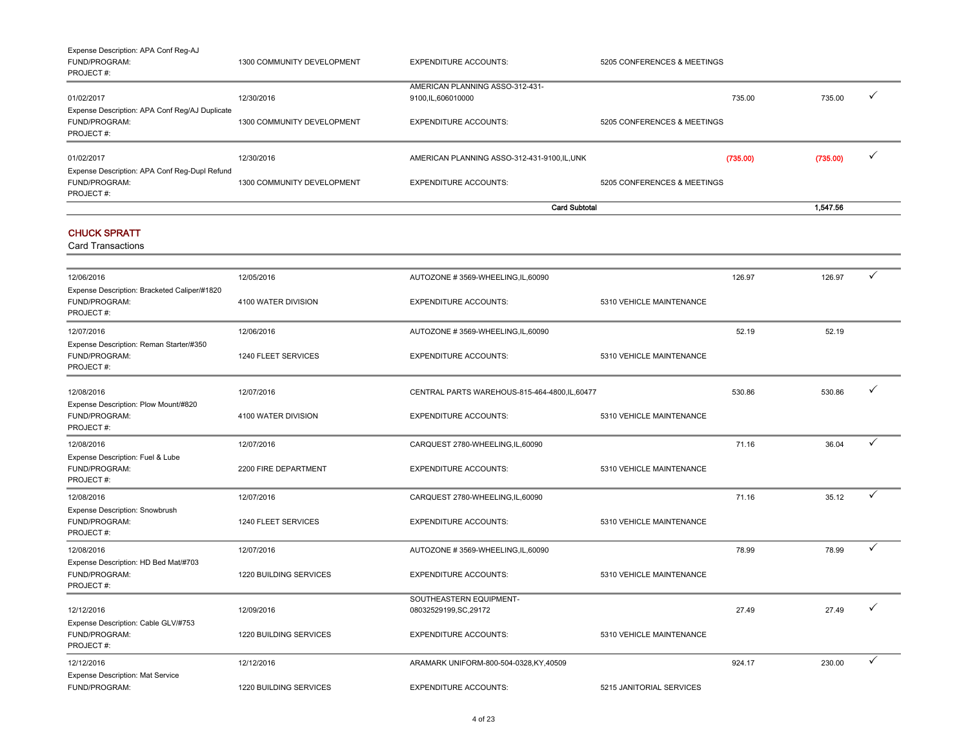| Expense Description: APA Conf Reg-AJ<br><b>FUND/PROGRAM:</b><br>PROJECT#: | 1300 COMMUNITY DEVELOPMENT       | <b>EXPENDITURE ACCOUNTS:</b>                 | 5205 CONFERENCES & MEETINGS |          |          |  |
|---------------------------------------------------------------------------|----------------------------------|----------------------------------------------|-----------------------------|----------|----------|--|
|                                                                           |                                  | AMERICAN PLANNING ASSO-312-431-              |                             |          |          |  |
| 01/02/2017                                                                | 12/30/2016                       | 9100,IL,606010000                            |                             | 735.00   | 735.00   |  |
| Expense Description: APA Conf Reg/AJ Duplicate                            |                                  |                                              |                             |          |          |  |
| FUND/PROGRAM:                                                             | 1300 COMMUNITY DEVELOPMENT       | <b>EXPENDITURE ACCOUNTS:</b>                 | 5205 CONFERENCES & MEETINGS |          |          |  |
| PROJECT#:                                                                 |                                  |                                              |                             |          |          |  |
| 01/02/2017                                                                | 12/30/2016                       | AMERICAN PLANNING ASSO-312-431-9100, IL, UNK |                             | (735.00) | (735.00) |  |
| Expense Description: APA Conf Reg-Dupl Refund                             |                                  |                                              |                             |          |          |  |
| <b>FUND/PROGRAM:</b>                                                      | 1300 COMMUNITY DEVELOPMENT       | <b>EXPENDITURE ACCOUNTS:</b>                 | 5205 CONFERENCES & MEETINGS |          |          |  |
| PROJECT#:                                                                 |                                  |                                              |                             |          |          |  |
|                                                                           | <b>Card Subtotal</b><br>1.547.56 |                                              |                             |          |          |  |

#### CHUCK SPRATT

| 12/06/2016                                                                 | 12/05/2016             | AUTOZONE #3569-WHEELING, IL, 60090                |                          | 126.97 | 126.97 | ✓ |
|----------------------------------------------------------------------------|------------------------|---------------------------------------------------|--------------------------|--------|--------|---|
| Expense Description: Bracketed Caliper/#1820<br>FUND/PROGRAM:<br>PROJECT#: | 4100 WATER DIVISION    | <b>EXPENDITURE ACCOUNTS:</b>                      | 5310 VEHICLE MAINTENANCE |        |        |   |
| 12/07/2016                                                                 | 12/06/2016             | AUTOZONE #3569-WHEELING,IL,60090                  |                          | 52.19  | 52.19  |   |
| Expense Description: Reman Starter/#350<br>FUND/PROGRAM:<br>PROJECT#:      | 1240 FLEET SERVICES    | <b>EXPENDITURE ACCOUNTS:</b>                      | 5310 VEHICLE MAINTENANCE |        |        |   |
| 12/08/2016                                                                 | 12/07/2016             | CENTRAL PARTS WAREHOUS-815-464-4800, IL, 60477    |                          | 530.86 | 530.86 | ✓ |
| Expense Description: Plow Mount/#820<br>FUND/PROGRAM:<br>PROJECT#:         | 4100 WATER DIVISION    | <b>EXPENDITURE ACCOUNTS:</b>                      | 5310 VEHICLE MAINTENANCE |        |        |   |
| 12/08/2016                                                                 | 12/07/2016             | CARQUEST 2780-WHEELING,IL,60090                   |                          | 71.16  | 36.04  | ✓ |
| Expense Description: Fuel & Lube<br>FUND/PROGRAM:<br>PROJECT#:             | 2200 FIRE DEPARTMENT   | <b>EXPENDITURE ACCOUNTS:</b>                      | 5310 VEHICLE MAINTENANCE |        |        |   |
| 12/08/2016                                                                 | 12/07/2016             | CARQUEST 2780-WHEELING,IL,60090                   |                          | 71.16  | 35.12  | ✓ |
| Expense Description: Snowbrush<br>FUND/PROGRAM:<br>PROJECT#:               | 1240 FLEET SERVICES    | <b>EXPENDITURE ACCOUNTS:</b>                      | 5310 VEHICLE MAINTENANCE |        |        |   |
| 12/08/2016                                                                 | 12/07/2016             | AUTOZONE #3569-WHEELING,IL,60090                  |                          | 78.99  | 78.99  | ✓ |
| Expense Description: HD Bed Mat/#703<br>FUND/PROGRAM:<br>PROJECT#:         | 1220 BUILDING SERVICES | <b>EXPENDITURE ACCOUNTS:</b>                      | 5310 VEHICLE MAINTENANCE |        |        |   |
| 12/12/2016                                                                 | 12/09/2016             | SOUTHEASTERN EQUIPMENT-<br>08032529199, SC, 29172 |                          | 27.49  | 27.49  |   |
| Expense Description: Cable GLV/#753<br>FUND/PROGRAM:<br>PROJECT#:          | 1220 BUILDING SERVICES | <b>EXPENDITURE ACCOUNTS:</b>                      | 5310 VEHICLE MAINTENANCE |        |        |   |
| 12/12/2016                                                                 | 12/12/2016             | ARAMARK UNIFORM-800-504-0328,KY,40509             |                          | 924.17 | 230.00 | ✓ |
| Expense Description: Mat Service<br>FUND/PROGRAM:                          | 1220 BUILDING SERVICES | <b>EXPENDITURE ACCOUNTS:</b>                      | 5215 JANITORIAL SERVICES |        |        |   |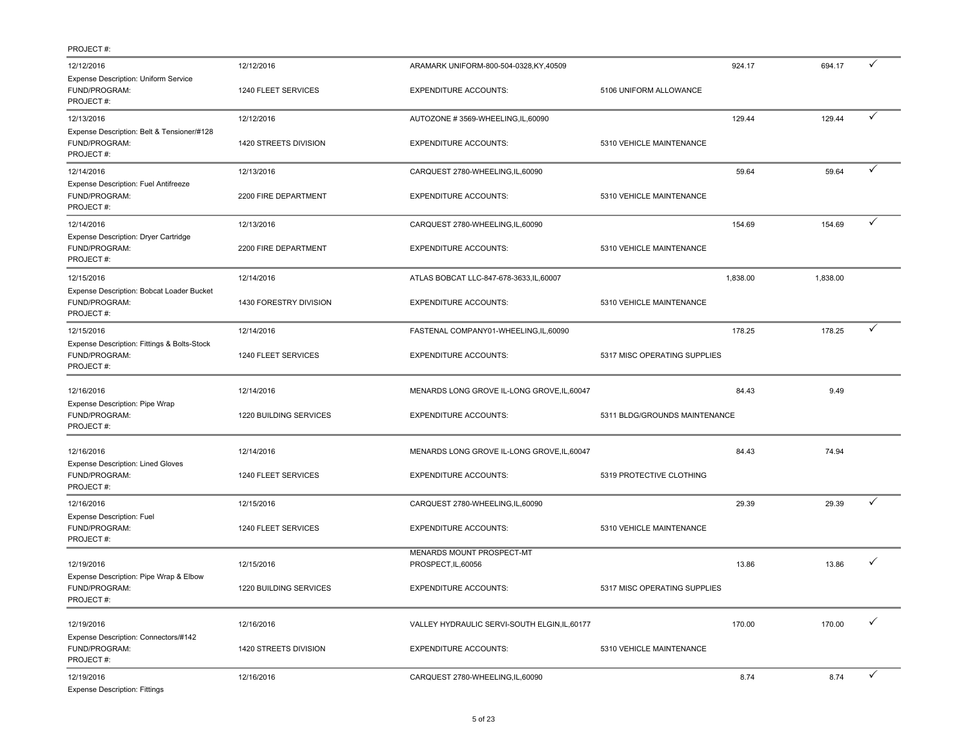| 12/12/2016                                                                | 12/12/2016             | ARAMARK UNIFORM-800-504-0328,KY,40509            |                               | 924.17   | 694.17   | ✓ |
|---------------------------------------------------------------------------|------------------------|--------------------------------------------------|-------------------------------|----------|----------|---|
| Expense Description: Uniform Service<br>FUND/PROGRAM:<br>PROJECT#:        | 1240 FLEET SERVICES    | <b>EXPENDITURE ACCOUNTS:</b>                     | 5106 UNIFORM ALLOWANCE        |          |          |   |
| 12/13/2016                                                                | 12/12/2016             | AUTOZONE #3569-WHEELING,IL,60090                 |                               | 129.44   | 129.44   | ✓ |
| Expense Description: Belt & Tensioner/#128<br>FUND/PROGRAM:<br>PROJECT#:  | 1420 STREETS DIVISION  | <b>EXPENDITURE ACCOUNTS:</b>                     | 5310 VEHICLE MAINTENANCE      |          |          |   |
| 12/14/2016                                                                | 12/13/2016             | CARQUEST 2780-WHEELING,IL,60090                  |                               | 59.64    | 59.64    | ✓ |
| Expense Description: Fuel Antifreeze<br>FUND/PROGRAM:<br>PROJECT#:        | 2200 FIRE DEPARTMENT   | <b>EXPENDITURE ACCOUNTS:</b>                     | 5310 VEHICLE MAINTENANCE      |          |          |   |
| 12/14/2016                                                                | 12/13/2016             | CARQUEST 2780-WHEELING,IL,60090                  |                               | 154.69   | 154.69   | ✓ |
| Expense Description: Dryer Cartridge<br>FUND/PROGRAM:<br>PROJECT#:        | 2200 FIRE DEPARTMENT   | <b>EXPENDITURE ACCOUNTS:</b>                     | 5310 VEHICLE MAINTENANCE      |          |          |   |
| 12/15/2016                                                                | 12/14/2016             | ATLAS BOBCAT LLC-847-678-3633, IL, 60007         |                               | 1,838.00 | 1,838.00 |   |
| Expense Description: Bobcat Loader Bucket<br>FUND/PROGRAM:<br>PROJECT#:   | 1430 FORESTRY DIVISION | <b>EXPENDITURE ACCOUNTS:</b>                     | 5310 VEHICLE MAINTENANCE      |          |          |   |
| 12/15/2016                                                                | 12/14/2016             | FASTENAL COMPANY01-WHEELING,IL,60090             |                               | 178.25   | 178.25   | ✓ |
| Expense Description: Fittings & Bolts-Stock<br>FUND/PROGRAM:<br>PROJECT#: | 1240 FLEET SERVICES    | <b>EXPENDITURE ACCOUNTS:</b>                     | 5317 MISC OPERATING SUPPLIES  |          |          |   |
| 12/16/2016                                                                | 12/14/2016             | MENARDS LONG GROVE IL-LONG GROVE, IL, 60047      |                               | 84.43    | 9.49     |   |
| Expense Description: Pipe Wrap<br>FUND/PROGRAM:<br>PROJECT#:              | 1220 BUILDING SERVICES | <b>EXPENDITURE ACCOUNTS:</b>                     | 5311 BLDG/GROUNDS MAINTENANCE |          |          |   |
| 12/16/2016                                                                | 12/14/2016             | MENARDS LONG GROVE IL-LONG GROVE, IL, 60047      |                               | 84.43    | 74.94    |   |
| <b>Expense Description: Lined Gloves</b><br>FUND/PROGRAM:<br>PROJECT#:    | 1240 FLEET SERVICES    | <b>EXPENDITURE ACCOUNTS:</b>                     | 5319 PROTECTIVE CLOTHING      |          |          |   |
| 12/16/2016                                                                | 12/15/2016             | CARQUEST 2780-WHEELING, IL, 60090                |                               | 29.39    | 29.39    | ✓ |
| <b>Expense Description: Fuel</b><br>FUND/PROGRAM:<br>PROJECT#:            | 1240 FLEET SERVICES    | <b>EXPENDITURE ACCOUNTS:</b>                     | 5310 VEHICLE MAINTENANCE      |          |          |   |
| 12/19/2016                                                                | 12/15/2016             | MENARDS MOUNT PROSPECT-MT<br>PROSPECT, IL, 60056 |                               | 13.86    | 13.86    | ✓ |
| Expense Description: Pipe Wrap & Elbow<br>FUND/PROGRAM:<br>PROJECT#:      | 1220 BUILDING SERVICES | <b>EXPENDITURE ACCOUNTS:</b>                     | 5317 MISC OPERATING SUPPLIES  |          |          |   |
| 12/19/2016                                                                | 12/16/2016             | VALLEY HYDRAULIC SERVI-SOUTH ELGIN, IL, 60177    |                               | 170.00   | 170.00   | ✓ |
| Expense Description: Connectors/#142<br>FUND/PROGRAM:<br>PROJECT#:        | 1420 STREETS DIVISION  | <b>EXPENDITURE ACCOUNTS:</b>                     | 5310 VEHICLE MAINTENANCE      |          |          |   |
| 12/19/2016<br><b>Expense Description: Fittings</b>                        | 12/16/2016             | CARQUEST 2780-WHEELING,IL,60090                  |                               | 8.74     | 8.74     | ✓ |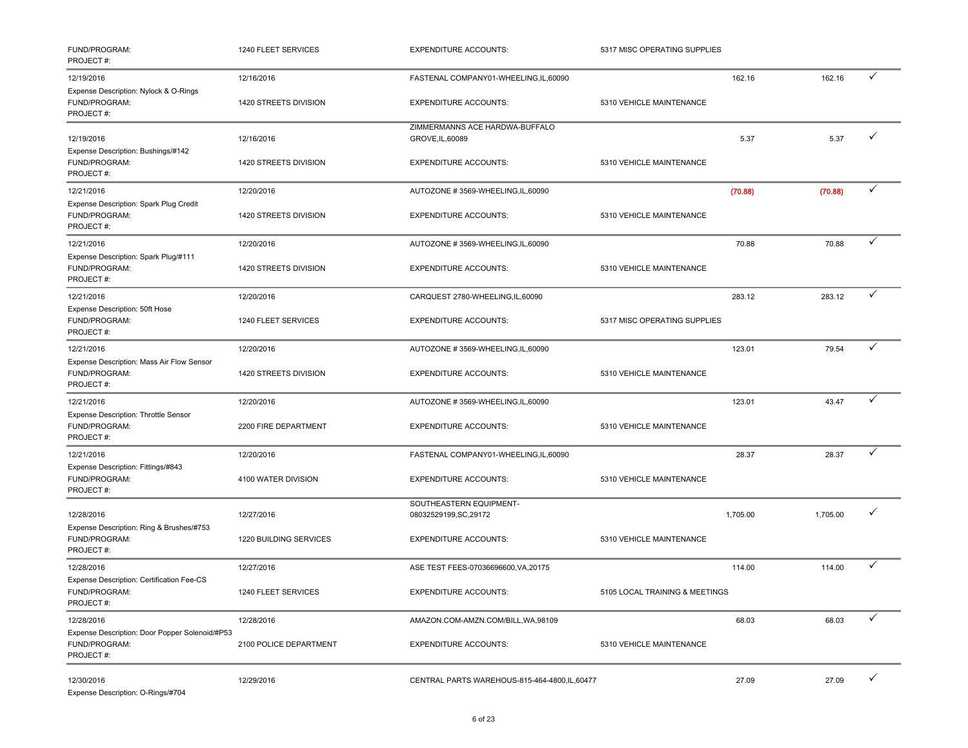| FUND/PROGRAM:<br>PROJECT#:                                                   | 1240 FLEET SERVICES                 | <b>EXPENDITURE ACCOUNTS:</b>                                         | 5317 MISC OPERATING SUPPLIES   |          |          |              |
|------------------------------------------------------------------------------|-------------------------------------|----------------------------------------------------------------------|--------------------------------|----------|----------|--------------|
| 12/19/2016<br>Expense Description: Nylock & O-Rings<br>FUND/PROGRAM:         | 12/16/2016<br>1420 STREETS DIVISION | FASTENAL COMPANY01-WHEELING,IL,60090<br><b>EXPENDITURE ACCOUNTS:</b> | 5310 VEHICLE MAINTENANCE       | 162.16   | 162.16   | ✓            |
| PROJECT#:<br>12/19/2016<br>Expense Description: Bushings/#142                | 12/16/2016                          | ZIMMERMANNS ACE HARDWA-BUFFALO<br>GROVE, IL, 60089                   |                                | 5.37     | 5.37     | $\checkmark$ |
| FUND/PROGRAM:<br>PROJECT#:                                                   | 1420 STREETS DIVISION               | <b>EXPENDITURE ACCOUNTS:</b>                                         | 5310 VEHICLE MAINTENANCE       |          |          |              |
| 12/21/2016                                                                   | 12/20/2016                          | AUTOZONE #3569-WHEELING,IL,60090                                     |                                | (70.88)  | (70.88)  | $\checkmark$ |
| Expense Description: Spark Plug Credit<br>FUND/PROGRAM:<br>PROJECT#:         | 1420 STREETS DIVISION               | <b>EXPENDITURE ACCOUNTS:</b>                                         | 5310 VEHICLE MAINTENANCE       |          |          |              |
| 12/21/2016                                                                   | 12/20/2016                          | AUTOZONE #3569-WHEELING, IL, 60090                                   |                                | 70.88    | 70.88    | $\checkmark$ |
| Expense Description: Spark Plug/#111<br>FUND/PROGRAM:<br>PROJECT#:           | 1420 STREETS DIVISION               | <b>EXPENDITURE ACCOUNTS:</b>                                         | 5310 VEHICLE MAINTENANCE       |          |          |              |
| 12/21/2016                                                                   | 12/20/2016                          | CARQUEST 2780-WHEELING,IL,60090                                      |                                | 283.12   | 283.12   | ✓            |
| Expense Description: 50ft Hose<br>FUND/PROGRAM:<br>PROJECT#:                 | 1240 FLEET SERVICES                 | <b>EXPENDITURE ACCOUNTS:</b>                                         | 5317 MISC OPERATING SUPPLIES   |          |          |              |
| 12/21/2016                                                                   | 12/20/2016                          | AUTOZONE #3569-WHEELING,IL,60090                                     |                                | 123.01   | 79.54    | $\checkmark$ |
| Expense Description: Mass Air Flow Sensor<br>FUND/PROGRAM:<br>PROJECT#:      | 1420 STREETS DIVISION               | <b>EXPENDITURE ACCOUNTS:</b>                                         | 5310 VEHICLE MAINTENANCE       |          |          |              |
| 12/21/2016                                                                   | 12/20/2016                          | AUTOZONE #3569-WHEELING, IL, 60090                                   |                                | 123.01   | 43.47    | $\checkmark$ |
| Expense Description: Throttle Sensor<br>FUND/PROGRAM:<br>PROJECT#:           | 2200 FIRE DEPARTMENT                | <b>EXPENDITURE ACCOUNTS:</b>                                         | 5310 VEHICLE MAINTENANCE       |          |          |              |
| 12/21/2016                                                                   | 12/20/2016                          | FASTENAL COMPANY01-WHEELING,IL,60090                                 |                                | 28.37    | 28.37    | $\checkmark$ |
| Expense Description: Fittings/#843<br>FUND/PROGRAM:<br>PROJECT#:             | 4100 WATER DIVISION                 | <b>EXPENDITURE ACCOUNTS:</b>                                         | 5310 VEHICLE MAINTENANCE       |          |          |              |
| 12/28/2016                                                                   | 12/27/2016                          | SOUTHEASTERN EQUIPMENT-<br>08032529199, SC, 29172                    |                                | 1,705.00 | 1,705.00 | ✓            |
| Expense Description: Ring & Brushes/#753<br>FUND/PROGRAM:<br>PROJECT#:       | 1220 BUILDING SERVICES              | <b>EXPENDITURE ACCOUNTS:</b>                                         | 5310 VEHICLE MAINTENANCE       |          |          |              |
| 12/28/2016                                                                   | 12/27/2016                          | ASE TEST FEES-07036696600, VA, 20175                                 |                                | 114.00   | 114.00   | $\checkmark$ |
| Expense Description: Certification Fee-CS<br>FUND/PROGRAM:<br>PROJECT#:      | 1240 FLEET SERVICES                 | <b>EXPENDITURE ACCOUNTS:</b>                                         | 5105 LOCAL TRAINING & MEETINGS |          |          |              |
| 12/28/2016                                                                   | 12/28/2016                          | AMAZON.COM-AMZN.COM/BILL, WA, 98109                                  |                                | 68.03    | 68.03    | ✓            |
| Expense Description: Door Popper Solenoid/#P53<br>FUND/PROGRAM:<br>PROJECT#: | 2100 POLICE DEPARTMENT              | <b>EXPENDITURE ACCOUNTS:</b>                                         | 5310 VEHICLE MAINTENANCE       |          |          |              |
| 12/30/2016<br>Expense Description: O-Rings/#704                              | 12/29/2016                          | CENTRAL PARTS WAREHOUS-815-464-4800,IL,60477                         |                                | 27.09    | 27.09    | $\checkmark$ |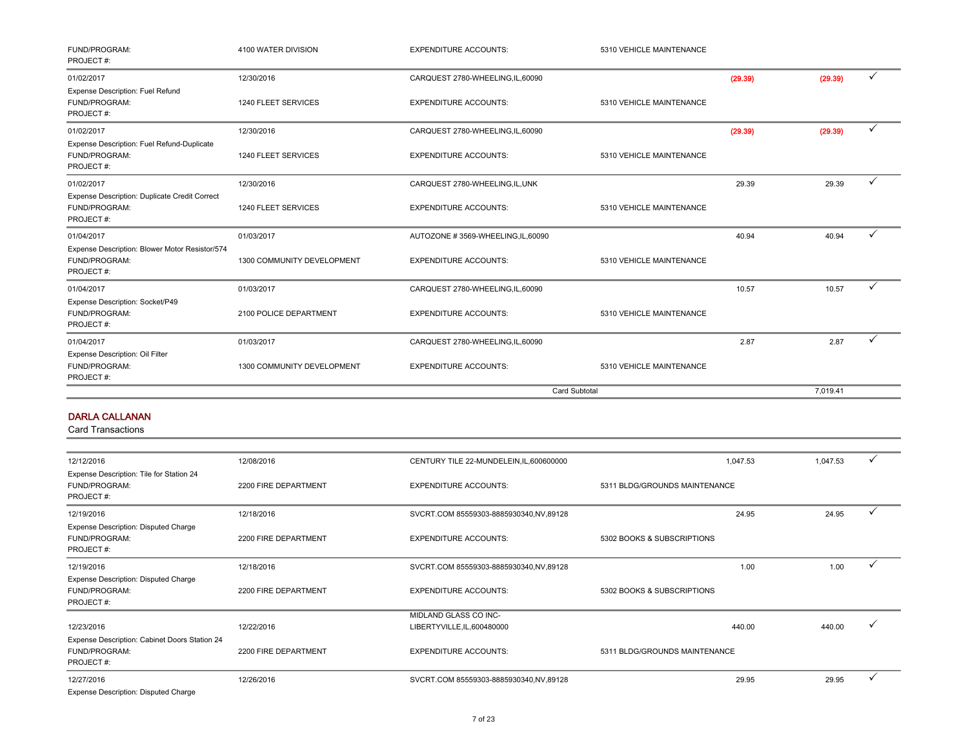| FUND/PROGRAM:<br>PROJECT#:                                                   | 4100 WATER DIVISION        | <b>EXPENDITURE ACCOUNTS:</b>     | 5310 VEHICLE MAINTENANCE |         |          |   |
|------------------------------------------------------------------------------|----------------------------|----------------------------------|--------------------------|---------|----------|---|
| 01/02/2017                                                                   | 12/30/2016                 | CARQUEST 2780-WHEELING,IL,60090  |                          | (29.39) | (29.39)  | ✓ |
| Expense Description: Fuel Refund<br>FUND/PROGRAM:<br>PROJECT#:               | 1240 FLEET SERVICES        | <b>EXPENDITURE ACCOUNTS:</b>     | 5310 VEHICLE MAINTENANCE |         |          |   |
| 01/02/2017                                                                   | 12/30/2016                 | CARQUEST 2780-WHEELING,IL,60090  |                          | (29.39) | (29.39)  | ✓ |
| Expense Description: Fuel Refund-Duplicate<br>FUND/PROGRAM:<br>PROJECT#:     | 1240 FLEET SERVICES        | <b>EXPENDITURE ACCOUNTS:</b>     | 5310 VEHICLE MAINTENANCE |         |          |   |
| 01/02/2017                                                                   | 12/30/2016                 | CARQUEST 2780-WHEELING,IL,UNK    |                          | 29.39   | 29.39    |   |
| Expense Description: Duplicate Credit Correct<br>FUND/PROGRAM:<br>PROJECT#:  | 1240 FLEET SERVICES        | <b>EXPENDITURE ACCOUNTS:</b>     | 5310 VEHICLE MAINTENANCE |         |          |   |
| 01/04/2017                                                                   | 01/03/2017                 | AUTOZONE #3569-WHEELING,IL,60090 |                          | 40.94   | 40.94    | ✓ |
| Expense Description: Blower Motor Resistor/574<br>FUND/PROGRAM:<br>PROJECT#: | 1300 COMMUNITY DEVELOPMENT | <b>EXPENDITURE ACCOUNTS:</b>     | 5310 VEHICLE MAINTENANCE |         |          |   |
| 01/04/2017                                                                   | 01/03/2017                 | CARQUEST 2780-WHEELING,IL,60090  |                          | 10.57   | 10.57    | ✓ |
| Expense Description: Socket/P49<br>FUND/PROGRAM:<br>PROJECT#:                | 2100 POLICE DEPARTMENT     | <b>EXPENDITURE ACCOUNTS:</b>     | 5310 VEHICLE MAINTENANCE |         |          |   |
| 01/04/2017                                                                   | 01/03/2017                 | CARQUEST 2780-WHEELING,IL,60090  |                          | 2.87    | 2.87     |   |
| Expense Description: Oil Filter<br>FUND/PROGRAM:<br>PROJECT#:                | 1300 COMMUNITY DEVELOPMENT | <b>EXPENDITURE ACCOUNTS:</b>     | 5310 VEHICLE MAINTENANCE |         |          |   |
|                                                                              |                            |                                  | <b>Card Subtotal</b>     |         | 7.019.41 |   |

#### DARLA CALLANAN

| 12/12/2016                                                                  | 12/08/2016           | CENTURY TILE 22-MUNDELEIN, IL, 600600000 | 1,047.53                      | 1,047.53 | ✓            |
|-----------------------------------------------------------------------------|----------------------|------------------------------------------|-------------------------------|----------|--------------|
| Expense Description: Tile for Station 24<br>FUND/PROGRAM:<br>PROJECT#:      | 2200 FIRE DEPARTMENT | <b>EXPENDITURE ACCOUNTS:</b>             | 5311 BLDG/GROUNDS MAINTENANCE |          |              |
| 12/19/2016                                                                  | 12/18/2016           | SVCRT.COM 85559303-8885930340,NV,89128   | 24.95                         | 24.95    | $\checkmark$ |
| <b>Expense Description: Disputed Charge</b><br>FUND/PROGRAM:<br>PROJECT#:   | 2200 FIRE DEPARTMENT | <b>EXPENDITURE ACCOUNTS:</b>             | 5302 BOOKS & SUBSCRIPTIONS    |          |              |
| 12/19/2016                                                                  | 12/18/2016           | SVCRT.COM 85559303-8885930340,NV,89128   | 1.00                          | 1.00     | $\checkmark$ |
| Expense Description: Disputed Charge<br>FUND/PROGRAM:<br>PROJECT#:          | 2200 FIRE DEPARTMENT | <b>EXPENDITURE ACCOUNTS:</b>             | 5302 BOOKS & SUBSCRIPTIONS    |          |              |
|                                                                             |                      | <b>MIDLAND GLASS CO INC-</b>             |                               |          |              |
| 12/23/2016                                                                  | 12/22/2016           | LIBERTYVILLE, IL, 600480000              | 440.00                        | 440.00   | $\checkmark$ |
| Expense Description: Cabinet Doors Station 24<br>FUND/PROGRAM:<br>PROJECT#: | 2200 FIRE DEPARTMENT | <b>EXPENDITURE ACCOUNTS:</b>             | 5311 BLDG/GROUNDS MAINTENANCE |          |              |
| 12/27/2016                                                                  | 12/26/2016           | SVCRT.COM 85559303-8885930340,NV,89128   | 29.95                         | 29.95    |              |
| Expense Description: Disputed Charge                                        |                      |                                          |                               |          |              |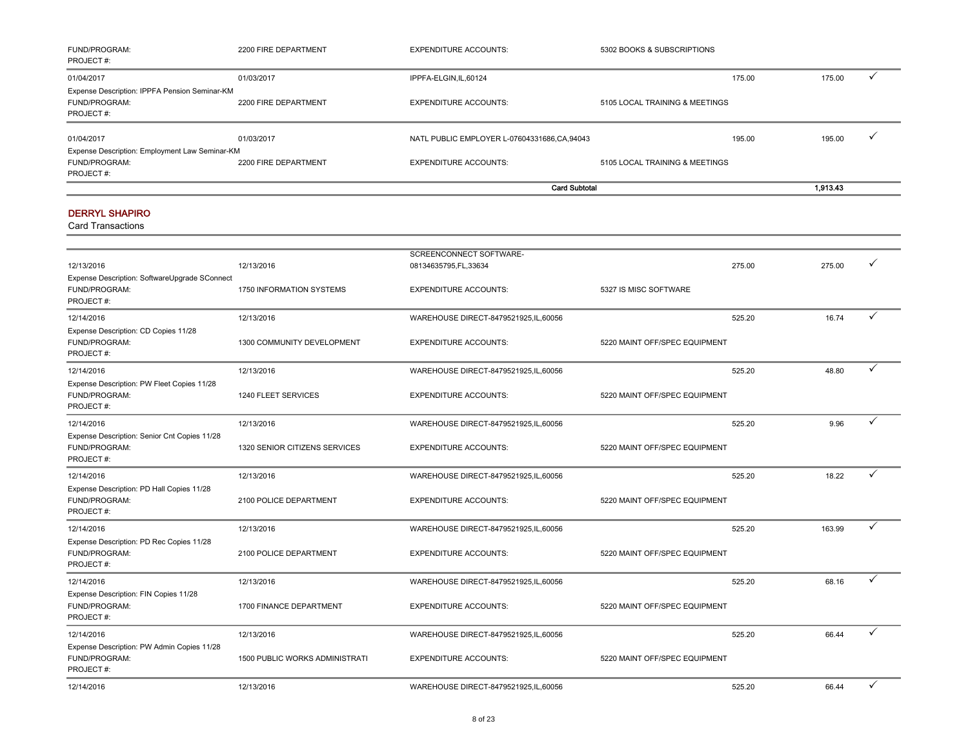| <b>FUND/PROGRAM:</b><br>PROJECT#:              | 2200 FIRE DEPARTMENT | <b>EXPENDITURE ACCOUNTS:</b>                | 5302 BOOKS & SUBSCRIPTIONS     |          |
|------------------------------------------------|----------------------|---------------------------------------------|--------------------------------|----------|
| 01/04/2017                                     | 01/03/2017           | IPPFA-ELGIN, IL, 60124                      | 175.00                         | 175.00   |
| Expense Description: IPPFA Pension Seminar-KM  |                      |                                             |                                |          |
| <b>FUND/PROGRAM:</b>                           | 2200 FIRE DEPARTMENT | <b>EXPENDITURE ACCOUNTS:</b>                | 5105 LOCAL TRAINING & MEETINGS |          |
| PROJECT#:                                      |                      |                                             |                                |          |
| 01/04/2017                                     | 01/03/2017           | NATL PUBLIC EMPLOYER L-07604331686.CA.94043 | 195.00                         | 195.00   |
| Expense Description: Employment Law Seminar-KM |                      |                                             |                                |          |
| <b>FUND/PROGRAM:</b>                           | 2200 FIRE DEPARTMENT | <b>EXPENDITURE ACCOUNTS:</b>                | 5105 LOCAL TRAINING & MEETINGS |          |
| PROJECT#:                                      |                      |                                             |                                |          |
|                                                |                      |                                             | <b>Card Subtotal</b>           | 1,913.43 |

#### DERRYL SHAPIRO

| 12/13/2016                                                                  | 12/13/2016                     | SCREENCONNECT SOFTWARE-<br>08134635795, FL, 33634 | 275.00                        | 275.00 |              |
|-----------------------------------------------------------------------------|--------------------------------|---------------------------------------------------|-------------------------------|--------|--------------|
| Expense Description: SoftwareUpgrade SConnect<br>FUND/PROGRAM:<br>PROJECT#: | 1750 INFORMATION SYSTEMS       | <b>EXPENDITURE ACCOUNTS:</b>                      | 5327 IS MISC SOFTWARE         |        |              |
| 12/14/2016                                                                  | 12/13/2016                     | WAREHOUSE DIRECT-8479521925,IL,60056              | 525.20                        | 16.74  | ✓            |
| Expense Description: CD Copies 11/28<br>FUND/PROGRAM:<br>PROJECT#:          | 1300 COMMUNITY DEVELOPMENT     | <b>EXPENDITURE ACCOUNTS:</b>                      | 5220 MAINT OFF/SPEC EQUIPMENT |        |              |
| 12/14/2016                                                                  | 12/13/2016                     | WAREHOUSE DIRECT-8479521925,IL,60056              | 525.20                        | 48.80  | $\checkmark$ |
| Expense Description: PW Fleet Copies 11/28<br>FUND/PROGRAM:<br>PROJECT#:    | 1240 FLEET SERVICES            | <b>EXPENDITURE ACCOUNTS:</b>                      | 5220 MAINT OFF/SPEC EQUIPMENT |        |              |
| 12/14/2016                                                                  | 12/13/2016                     | WAREHOUSE DIRECT-8479521925,IL,60056              | 525.20                        | 9.96   | ✓            |
| Expense Description: Senior Cnt Copies 11/28<br>FUND/PROGRAM:<br>PROJECT#:  | 1320 SENIOR CITIZENS SERVICES  | <b>EXPENDITURE ACCOUNTS:</b>                      | 5220 MAINT OFF/SPEC EQUIPMENT |        |              |
| 12/14/2016                                                                  | 12/13/2016                     | WAREHOUSE DIRECT-8479521925,IL,60056              | 525.20                        | 18.22  | $\checkmark$ |
| Expense Description: PD Hall Copies 11/28<br>FUND/PROGRAM:<br>PROJECT#:     | 2100 POLICE DEPARTMENT         | <b>EXPENDITURE ACCOUNTS:</b>                      | 5220 MAINT OFF/SPEC EQUIPMENT |        |              |
| 12/14/2016                                                                  | 12/13/2016                     | WAREHOUSE DIRECT-8479521925,IL,60056              | 525.20                        | 163.99 | ✓            |
| Expense Description: PD Rec Copies 11/28<br>FUND/PROGRAM:<br>PROJECT#:      | 2100 POLICE DEPARTMENT         | <b>EXPENDITURE ACCOUNTS:</b>                      | 5220 MAINT OFF/SPEC EQUIPMENT |        |              |
| 12/14/2016                                                                  | 12/13/2016                     | WAREHOUSE DIRECT-8479521925,IL,60056              | 525.20                        | 68.16  |              |
| Expense Description: FIN Copies 11/28<br>FUND/PROGRAM:<br>PROJECT#:         | 1700 FINANCE DEPARTMENT        | <b>EXPENDITURE ACCOUNTS:</b>                      | 5220 MAINT OFF/SPEC EQUIPMENT |        |              |
| 12/14/2016                                                                  | 12/13/2016                     | WAREHOUSE DIRECT-8479521925,IL,60056              | 525.20                        | 66.44  | $\checkmark$ |
| Expense Description: PW Admin Copies 11/28<br>FUND/PROGRAM:<br>PROJECT#:    | 1500 PUBLIC WORKS ADMINISTRATI | <b>EXPENDITURE ACCOUNTS:</b>                      | 5220 MAINT OFF/SPEC EQUIPMENT |        |              |
| 12/14/2016                                                                  | 12/13/2016                     | WAREHOUSE DIRECT-8479521925.IL.60056              | 525.20                        | 66.44  | ✓            |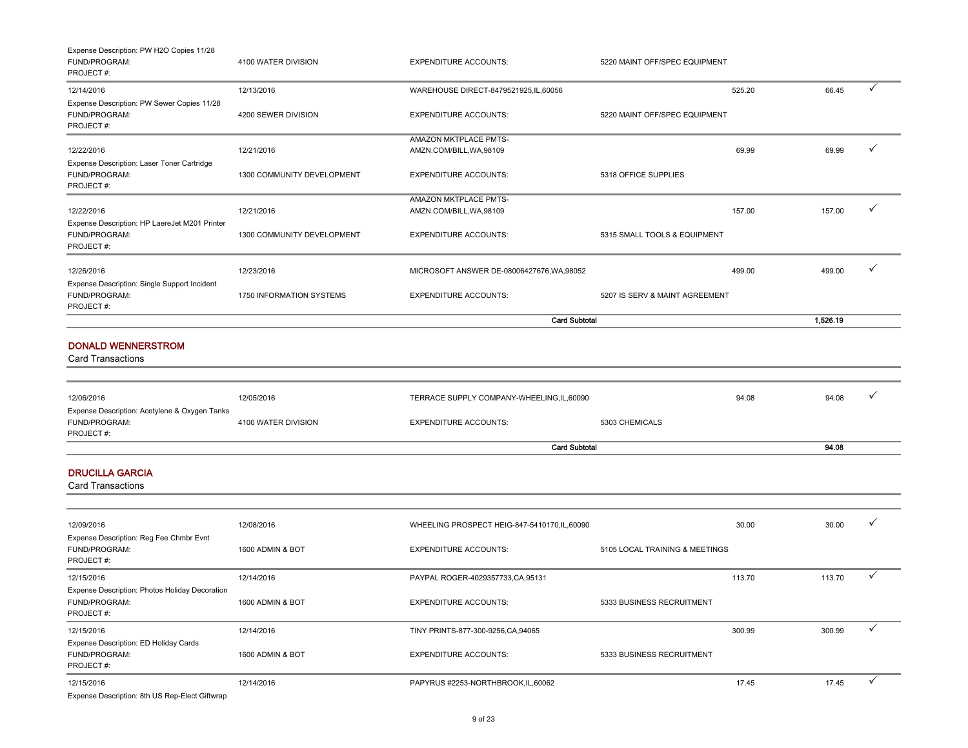| Expense Description: PW H2O Copies 11/28<br>FUND/PROGRAM:<br>PROJECT#:       | 4100 WATER DIVISION        | <b>EXPENDITURE ACCOUNTS:</b>                      | 5220 MAINT OFF/SPEC EQUIPMENT  |        |              |
|------------------------------------------------------------------------------|----------------------------|---------------------------------------------------|--------------------------------|--------|--------------|
| 12/14/2016                                                                   | 12/13/2016                 | WAREHOUSE DIRECT-8479521925,IL,60056              | 525.20                         | 66.45  | $\checkmark$ |
| Expense Description: PW Sewer Copies 11/28<br>FUND/PROGRAM:<br>PROJECT#:     | 4200 SEWER DIVISION        | <b>EXPENDITURE ACCOUNTS:</b>                      | 5220 MAINT OFF/SPEC EQUIPMENT  |        |              |
| 12/22/2016                                                                   | 12/21/2016                 | AMAZON MKTPLACE PMTS-<br>AMZN.COM/BILL, WA, 98109 | 69.99                          | 69.99  | ✓            |
| Expense Description: Laser Toner Cartridge<br>FUND/PROGRAM:<br>PROJECT#:     | 1300 COMMUNITY DEVELOPMENT | <b>EXPENDITURE ACCOUNTS:</b>                      | 5318 OFFICE SUPPLIES           |        |              |
| 12/22/2016                                                                   | 12/21/2016                 | AMAZON MKTPLACE PMTS-<br>AMZN.COM/BILL, WA, 98109 | 157.00                         | 157.00 | ✓            |
| Expense Description: HP LaereJet M201 Printer<br>FUND/PROGRAM:<br>PROJECT#:  | 1300 COMMUNITY DEVELOPMENT | <b>EXPENDITURE ACCOUNTS:</b>                      | 5315 SMALL TOOLS & EQUIPMENT   |        |              |
| 12/26/2016<br>Expense Description: Single Support Incident                   | 12/23/2016                 | MICROSOFT ANSWER DE-08006427676, WA, 98052        | 499.00                         | 499.00 | ✓            |
| FUND/PROGRAM:<br>PROJECT#:                                                   | 1750 INFORMATION SYSTEMS   | <b>EXPENDITURE ACCOUNTS:</b>                      | 5207 IS SERV & MAINT AGREEMENT |        |              |
|                                                                              |                            | <b>Card Subtotal</b>                              |                                |        |              |
| <b>DONALD WENNERSTROM</b><br><b>Card Transactions</b>                        |                            |                                                   |                                |        |              |
| 12/06/2016                                                                   | 12/05/2016                 | TERRACE SUPPLY COMPANY-WHEELING,IL,60090          | 94.08                          | 94.08  |              |
| Expense Description: Acetylene & Oxygen Tanks<br>FUND/PROGRAM:<br>PROJECT#:  | 4100 WATER DIVISION        | <b>EXPENDITURE ACCOUNTS:</b>                      | 5303 CHEMICALS                 |        |              |
|                                                                              |                            | 94.08                                             |                                |        |              |
| <b>DRUCILLA GARCIA</b><br>Card Transactions                                  |                            |                                                   |                                |        |              |
| 12/09/2016                                                                   | 12/08/2016                 | WHEELING PROSPECT HEIG-847-5410170, IL, 60090     | 30.00                          | 30.00  |              |
| Expense Description: Reg Fee Chmbr Evnt<br>FUND/PROGRAM:<br>PROJECT#:        | 1600 ADMIN & BOT           | <b>EXPENDITURE ACCOUNTS:</b>                      | 5105 LOCAL TRAINING & MEETINGS |        |              |
| 12/15/2016                                                                   | 12/14/2016                 | PAYPAL ROGER-4029357733, CA, 95131                | 113.70                         | 113.70 | ✓            |
| Expense Description: Photos Holiday Decoration<br>FUND/PROGRAM:<br>PROJECT#: | 1600 ADMIN & BOT           | <b>EXPENDITURE ACCOUNTS:</b>                      | 5333 BUSINESS RECRUITMENT      |        |              |
| 12/15/2016                                                                   | 12/14/2016                 | TINY PRINTS-877-300-9256, CA, 94065               | 300.99                         | 300.99 | $\checkmark$ |
| Expense Description: ED Holiday Cards<br>FUND/PROGRAM:<br>PROJECT#:          | 1600 ADMIN & BOT           | <b>EXPENDITURE ACCOUNTS:</b>                      | 5333 BUSINESS RECRUITMENT      |        |              |
| 12/15/2016                                                                   | 12/14/2016                 | PAPYRUS #2253-NORTHBROOK,IL,60062                 | 17.45                          | 17.45  | $\checkmark$ |

Expense Description: 8th US Rep-Elect Giftwrap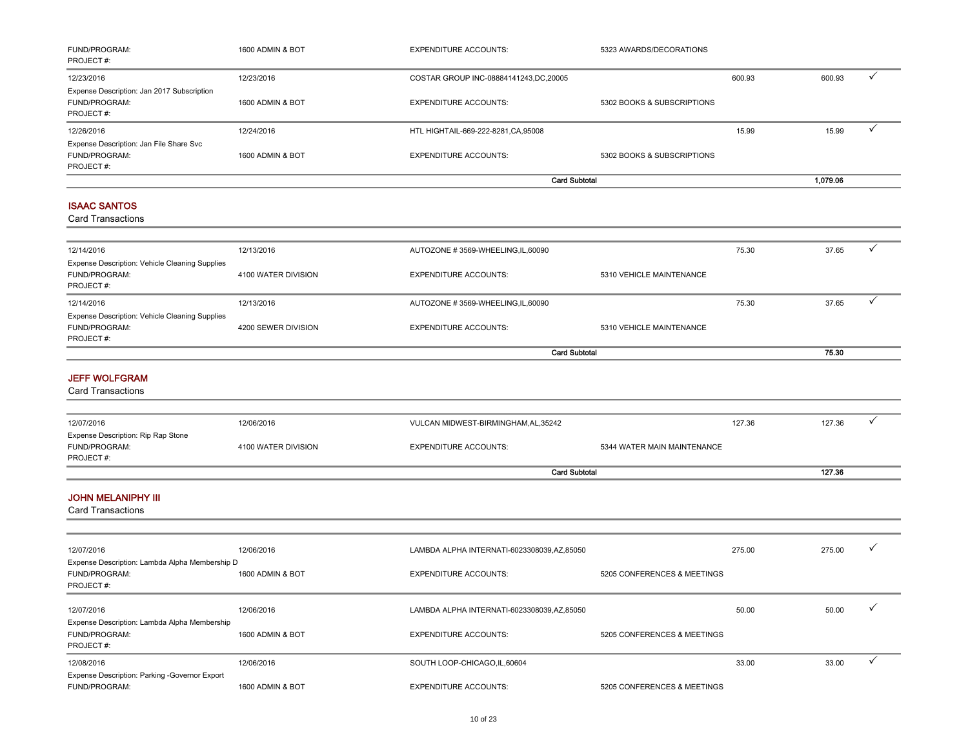| FUND/PROGRAM:<br>PROJECT#:                                                    | 1600 ADMIN & BOT    | <b>EXPENDITURE ACCOUNTS:</b>               | 5323 AWARDS/DECORATIONS     |        |          |              |
|-------------------------------------------------------------------------------|---------------------|--------------------------------------------|-----------------------------|--------|----------|--------------|
| 12/23/2016                                                                    | 12/23/2016          | COSTAR GROUP INC-08884141243, DC, 20005    |                             | 600.93 | 600.93   | $\checkmark$ |
| Expense Description: Jan 2017 Subscription<br>FUND/PROGRAM:<br>PROJECT#:      | 1600 ADMIN & BOT    | <b>EXPENDITURE ACCOUNTS:</b>               | 5302 BOOKS & SUBSCRIPTIONS  |        |          |              |
| 12/26/2016                                                                    | 12/24/2016          | HTL HIGHTAIL-669-222-8281, CA, 95008       |                             | 15.99  | 15.99    | ✓            |
| Expense Description: Jan File Share Svc<br>FUND/PROGRAM:<br>PROJECT#:         | 1600 ADMIN & BOT    | <b>EXPENDITURE ACCOUNTS:</b>               | 5302 BOOKS & SUBSCRIPTIONS  |        |          |              |
|                                                                               |                     | <b>Card Subtotal</b>                       |                             |        | 1,079.06 |              |
| <b>ISAAC SANTOS</b><br><b>Card Transactions</b>                               |                     |                                            |                             |        |          |              |
| 12/14/2016                                                                    | 12/13/2016          | AUTOZONE #3569-WHEELING, IL, 60090         |                             | 75.30  | 37.65    | ✓            |
| Expense Description: Vehicle Cleaning Supplies<br>FUND/PROGRAM:<br>PROJECT #: | 4100 WATER DIVISION | <b>EXPENDITURE ACCOUNTS:</b>               | 5310 VEHICLE MAINTENANCE    |        |          |              |
| 12/14/2016                                                                    | 12/13/2016          | AUTOZONE #3569-WHEELING,IL,60090           |                             | 75.30  | 37.65    | $\checkmark$ |
| Expense Description: Vehicle Cleaning Supplies<br>FUND/PROGRAM:<br>PROJECT#:  | 4200 SEWER DIVISION | <b>EXPENDITURE ACCOUNTS:</b>               | 5310 VEHICLE MAINTENANCE    |        |          |              |
|                                                                               |                     | <b>Card Subtotal</b>                       |                             |        | 75.30    |              |
| <b>JEFF WOLFGRAM</b><br><b>Card Transactions</b>                              |                     |                                            |                             |        |          |              |
| 12/07/2016                                                                    | 12/06/2016          | VULCAN MIDWEST-BIRMINGHAM, AL, 35242       |                             | 127.36 | 127.36   | ✓            |
| Expense Description: Rip Rap Stone<br>FUND/PROGRAM:<br>PROJECT#:              | 4100 WATER DIVISION | <b>EXPENDITURE ACCOUNTS:</b>               | 5344 WATER MAIN MAINTENANCE |        |          |              |
|                                                                               |                     | <b>Card Subtotal</b>                       |                             |        | 127.36   |              |
| <b>JOHN MELANIPHY III</b><br><b>Card Transactions</b>                         |                     |                                            |                             |        |          |              |
| 12/07/2016<br>Expense Description: Lambda Alpha Membership D                  | 12/06/2016          | LAMBDA ALPHA INTERNATI-6023308039,AZ,85050 |                             | 275.00 | 275.00   |              |
| FUND/PROGRAM:<br>PROJECT#:                                                    | 1600 ADMIN & BOT    | <b>EXPENDITURE ACCOUNTS:</b>               | 5205 CONFERENCES & MEETINGS |        |          |              |
| 12/07/2016                                                                    | 12/06/2016          | LAMBDA ALPHA INTERNATI-6023308039,AZ,85050 |                             | 50.00  | 50.00    |              |
| Expense Description: Lambda Alpha Membership<br>FUND/PROGRAM:<br>PROJECT#:    | 1600 ADMIN & BOT    | <b>EXPENDITURE ACCOUNTS:</b>               | 5205 CONFERENCES & MEETINGS |        |          |              |
| 12/08/2016                                                                    | 12/06/2016          | SOUTH LOOP-CHICAGO,IL,60604                |                             | 33.00  | 33.00    | $\checkmark$ |
| Expense Description: Parking -Governor Export<br>FUND/PROGRAM:                | 1600 ADMIN & BOT    | <b>EXPENDITURE ACCOUNTS:</b>               | 5205 CONFERENCES & MEETINGS |        |          |              |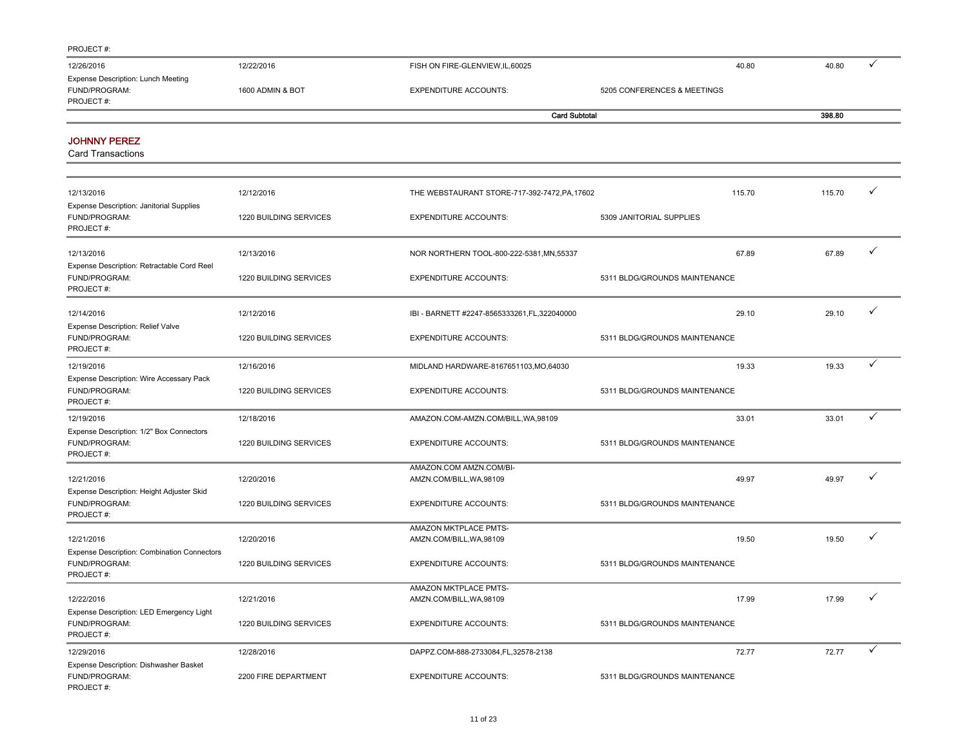| .                                         |                  |                                  |                             |        |
|-------------------------------------------|------------------|----------------------------------|-----------------------------|--------|
| 12/26/2016                                | 12/22/2016       | FISH ON FIRE-GLENVIEW, IL, 60025 | 40.80                       | 40.80  |
| <b>Expense Description: Lunch Meeting</b> |                  |                                  |                             |        |
| FUND/PROGRAM:                             | 1600 ADMIN & BOT | <b>EXPENDITURE ACCOUNTS:</b>     | 5205 CONFERENCES & MEETINGS |        |
| PROJECT#:                                 |                  |                                  |                             |        |
|                                           |                  |                                  | <b>Card Subtotal</b>        | 398.80 |

and the

#### JOHNNY PEREZ

| 12/13/2016                                                                       | 12/12/2016             | THE WEBSTAURANT STORE-717-392-7472, PA, 17602     | 115.70                        | 115.70 | ✓            |
|----------------------------------------------------------------------------------|------------------------|---------------------------------------------------|-------------------------------|--------|--------------|
| <b>Expense Description: Janitorial Supplies</b><br>FUND/PROGRAM:<br>PROJECT#:    | 1220 BUILDING SERVICES | <b>EXPENDITURE ACCOUNTS:</b>                      | 5309 JANITORIAL SUPPLIES      |        |              |
| 12/13/2016                                                                       | 12/13/2016             | NOR NORTHERN TOOL-800-222-5381, MN, 55337         | 67.89                         | 67.89  | $\checkmark$ |
| Expense Description: Retractable Cord Reel<br>FUND/PROGRAM:<br>PROJECT#:         | 1220 BUILDING SERVICES | <b>EXPENDITURE ACCOUNTS:</b>                      | 5311 BLDG/GROUNDS MAINTENANCE |        |              |
| 12/14/2016<br>Expense Description: Relief Valve                                  | 12/12/2016             | IBI - BARNETT #2247-8565333261, FL, 322040000     | 29.10                         | 29.10  | ✓            |
| FUND/PROGRAM:<br>PROJECT#:                                                       | 1220 BUILDING SERVICES | <b>EXPENDITURE ACCOUNTS:</b>                      | 5311 BLDG/GROUNDS MAINTENANCE |        |              |
| 12/19/2016                                                                       | 12/16/2016             | MIDLAND HARDWARE-8167651103.MO.64030              | 19.33                         | 19.33  | $\checkmark$ |
| Expense Description: Wire Accessary Pack<br>FUND/PROGRAM:<br>PROJECT#:           | 1220 BUILDING SERVICES | <b>EXPENDITURE ACCOUNTS:</b>                      | 5311 BLDG/GROUNDS MAINTENANCE |        |              |
| 12/19/2016                                                                       | 12/18/2016             | AMAZON.COM-AMZN.COM/BILL, WA, 98109               | 33.01                         | 33.01  | ✓            |
| Expense Description: 1/2" Box Connectors<br>FUND/PROGRAM:<br>PROJECT#:           | 1220 BUILDING SERVICES | <b>EXPENDITURE ACCOUNTS:</b>                      | 5311 BLDG/GROUNDS MAINTENANCE |        |              |
|                                                                                  |                        | AMAZON.COM AMZN.COM/BI-                           |                               |        | ✓            |
| 12/21/2016<br>Expense Description: Height Adjuster Skid                          | 12/20/2016             | AMZN.COM/BILL, WA, 98109                          | 49.97                         | 49.97  |              |
| FUND/PROGRAM:<br>PROJECT#:                                                       | 1220 BUILDING SERVICES | <b>EXPENDITURE ACCOUNTS:</b>                      | 5311 BLDG/GROUNDS MAINTENANCE |        |              |
|                                                                                  |                        | AMAZON MKTPLACE PMTS-                             |                               |        | ✓            |
| 12/21/2016                                                                       | 12/20/2016             | AMZN.COM/BILL, WA, 98109                          | 19.50                         | 19.50  |              |
| <b>Expense Description: Combination Connectors</b><br>FUND/PROGRAM:<br>PROJECT#: | 1220 BUILDING SERVICES | <b>EXPENDITURE ACCOUNTS:</b>                      | 5311 BLDG/GROUNDS MAINTENANCE |        |              |
| 12/22/2016                                                                       | 12/21/2016             | AMAZON MKTPLACE PMTS-<br>AMZN.COM/BILL, WA, 98109 | 17.99                         | 17.99  | ✓            |
| Expense Description: LED Emergency Light                                         |                        |                                                   |                               |        |              |
| FUND/PROGRAM:<br>PROJECT#:                                                       | 1220 BUILDING SERVICES | <b>EXPENDITURE ACCOUNTS:</b>                      | 5311 BLDG/GROUNDS MAINTENANCE |        |              |
| 12/29/2016                                                                       | 12/28/2016             | DAPPZ.COM-888-2733084,FL,32578-2138               | 72.77                         | 72.77  | $\checkmark$ |
| Expense Description: Dishwasher Basket<br>FUND/PROGRAM:<br>PROJECT#:             | 2200 FIRE DEPARTMENT   | <b>EXPENDITURE ACCOUNTS:</b>                      | 5311 BLDG/GROUNDS MAINTENANCE |        |              |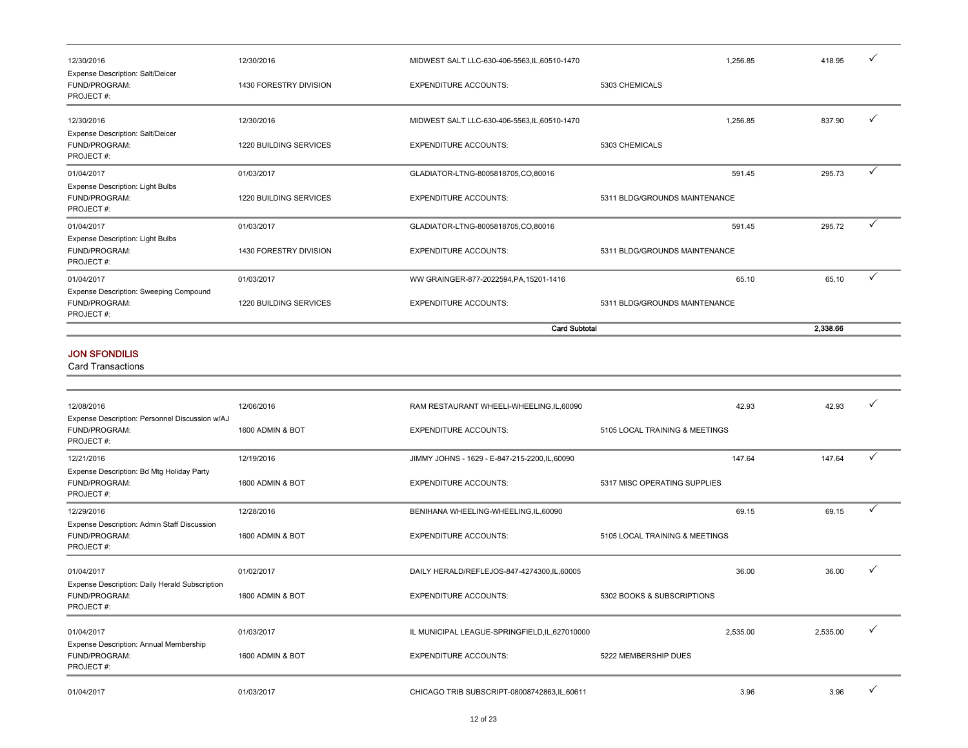|                                                                       |                        | <b>Card Subtotal</b>                          |                               | 2,338.66 |              |
|-----------------------------------------------------------------------|------------------------|-----------------------------------------------|-------------------------------|----------|--------------|
| Expense Description: Sweeping Compound<br>FUND/PROGRAM:<br>PROJECT#:  | 1220 BUILDING SERVICES | <b>EXPENDITURE ACCOUNTS:</b>                  | 5311 BLDG/GROUNDS MAINTENANCE |          |              |
| 01/04/2017                                                            | 01/03/2017             | WW GRAINGER-877-2022594, PA, 15201-1416       | 65.10                         | 65.10    | ✓            |
| Expense Description: Light Bulbs<br>FUND/PROGRAM:<br>PROJECT#:        | 1430 FORESTRY DIVISION | <b>EXPENDITURE ACCOUNTS:</b>                  | 5311 BLDG/GROUNDS MAINTENANCE |          |              |
| 01/04/2017                                                            | 01/03/2017             | GLADIATOR-LTNG-8005818705,CO,80016            | 591.45                        | 295.72   | $\checkmark$ |
| <b>Expense Description: Light Bulbs</b><br>FUND/PROGRAM:<br>PROJECT#: | 1220 BUILDING SERVICES | <b>EXPENDITURE ACCOUNTS:</b>                  | 5311 BLDG/GROUNDS MAINTENANCE |          |              |
| 01/04/2017                                                            | 01/03/2017             | GLADIATOR-LTNG-8005818705,CO,80016            | 591.45                        | 295.73   | $\checkmark$ |
| <b>Expense Description: Salt/Deicer</b><br>FUND/PROGRAM:<br>PROJECT#: | 1220 BUILDING SERVICES | <b>EXPENDITURE ACCOUNTS:</b>                  | 5303 CHEMICALS                |          |              |
| 12/30/2016                                                            | 12/30/2016             | MIDWEST SALT LLC-630-406-5563, IL, 60510-1470 | 1,256.85                      | 837.90   | $\checkmark$ |
| Expense Description: Salt/Deicer<br>FUND/PROGRAM:<br>PROJECT#:        | 1430 FORESTRY DIVISION | <b>EXPENDITURE ACCOUNTS:</b>                  | 5303 CHEMICALS                |          |              |
| 12/30/2016                                                            | 12/30/2016             | MIDWEST SALT LLC-630-406-5563, IL, 60510-1470 | 1.256.85                      | 418.95   | $\checkmark$ |

#### JON SFONDILIS

| 12/08/2016                                                                   | 12/06/2016       | RAM RESTAURANT WHEELI-WHEELING, IL, 60090      |                                | 42.93    | 42.93    |   |
|------------------------------------------------------------------------------|------------------|------------------------------------------------|--------------------------------|----------|----------|---|
| Expense Description: Personnel Discussion w/AJ<br>FUND/PROGRAM:<br>PROJECT#: | 1600 ADMIN & BOT | <b>EXPENDITURE ACCOUNTS:</b>                   | 5105 LOCAL TRAINING & MEETINGS |          |          |   |
| 12/21/2016                                                                   | 12/19/2016       | JIMMY JOHNS - 1629 - E-847-215-2200, IL, 60090 |                                | 147.64   | 147.64   |   |
| Expense Description: Bd Mtg Holiday Party<br>FUND/PROGRAM:<br>PROJECT#:      | 1600 ADMIN & BOT | <b>EXPENDITURE ACCOUNTS:</b>                   | 5317 MISC OPERATING SUPPLIES   |          |          |   |
| 12/29/2016                                                                   | 12/28/2016       | BENIHANA WHEELING-WHEELING, IL, 60090          |                                | 69.15    | 69.15    | ✓ |
| Expense Description: Admin Staff Discussion<br>FUND/PROGRAM:<br>PROJECT#:    | 1600 ADMIN & BOT | <b>EXPENDITURE ACCOUNTS:</b>                   | 5105 LOCAL TRAINING & MEETINGS |          |          |   |
| 01/04/2017                                                                   | 01/02/2017       | DAILY HERALD/REFLEJOS-847-4274300,IL,60005     |                                | 36.00    | 36.00    |   |
| Expense Description: Daily Herald Subscription<br>FUND/PROGRAM:<br>PROJECT#: | 1600 ADMIN & BOT | <b>EXPENDITURE ACCOUNTS:</b>                   | 5302 BOOKS & SUBSCRIPTIONS     |          |          |   |
| 01/04/2017                                                                   | 01/03/2017       | IL MUNICIPAL LEAGUE-SPRINGFIELD, IL, 627010000 |                                | 2.535.00 | 2,535.00 |   |
| Expense Description: Annual Membership<br>FUND/PROGRAM:<br>PROJECT#:         | 1600 ADMIN & BOT | <b>EXPENDITURE ACCOUNTS:</b>                   | 5222 MEMBERSHIP DUES           |          |          |   |
| 01/04/2017                                                                   | 01/03/2017       | CHICAGO TRIB SUBSCRIPT-08008742863,IL,60611    |                                | 3.96     | 3.96     |   |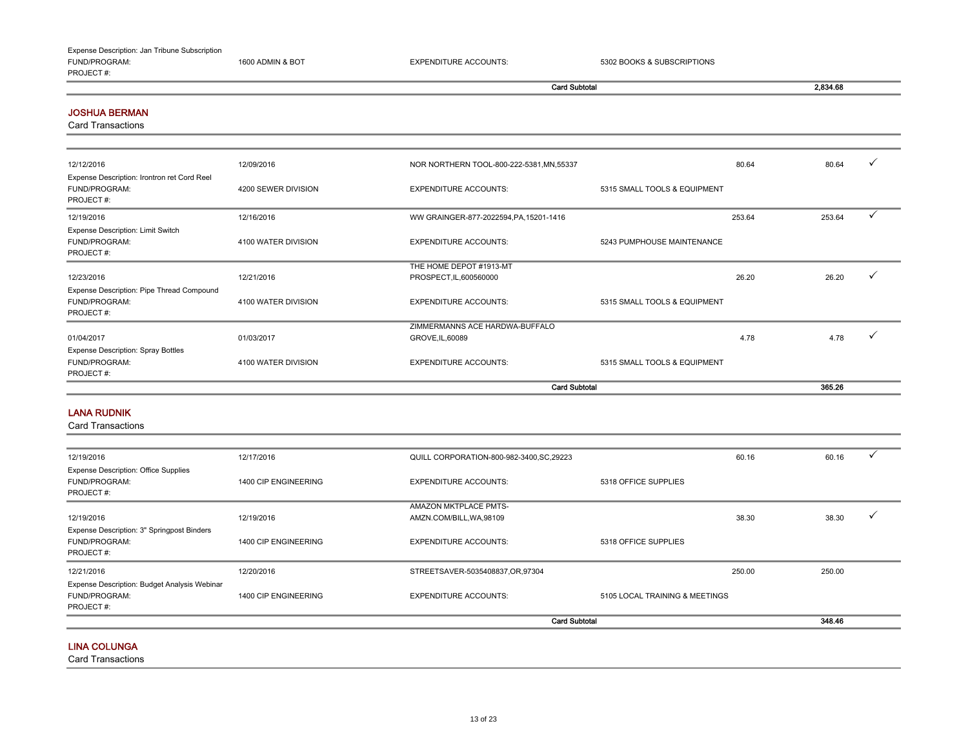### Expense Description: Jan Tribune Subscription

FUND/PROGRAM: 1600 ADMIN & BOT EXPENDITURE ACCOUNTS: 5302 BOOKS & SUBSCRIPTIONS PROJECT #:

Card Subtotal 2,834.68

#### JOSHUA BERMAN

Card Transactions

| 12/12/2016                                                                | 12/09/2016          | NOR NORTHERN TOOL-800-222-5381, MN, 55337          | 80.64                        | 80.64  |
|---------------------------------------------------------------------------|---------------------|----------------------------------------------------|------------------------------|--------|
| Expense Description: Irontron ret Cord Reel<br>FUND/PROGRAM:<br>PROJECT#: | 4200 SEWER DIVISION | <b>EXPENDITURE ACCOUNTS:</b>                       | 5315 SMALL TOOLS & EQUIPMENT |        |
| 12/19/2016                                                                | 12/16/2016          | WW GRAINGER-877-2022594, PA, 15201-1416            | 253.64                       | 253.64 |
| Expense Description: Limit Switch<br>FUND/PROGRAM:<br>PROJECT#:           | 4100 WATER DIVISION | <b>EXPENDITURE ACCOUNTS:</b>                       | 5243 PUMPHOUSE MAINTENANCE   |        |
| 12/23/2016                                                                | 12/21/2016          | THE HOME DEPOT #1913-MT<br>PROSPECT, IL, 600560000 | 26.20                        | 26.20  |
| Expense Description: Pipe Thread Compound<br>FUND/PROGRAM:<br>PROJECT#:   | 4100 WATER DIVISION | <b>EXPENDITURE ACCOUNTS:</b>                       | 5315 SMALL TOOLS & EQUIPMENT |        |
| 01/04/2017                                                                | 01/03/2017          | ZIMMERMANNS ACE HARDWA-BUFFALO<br>GROVE, IL, 60089 | 4.78                         | 4.78   |
| <b>Expense Description: Spray Bottles</b>                                 |                     |                                                    |                              |        |
| FUND/PROGRAM:<br>PROJECT#:                                                | 4100 WATER DIVISION | <b>EXPENDITURE ACCOUNTS:</b>                       | 5315 SMALL TOOLS & EQUIPMENT |        |
|                                                                           |                     |                                                    | <b>Card Subtotal</b>         | 365.26 |

#### LANA RUDNIK

Card Transactions

|                                                                            |                      |                                                          | <b>Card Subtotal</b>           |        | 348.46 |  |
|----------------------------------------------------------------------------|----------------------|----------------------------------------------------------|--------------------------------|--------|--------|--|
| Expense Description: Budget Analysis Webinar<br>FUND/PROGRAM:<br>PROJECT#: | 1400 CIP ENGINEERING | <b>EXPENDITURE ACCOUNTS:</b>                             | 5105 LOCAL TRAINING & MEETINGS |        |        |  |
| 12/21/2016                                                                 | 12/20/2016           | STREETSAVER-5035408837,OR,97304                          |                                | 250.00 | 250.00 |  |
| Expense Description: 3" Springpost Binders<br>FUND/PROGRAM:<br>PROJECT#:   | 1400 CIP ENGINEERING | <b>EXPENDITURE ACCOUNTS:</b>                             | 5318 OFFICE SUPPLIES           |        |        |  |
| 12/19/2016                                                                 | 12/19/2016           | <b>AMAZON MKTPLACE PMTS-</b><br>AMZN.COM/BILL, WA, 98109 |                                | 38.30  | 38.30  |  |
| <b>Expense Description: Office Supplies</b><br>FUND/PROGRAM:<br>PROJECT#:  | 1400 CIP ENGINEERING | <b>EXPENDITURE ACCOUNTS:</b>                             | 5318 OFFICE SUPPLIES           |        |        |  |
| 12/19/2016                                                                 | 12/17/2016           | QUILL CORPORATION-800-982-3400, SC, 29223                |                                | 60.16  | 60.16  |  |

#### LINA COLUNGA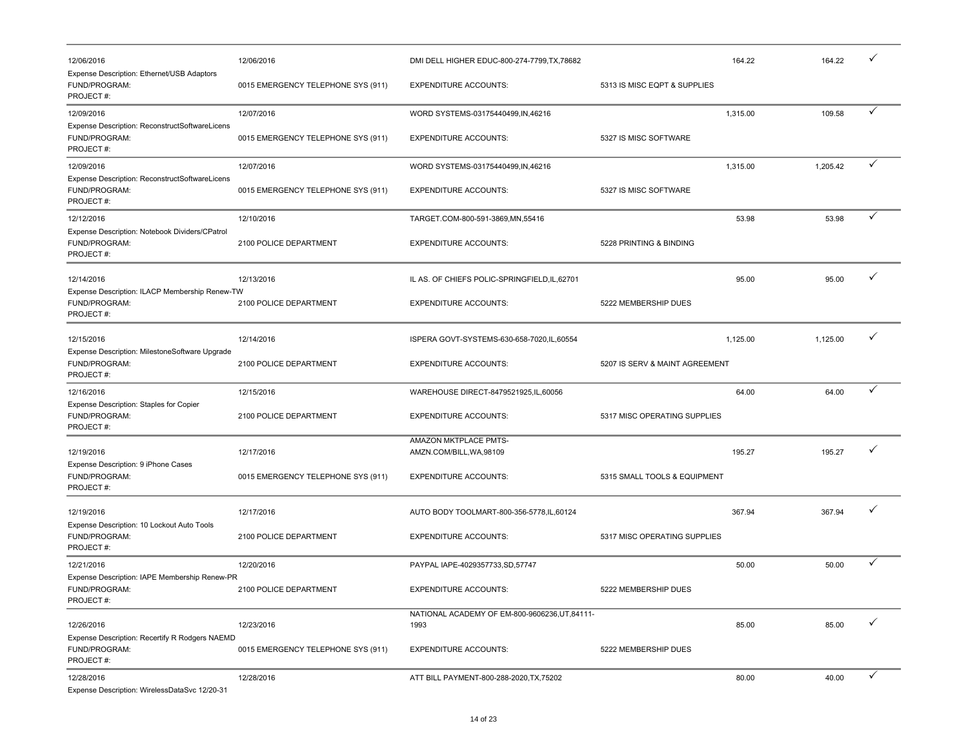| 12/06/2016                                                                   | 12/06/2016                         | DMI DELL HIGHER EDUC-800-274-7799, TX, 78682           |                                | 164.22   | 164.22   |              |
|------------------------------------------------------------------------------|------------------------------------|--------------------------------------------------------|--------------------------------|----------|----------|--------------|
| Expense Description: Ethernet/USB Adaptors<br>FUND/PROGRAM:<br>PROJECT#:     | 0015 EMERGENCY TELEPHONE SYS (911) | <b>EXPENDITURE ACCOUNTS:</b>                           | 5313 IS MISC EQPT & SUPPLIES   |          |          |              |
| 12/09/2016                                                                   | 12/07/2016                         | WORD SYSTEMS-03175440499,IN,46216                      |                                | 1,315.00 | 109.58   | $\checkmark$ |
| Expense Description: ReconstructSoftwareLicens<br>FUND/PROGRAM:<br>PROJECT#: | 0015 EMERGENCY TELEPHONE SYS (911) | <b>EXPENDITURE ACCOUNTS:</b>                           | 5327 IS MISC SOFTWARE          |          |          |              |
| 12/09/2016                                                                   | 12/07/2016                         | WORD SYSTEMS-03175440499,IN,46216                      |                                | 1,315.00 | 1,205.42 |              |
| Expense Description: ReconstructSoftwareLicens<br>FUND/PROGRAM:<br>PROJECT#: | 0015 EMERGENCY TELEPHONE SYS (911) | <b>EXPENDITURE ACCOUNTS:</b>                           | 5327 IS MISC SOFTWARE          |          |          |              |
| 12/12/2016                                                                   | 12/10/2016                         | TARGET.COM-800-591-3869,MN,55416                       |                                | 53.98    | 53.98    | ✓            |
| Expense Description: Notebook Dividers/CPatrol<br>FUND/PROGRAM:<br>PROJECT#: | 2100 POLICE DEPARTMENT             | <b>EXPENDITURE ACCOUNTS:</b>                           | 5228 PRINTING & BINDING        |          |          |              |
| 12/14/2016                                                                   | 12/13/2016                         | IL AS. OF CHIEFS POLIC-SPRINGFIELD, IL, 62701          |                                | 95.00    | 95.00    | ✓            |
| Expense Description: ILACP Membership Renew-TW<br>FUND/PROGRAM:<br>PROJECT#: | 2100 POLICE DEPARTMENT             | <b>EXPENDITURE ACCOUNTS:</b>                           | 5222 MEMBERSHIP DUES           |          |          |              |
| 12/15/2016                                                                   | 12/14/2016                         | ISPERA GOVT-SYSTEMS-630-658-7020,IL,60554              |                                | 1,125.00 | 1,125.00 | ✓            |
| Expense Description: MilestoneSoftware Upgrade<br>FUND/PROGRAM:<br>PROJECT#: | 2100 POLICE DEPARTMENT             | <b>EXPENDITURE ACCOUNTS:</b>                           | 5207 IS SERV & MAINT AGREEMENT |          |          |              |
| 12/16/2016                                                                   | 12/15/2016                         | WAREHOUSE DIRECT-8479521925,IL,60056                   |                                | 64.00    | 64.00    | $\checkmark$ |
| Expense Description: Staples for Copier<br>FUND/PROGRAM:<br>PROJECT#:        | 2100 POLICE DEPARTMENT             | <b>EXPENDITURE ACCOUNTS:</b>                           | 5317 MISC OPERATING SUPPLIES   |          |          |              |
| 12/19/2016                                                                   | 12/17/2016                         | AMAZON MKTPLACE PMTS-<br>AMZN.COM/BILL, WA, 98109      |                                | 195.27   | 195.27   |              |
| Expense Description: 9 iPhone Cases<br>FUND/PROGRAM:<br>PROJECT#:            | 0015 EMERGENCY TELEPHONE SYS (911) | <b>EXPENDITURE ACCOUNTS:</b>                           | 5315 SMALL TOOLS & EQUIPMENT   |          |          |              |
| 12/19/2016                                                                   | 12/17/2016                         | AUTO BODY TOOLMART-800-356-5778,IL,60124               |                                | 367.94   | 367.94   |              |
| Expense Description: 10 Lockout Auto Tools<br>FUND/PROGRAM:<br>PROJECT#:     | 2100 POLICE DEPARTMENT             | <b>EXPENDITURE ACCOUNTS:</b>                           | 5317 MISC OPERATING SUPPLIES   |          |          |              |
| 12/21/2016                                                                   | 12/20/2016                         | PAYPAL IAPE-4029357733,SD,57747                        |                                | 50.00    | 50.00    | ✓            |
| Expense Description: IAPE Membership Renew-PR<br>FUND/PROGRAM:<br>PROJECT#:  | 2100 POLICE DEPARTMENT             | <b>EXPENDITURE ACCOUNTS:</b>                           | 5222 MEMBERSHIP DUES           |          |          |              |
| 12/26/2016                                                                   | 12/23/2016                         | NATIONAL ACADEMY OF EM-800-9606236, UT, 84111-<br>1993 |                                | 85.00    | 85.00    |              |
| Expense Description: Recertify R Rodgers NAEMD<br>FUND/PROGRAM:<br>PROJECT#: | 0015 EMERGENCY TELEPHONE SYS (911) | <b>EXPENDITURE ACCOUNTS:</b>                           | 5222 MEMBERSHIP DUES           |          |          |              |
| 12/28/2016<br>Expense Description: WirelessDataSvc 12/20-31                  | 12/28/2016                         | ATT BILL PAYMENT-800-288-2020, TX, 75202               |                                | 80.00    | 40.00    | $\checkmark$ |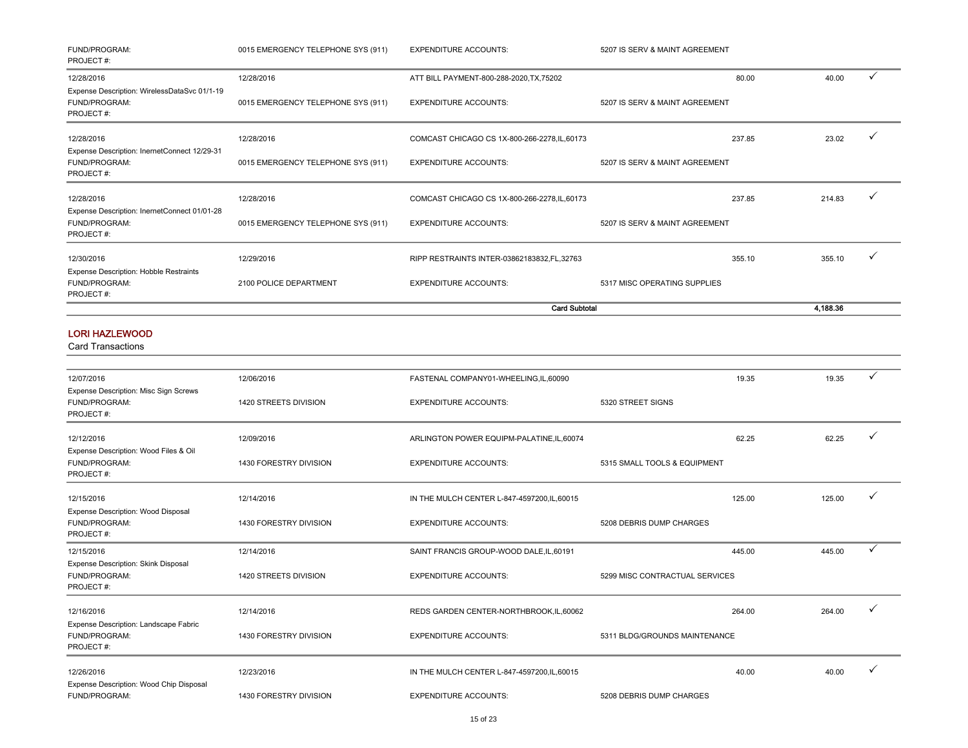| FUND/PROGRAM:<br>PROJECT#:                                                        | 0015 EMERGENCY TELEPHONE SYS (911) | <b>EXPENDITURE ACCOUNTS:</b>                  | 5207 IS SERV & MAINT AGREEMENT |          |              |
|-----------------------------------------------------------------------------------|------------------------------------|-----------------------------------------------|--------------------------------|----------|--------------|
| 12/28/2016                                                                        | 12/28/2016                         | ATT BILL PAYMENT-800-288-2020, TX, 75202      | 80.00                          | 40.00    |              |
| Expense Description: WirelessDataSvc 01/1-19<br><b>FUND/PROGRAM:</b><br>PROJECT#: | 0015 EMERGENCY TELEPHONE SYS (911) | <b>EXPENDITURE ACCOUNTS:</b>                  | 5207 IS SERV & MAINT AGREEMENT |          |              |
| 12/28/2016                                                                        | 12/28/2016                         | COMCAST CHICAGO CS 1X-800-266-2278, IL, 60173 | 237.85                         | 23.02    |              |
| Expense Description: InernetConnect 12/29-31<br><b>FUND/PROGRAM:</b><br>PROJECT#: | 0015 EMERGENCY TELEPHONE SYS (911) | <b>EXPENDITURE ACCOUNTS:</b>                  | 5207 IS SERV & MAINT AGREEMENT |          |              |
| 12/28/2016                                                                        | 12/28/2016                         | COMCAST CHICAGO CS 1X-800-266-2278, IL, 60173 | 237.85                         | 214.83   |              |
| Expense Description: InernetConnect 01/01-28<br>FUND/PROGRAM:<br>PROJECT#:        | 0015 EMERGENCY TELEPHONE SYS (911) | <b>EXPENDITURE ACCOUNTS:</b>                  | 5207 IS SERV & MAINT AGREEMENT |          |              |
| 12/30/2016                                                                        | 12/29/2016                         | RIPP RESTRAINTS INTER-03862183832,FL,32763    | 355.10                         | 355.10   | $\checkmark$ |
| <b>Expense Description: Hobble Restraints</b><br>FUND/PROGRAM:<br>PROJECT#:       | 2100 POLICE DEPARTMENT             | <b>EXPENDITURE ACCOUNTS:</b>                  | 5317 MISC OPERATING SUPPLIES   |          |              |
|                                                                                   |                                    | <b>Card Subtotal</b>                          |                                | 4,188.36 |              |
|                                                                                   |                                    |                                               |                                |          |              |

### LORI HAZLEWOOD

| 12/07/2016                                                          | 12/06/2016             | FASTENAL COMPANY01-WHEELING,IL,60090         |                                | 19.35            | 19.35        | ✓            |
|---------------------------------------------------------------------|------------------------|----------------------------------------------|--------------------------------|------------------|--------------|--------------|
| Expense Description: Misc Sign Screws<br>FUND/PROGRAM:<br>PROJECT#: | 1420 STREETS DIVISION  | <b>EXPENDITURE ACCOUNTS:</b>                 | 5320 STREET SIGNS              |                  |              |              |
| 12/12/2016                                                          | 12/09/2016             | ARLINGTON POWER EQUIPM-PALATINE, IL, 60074   |                                | 62.25            | 62.25        |              |
| Expense Description: Wood Files & Oil<br>FUND/PROGRAM:<br>PROJECT#: | 1430 FORESTRY DIVISION | <b>EXPENDITURE ACCOUNTS:</b>                 | 5315 SMALL TOOLS & EQUIPMENT   |                  |              |              |
| 12/15/2016                                                          | 12/14/2016             | IN THE MULCH CENTER L-847-4597200, IL, 60015 |                                | 125.00<br>125.00 | $\checkmark$ |              |
| Expense Description: Wood Disposal<br>FUND/PROGRAM:<br>PROJECT#:    | 1430 FORESTRY DIVISION | <b>EXPENDITURE ACCOUNTS:</b>                 | 5208 DEBRIS DUMP CHARGES       |                  |              |              |
| 12/15/2016                                                          | 12/14/2016             | SAINT FRANCIS GROUP-WOOD DALE, IL, 60191     |                                | 445.00<br>445.00 |              | $\checkmark$ |
| Expense Description: Skink Disposal<br>FUND/PROGRAM:<br>PROJECT#:   | 1420 STREETS DIVISION  | <b>EXPENDITURE ACCOUNTS:</b>                 | 5299 MISC CONTRACTUAL SERVICES |                  |              |              |
| 12/16/2016                                                          | 12/14/2016             | REDS GARDEN CENTER-NORTHBROOK,IL,60062       |                                | 264.00<br>264.00 | ✓            |              |
| Expense Description: Landscape Fabric<br>FUND/PROGRAM:<br>PROJECT#: | 1430 FORESTRY DIVISION | <b>EXPENDITURE ACCOUNTS:</b>                 | 5311 BLDG/GROUNDS MAINTENANCE  |                  |              |              |
| 12/26/2016                                                          | 12/23/2016             | IN THE MULCH CENTER L-847-4597200, IL, 60015 |                                | 40.00            | 40.00        |              |
| Expense Description: Wood Chip Disposal<br>FUND/PROGRAM:            | 1430 FORESTRY DIVISION | <b>EXPENDITURE ACCOUNTS:</b>                 | 5208 DEBRIS DUMP CHARGES       |                  |              |              |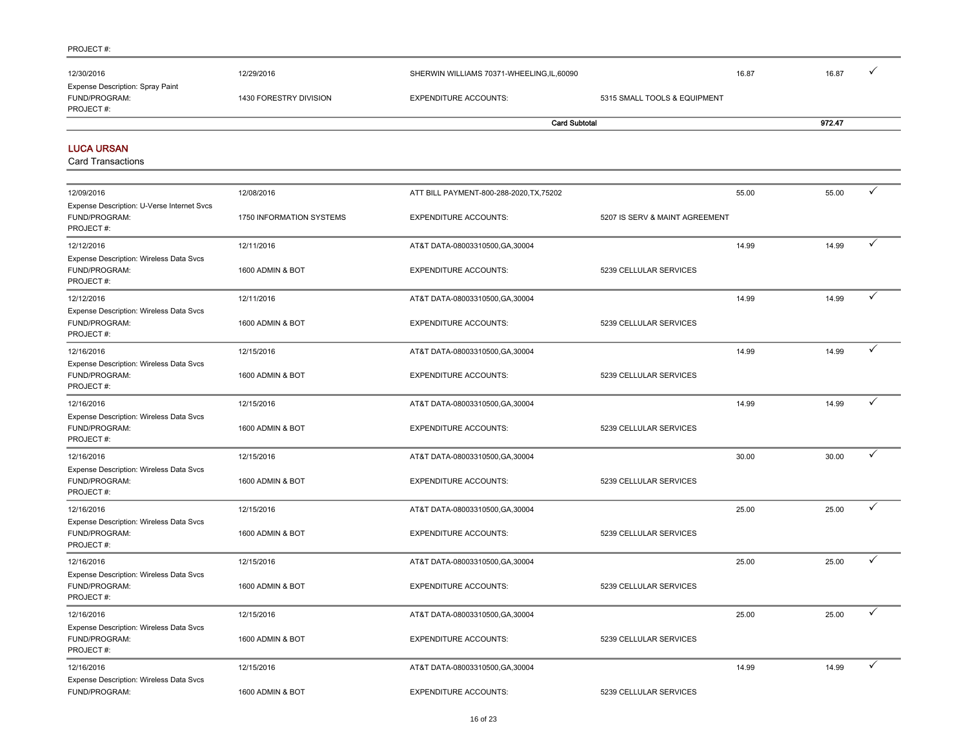Expense Description: Wireless Data Svcs

| 12/30/2016                                                               | 12/29/2016               | SHERWIN WILLIAMS 70371-WHEELING,IL,60090 |                                | 16.87 | 16.87  |              |
|--------------------------------------------------------------------------|--------------------------|------------------------------------------|--------------------------------|-------|--------|--------------|
| Expense Description: Spray Paint<br>FUND/PROGRAM:<br>PROJECT#:           | 1430 FORESTRY DIVISION   | <b>EXPENDITURE ACCOUNTS:</b>             | 5315 SMALL TOOLS & EQUIPMENT   |       |        |              |
|                                                                          |                          | <b>Card Subtotal</b>                     |                                |       | 972.47 |              |
| <b>LUCA URSAN</b><br><b>Card Transactions</b>                            |                          |                                          |                                |       |        |              |
| 12/09/2016                                                               | 12/08/2016               | ATT BILL PAYMENT-800-288-2020, TX, 75202 |                                | 55.00 | 55.00  | $\checkmark$ |
| Expense Description: U-Verse Internet Svcs<br>FUND/PROGRAM:<br>PROJECT#: | 1750 INFORMATION SYSTEMS | <b>EXPENDITURE ACCOUNTS:</b>             | 5207 IS SERV & MAINT AGREEMENT |       |        |              |
| 12/12/2016                                                               | 12/11/2016               | AT&T DATA-08003310500, GA, 30004         |                                | 14.99 | 14.99  | ✓            |
| Expense Description: Wireless Data Svcs<br>FUND/PROGRAM:<br>PROJECT#:    | 1600 ADMIN & BOT         | <b>EXPENDITURE ACCOUNTS:</b>             | 5239 CELLULAR SERVICES         |       |        |              |
| 12/12/2016                                                               | 12/11/2016               | AT&T DATA-08003310500, GA, 30004         |                                | 14.99 | 14.99  | $\checkmark$ |
| Expense Description: Wireless Data Svcs<br>FUND/PROGRAM:<br>PROJECT#:    | 1600 ADMIN & BOT         | <b>EXPENDITURE ACCOUNTS:</b>             | 5239 CELLULAR SERVICES         |       |        |              |
| 12/16/2016                                                               | 12/15/2016               | AT&T DATA-08003310500, GA, 30004         |                                | 14.99 | 14.99  | ✓            |
| Expense Description: Wireless Data Svcs<br>FUND/PROGRAM:<br>PROJECT#:    | 1600 ADMIN & BOT         | <b>EXPENDITURE ACCOUNTS:</b>             | 5239 CELLULAR SERVICES         |       |        |              |
| 12/16/2016                                                               | 12/15/2016               | AT&T DATA-08003310500, GA, 30004         |                                | 14.99 | 14.99  | $\checkmark$ |
| Expense Description: Wireless Data Svcs<br>FUND/PROGRAM:<br>PROJECT#:    | 1600 ADMIN & BOT         | <b>EXPENDITURE ACCOUNTS:</b>             | 5239 CELLULAR SERVICES         |       |        |              |
| 12/16/2016                                                               | 12/15/2016               | AT&T DATA-08003310500, GA, 30004         |                                | 30.00 | 30.00  | ✓            |
| Expense Description: Wireless Data Svcs<br>FUND/PROGRAM:<br>PROJECT#:    | 1600 ADMIN & BOT         | <b>EXPENDITURE ACCOUNTS:</b>             | 5239 CELLULAR SERVICES         |       |        |              |
| 12/16/2016                                                               | 12/15/2016               | AT&T DATA-08003310500, GA, 30004         |                                | 25.00 | 25.00  | ✓            |
| Expense Description: Wireless Data Svcs<br>FUND/PROGRAM:<br>PROJECT#:    | 1600 ADMIN & BOT         | <b>EXPENDITURE ACCOUNTS:</b>             | 5239 CELLULAR SERVICES         |       |        |              |
| 12/16/2016                                                               | 12/15/2016               | AT&T DATA-08003310500, GA, 30004         |                                | 25.00 | 25.00  | ✓            |
| Expense Description: Wireless Data Svcs<br>FUND/PROGRAM:<br>PROJECT#:    | 1600 ADMIN & BOT         | <b>EXPENDITURE ACCOUNTS:</b>             | 5239 CELLULAR SERVICES         |       |        |              |
| 12/16/2016                                                               | 12/15/2016               | AT&T DATA-08003310500, GA, 30004         |                                | 25.00 | 25.00  | ✓            |
| Expense Description: Wireless Data Svcs<br>FUND/PROGRAM:<br>PROJECT#:    | 1600 ADMIN & BOT         | <b>EXPENDITURE ACCOUNTS:</b>             | 5239 CELLULAR SERVICES         |       |        |              |
| 12/16/2016                                                               | 12/15/2016               | AT&T DATA-08003310500, GA, 30004         |                                | 14.99 | 14.99  | $\checkmark$ |

FUND/PROGRAM: 1600 ADMIN & BOT EXPENDITURE ACCOUNTS: 5239 CELLULAR SERVICES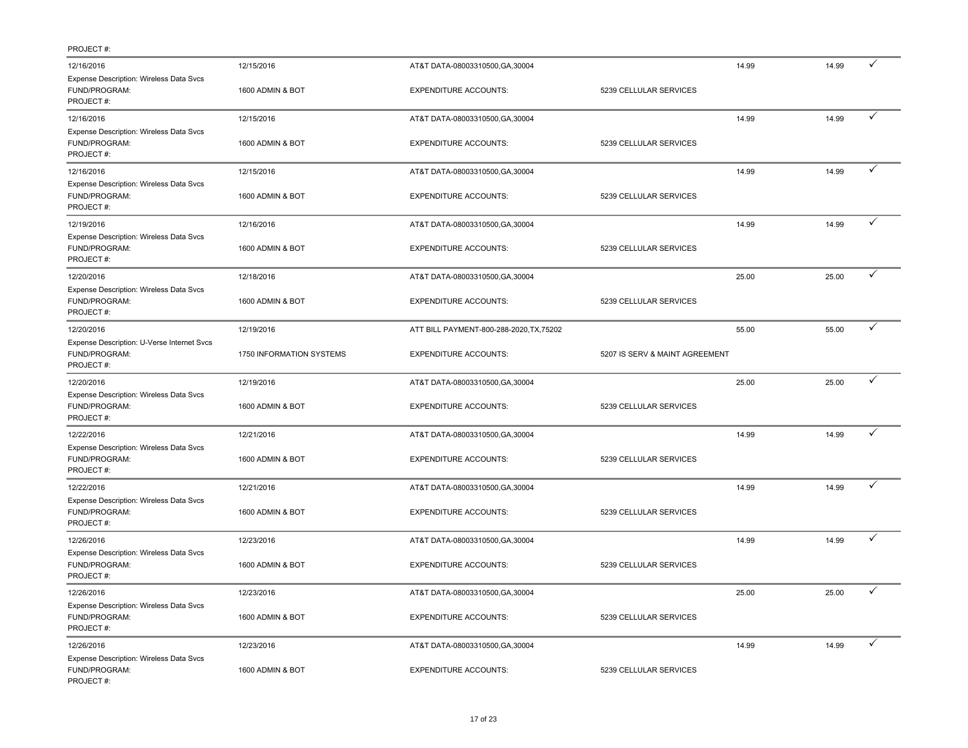| 12/16/2016                                                               | 12/15/2016               | AT&T DATA-08003310500, GA, 30004         |                                | 14.99 | 14.99 |              |
|--------------------------------------------------------------------------|--------------------------|------------------------------------------|--------------------------------|-------|-------|--------------|
| Expense Description: Wireless Data Svcs<br>FUND/PROGRAM:<br>PROJECT#:    | 1600 ADMIN & BOT         | <b>EXPENDITURE ACCOUNTS:</b>             | 5239 CELLULAR SERVICES         |       |       |              |
| 12/16/2016                                                               | 12/15/2016               | AT&T DATA-08003310500, GA, 30004         |                                | 14.99 | 14.99 | $\checkmark$ |
| Expense Description: Wireless Data Svcs<br>FUND/PROGRAM:<br>PROJECT#:    | 1600 ADMIN & BOT         | <b>EXPENDITURE ACCOUNTS:</b>             | 5239 CELLULAR SERVICES         |       |       |              |
| 12/16/2016                                                               | 12/15/2016               | AT&T DATA-08003310500, GA, 30004         |                                | 14.99 | 14.99 | $\checkmark$ |
| Expense Description: Wireless Data Svcs<br>FUND/PROGRAM:<br>PROJECT#:    | 1600 ADMIN & BOT         | <b>EXPENDITURE ACCOUNTS:</b>             | 5239 CELLULAR SERVICES         |       |       |              |
| 12/19/2016                                                               | 12/16/2016               | AT&T DATA-08003310500, GA, 30004         |                                | 14.99 | 14.99 | ✓            |
| Expense Description: Wireless Data Svcs<br>FUND/PROGRAM:<br>PROJECT#:    | 1600 ADMIN & BOT         | <b>EXPENDITURE ACCOUNTS:</b>             | 5239 CELLULAR SERVICES         |       |       |              |
| 12/20/2016                                                               | 12/18/2016               | AT&T DATA-08003310500, GA, 30004         |                                | 25.00 | 25.00 |              |
| Expense Description: Wireless Data Svcs<br>FUND/PROGRAM:<br>PROJECT#:    | 1600 ADMIN & BOT         | <b>EXPENDITURE ACCOUNTS:</b>             | 5239 CELLULAR SERVICES         |       |       |              |
| 12/20/2016                                                               | 12/19/2016               | ATT BILL PAYMENT-800-288-2020, TX, 75202 |                                | 55.00 | 55.00 | ✓            |
| Expense Description: U-Verse Internet Svcs<br>FUND/PROGRAM:<br>PROJECT#: | 1750 INFORMATION SYSTEMS | <b>EXPENDITURE ACCOUNTS:</b>             | 5207 IS SERV & MAINT AGREEMENT |       |       |              |
| 12/20/2016                                                               | 12/19/2016               | AT&T DATA-08003310500, GA, 30004         |                                | 25.00 | 25.00 | $\checkmark$ |
| Expense Description: Wireless Data Svcs<br>FUND/PROGRAM:<br>PROJECT#:    | 1600 ADMIN & BOT         | <b>EXPENDITURE ACCOUNTS:</b>             | 5239 CELLULAR SERVICES         |       |       |              |
| 12/22/2016                                                               | 12/21/2016               | AT&T DATA-08003310500, GA, 30004         |                                | 14.99 | 14.99 | $\checkmark$ |
| Expense Description: Wireless Data Svcs<br>FUND/PROGRAM:<br>PROJECT#:    | 1600 ADMIN & BOT         | <b>EXPENDITURE ACCOUNTS:</b>             | 5239 CELLULAR SERVICES         |       |       |              |
| 12/22/2016                                                               | 12/21/2016               | AT&T DATA-08003310500, GA, 30004         |                                | 14.99 | 14.99 |              |
| Expense Description: Wireless Data Svcs<br>FUND/PROGRAM:<br>PROJECT#:    | 1600 ADMIN & BOT         | <b>EXPENDITURE ACCOUNTS:</b>             | 5239 CELLULAR SERVICES         |       |       |              |
| 12/26/2016                                                               | 12/23/2016               | AT&T DATA-08003310500, GA, 30004         |                                | 14.99 | 14.99 | $\checkmark$ |
| Expense Description: Wireless Data Svcs<br>FUND/PROGRAM:<br>PROJECT#:    | 1600 ADMIN & BOT         | <b>EXPENDITURE ACCOUNTS:</b>             | 5239 CELLULAR SERVICES         |       |       |              |
| 12/26/2016                                                               | 12/23/2016               | AT&T DATA-08003310500, GA, 30004         |                                | 25.00 | 25.00 | $\checkmark$ |
| Expense Description: Wireless Data Svcs<br>FUND/PROGRAM:<br>PROJECT#:    | 1600 ADMIN & BOT         | <b>EXPENDITURE ACCOUNTS:</b>             | 5239 CELLULAR SERVICES         |       |       |              |
| 12/26/2016                                                               | 12/23/2016               | AT&T DATA-08003310500, GA, 30004         |                                | 14.99 | 14.99 | ✓            |
| Expense Description: Wireless Data Svcs<br>FUND/PROGRAM:<br>PROJECT#:    | 1600 ADMIN & BOT         | <b>EXPENDITURE ACCOUNTS:</b>             | 5239 CELLULAR SERVICES         |       |       |              |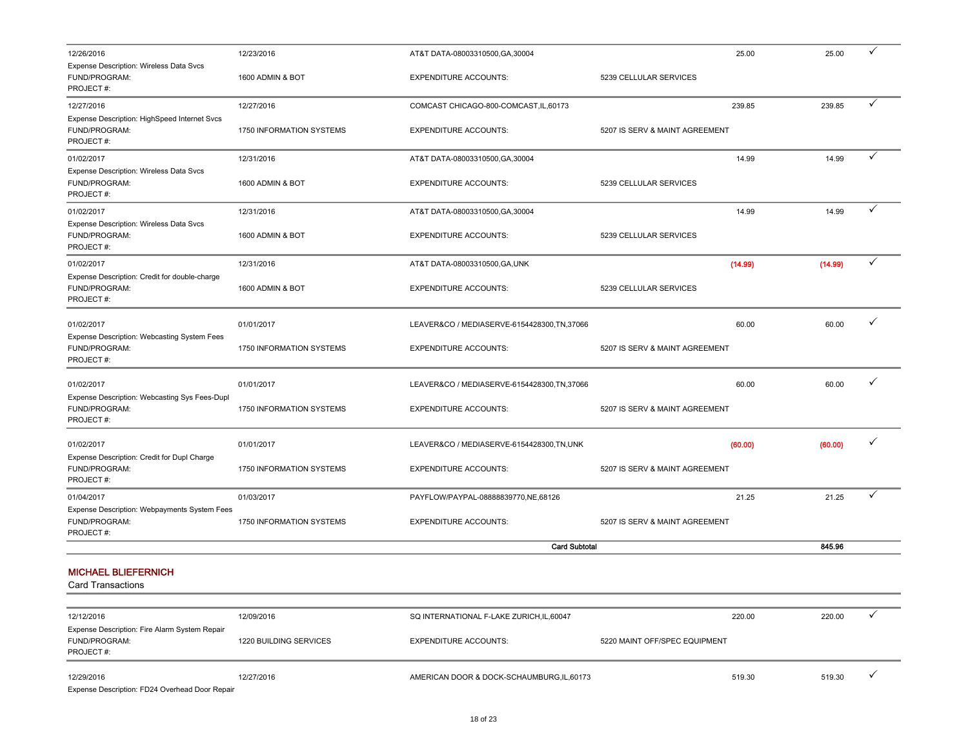| 12/26/2016                                                                   | 12/23/2016                           | AT&T DATA-08003310500, GA, 30004                                          |                                | 25.00   | 25.00   | ✓ |
|------------------------------------------------------------------------------|--------------------------------------|---------------------------------------------------------------------------|--------------------------------|---------|---------|---|
| Expense Description: Wireless Data Svcs<br>FUND/PROGRAM:<br>PROJECT#:        | 1600 ADMIN & BOT                     | <b>EXPENDITURE ACCOUNTS:</b>                                              | 5239 CELLULAR SERVICES         |         |         |   |
| 12/27/2016                                                                   | 12/27/2016                           | COMCAST CHICAGO-800-COMCAST, IL, 60173                                    |                                | 239.85  | 239.85  | ✓ |
| Expense Description: HighSpeed Internet Svcs<br>FUND/PROGRAM:<br>PROJECT #:  | 1750 INFORMATION SYSTEMS             | <b>EXPENDITURE ACCOUNTS:</b>                                              | 5207 IS SERV & MAINT AGREEMENT |         |         |   |
| 01/02/2017                                                                   | 12/31/2016                           | AT&T DATA-08003310500, GA, 30004                                          |                                | 14.99   | 14.99   | ✓ |
| Expense Description: Wireless Data Svcs<br>FUND/PROGRAM:<br>PROJECT#:        | 1600 ADMIN & BOT                     | <b>EXPENDITURE ACCOUNTS:</b>                                              | 5239 CELLULAR SERVICES         |         |         |   |
| 01/02/2017                                                                   | 12/31/2016                           | AT&T DATA-08003310500, GA, 30004                                          |                                | 14.99   | 14.99   | ✓ |
| Expense Description: Wireless Data Svcs<br>FUND/PROGRAM:<br>PROJECT#:        | 1600 ADMIN & BOT                     | <b>EXPENDITURE ACCOUNTS:</b>                                              | 5239 CELLULAR SERVICES         |         |         |   |
| 01/02/2017                                                                   | 12/31/2016                           | AT&T DATA-08003310500, GA, UNK                                            |                                | (14.99) | (14.99) | ✓ |
| Expense Description: Credit for double-charge<br>FUND/PROGRAM:<br>PROJECT#:  | 1600 ADMIN & BOT                     | <b>EXPENDITURE ACCOUNTS:</b>                                              | 5239 CELLULAR SERVICES         |         |         |   |
| 01/02/2017                                                                   | 01/01/2017                           | LEAVER&CO / MEDIASERVE-6154428300,TN,37066                                |                                | 60.00   | 60.00   | ✓ |
| Expense Description: Webcasting System Fees<br>FUND/PROGRAM:<br>PROJECT#:    | 1750 INFORMATION SYSTEMS             | <b>EXPENDITURE ACCOUNTS:</b>                                              | 5207 IS SERV & MAINT AGREEMENT |         |         |   |
| 01/02/2017                                                                   | 01/01/2017                           | LEAVER&CO / MEDIASERVE-6154428300,TN,37066                                |                                | 60.00   | 60.00   | ✓ |
| Expense Description: Webcasting Sys Fees-Dupl<br>FUND/PROGRAM:<br>PROJECT#:  | 1750 INFORMATION SYSTEMS             | <b>EXPENDITURE ACCOUNTS:</b>                                              | 5207 IS SERV & MAINT AGREEMENT |         |         |   |
| 01/02/2017                                                                   | 01/01/2017                           | LEAVER&CO / MEDIASERVE-6154428300,TN,UNK                                  |                                | (60.00) | (60.00) | ✓ |
| Expense Description: Credit for Dupl Charge<br>FUND/PROGRAM:<br>PROJECT#:    | 1750 INFORMATION SYSTEMS             | <b>EXPENDITURE ACCOUNTS:</b>                                              | 5207 IS SERV & MAINT AGREEMENT |         |         |   |
| 01/04/2017                                                                   | 01/03/2017                           | PAYFLOW/PAYPAL-08888839770,NE,68126                                       |                                | 21.25   | 21.25   | ✓ |
| Expense Description: Webpayments System Fees<br>FUND/PROGRAM:<br>PROJECT#:   | 1750 INFORMATION SYSTEMS             | <b>EXPENDITURE ACCOUNTS:</b>                                              | 5207 IS SERV & MAINT AGREEMENT |         |         |   |
|                                                                              |                                      | <b>Card Subtotal</b>                                                      |                                |         | 845.96  |   |
| <b>MICHAEL BLIEFERNICH</b><br><b>Card Transactions</b>                       |                                      |                                                                           |                                |         |         |   |
|                                                                              |                                      |                                                                           |                                |         |         | ✓ |
| 12/12/2016<br>Expense Description: Fire Alarm System Repair<br>FUND/PROGRAM: | 12/09/2016<br>1220 BUILDING SERVICES | SQ INTERNATIONAL F-LAKE ZURICH, IL, 60047<br><b>EXPENDITURE ACCOUNTS:</b> | 5220 MAINT OFF/SPEC EQUIPMENT  | 220.00  | 220.00  |   |
|                                                                              |                                      |                                                                           |                                |         |         |   |

12/29/2016 12/27/2016 12/27/2016 AMERICAN DOOR & DOCK-SCHAUMBURG,IL,60173 519.30 519.30 519.30 519.30 4

Expense Description: FD24 Overhead Door Repair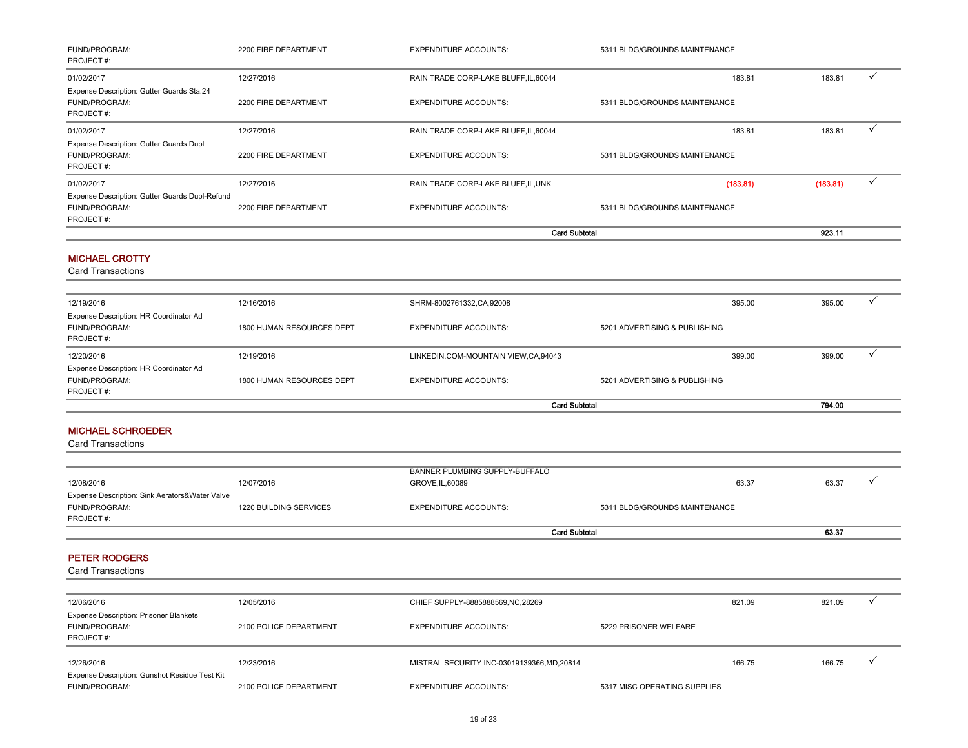| FUND/PROGRAM:<br>PROJECT#:                                                         | 2200 FIRE DEPARTMENT                 | <b>EXPENDITURE ACCOUNTS:</b>                                       | 5311 BLDG/GROUNDS MAINTENANCE   |          |              |
|------------------------------------------------------------------------------------|--------------------------------------|--------------------------------------------------------------------|---------------------------------|----------|--------------|
| 01/02/2017                                                                         | 12/27/2016                           | RAIN TRADE CORP-LAKE BLUFF, IL, 60044                              | 183.81                          | 183.81   | ✓            |
| Expense Description: Gutter Guards Sta.24<br>FUND/PROGRAM:<br>PROJECT#:            | 2200 FIRE DEPARTMENT                 | <b>EXPENDITURE ACCOUNTS:</b>                                       | 5311 BLDG/GROUNDS MAINTENANCE   |          |              |
| 01/02/2017                                                                         | 12/27/2016                           | RAIN TRADE CORP-LAKE BLUFF, IL, 60044                              | 183.81                          | 183.81   | ✓            |
| Expense Description: Gutter Guards Dupl<br>FUND/PROGRAM:<br>PROJECT#:              | 2200 FIRE DEPARTMENT                 | <b>EXPENDITURE ACCOUNTS:</b>                                       | 5311 BLDG/GROUNDS MAINTENANCE   |          |              |
| 01/02/2017                                                                         | 12/27/2016                           | RAIN TRADE CORP-LAKE BLUFF, IL, UNK                                | (183.81)                        | (183.81) | ✓            |
| Expense Description: Gutter Guards Dupl-Refund<br>FUND/PROGRAM:<br>PROJECT#:       | 2200 FIRE DEPARTMENT                 | <b>EXPENDITURE ACCOUNTS:</b>                                       | 5311 BLDG/GROUNDS MAINTENANCE   |          |              |
|                                                                                    |                                      | <b>Card Subtotal</b>                                               |                                 | 923.11   |              |
| <b>MICHAEL CROTTY</b><br><b>Card Transactions</b>                                  |                                      |                                                                    |                                 |          |              |
| 12/19/2016                                                                         | 12/16/2016                           | SHRM-8002761332, CA, 92008                                         | 395.00                          | 395.00   | ✓            |
| Expense Description: HR Coordinator Ad<br>FUND/PROGRAM:<br>PROJECT#:               | 1800 HUMAN RESOURCES DEPT            | <b>EXPENDITURE ACCOUNTS:</b>                                       | 5201 ADVERTISING & PUBLISHING   |          |              |
| 12/20/2016                                                                         | 12/19/2016                           | LINKEDIN.COM-MOUNTAIN VIEW,CA,94043                                | 399.00                          | 399.00   | ✓            |
| Expense Description: HR Coordinator Ad<br>FUND/PROGRAM:<br>PROJECT#:               | 1800 HUMAN RESOURCES DEPT            | <b>EXPENDITURE ACCOUNTS:</b>                                       | 5201 ADVERTISING & PUBLISHING   |          |              |
|                                                                                    |                                      | <b>Card Subtotal</b>                                               |                                 | 794.00   |              |
| <b>MICHAEL SCHROEDER</b><br><b>Card Transactions</b>                               |                                      |                                                                    |                                 |          |              |
|                                                                                    |                                      | BANNER PLUMBING SUPPLY-BUFFALO                                     |                                 |          |              |
| 12/08/2016                                                                         | 12/07/2016                           | GROVE, IL, 60089                                                   | 63.37                           | 63.37    |              |
| Expense Description: Sink Aerators&Water Valve<br>FUND/PROGRAM:<br>PROJECT#:       | 1220 BUILDING SERVICES               | <b>EXPENDITURE ACCOUNTS:</b>                                       | 5311 BLDG/GROUNDS MAINTENANCE   |          |              |
|                                                                                    |                                      | <b>Card Subtotal</b>                                               |                                 | 63.37    |              |
| <b>PETER RODGERS</b><br><b>Card Transactions</b>                                   |                                      |                                                                    |                                 |          |              |
|                                                                                    |                                      |                                                                    |                                 |          | ✓            |
| 12/06/2016<br>Expense Description: Prisoner Blankets<br>FUND/PROGRAM:<br>PROJECT#: | 12/05/2016<br>2100 POLICE DEPARTMENT | CHIEF SUPPLY-8885888569, NC, 28269<br><b>EXPENDITURE ACCOUNTS:</b> | 821.09<br>5229 PRISONER WELFARE | 821.09   |              |
| 12/26/2016                                                                         | 12/23/2016                           | MISTRAL SECURITY INC-03019139366,MD,20814                          | 166.75                          | 166.75   | $\checkmark$ |
| Expense Description: Gunshot Residue Test Kit<br>FUND/PROGRAM:                     | 2100 POLICE DEPARTMENT               | <b>EXPENDITURE ACCOUNTS:</b>                                       | 5317 MISC OPERATING SUPPLIES    |          |              |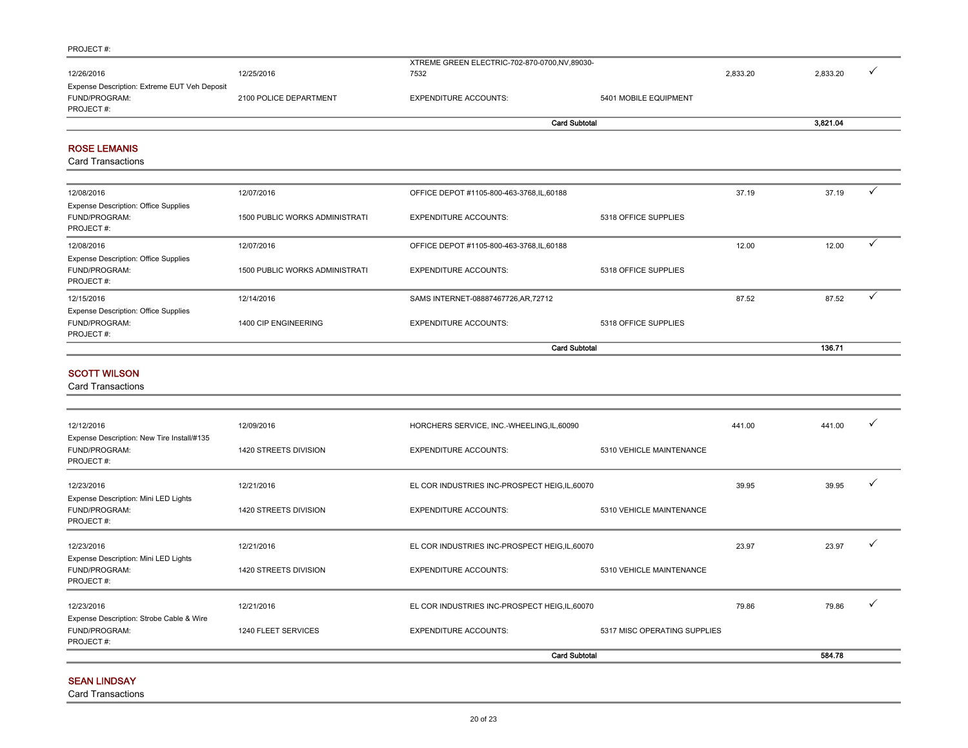|                                              |                        | <b>Card Subtotal</b>                         |                       |          | 3,821.04 |  |
|----------------------------------------------|------------------------|----------------------------------------------|-----------------------|----------|----------|--|
| PROJECT#:                                    |                        |                                              |                       |          |          |  |
| FUND/PROGRAM:                                | 2100 POLICE DEPARTMENT | <b>EXPENDITURE ACCOUNTS:</b>                 | 5401 MOBILE EQUIPMENT |          |          |  |
| Expense Description: Extreme EUT Veh Deposit |                        |                                              |                       |          |          |  |
| 12/26/2016                                   | 12/25/2016             | 7532                                         |                       | 2.833.20 | 2,833.20 |  |
|                                              |                        | XTREME GREEN ELECTRIC-702-870-0700,NV,89030- |                       |          |          |  |

#### ROSE LEMANIS

Card Transactions

| 12/08/2016                                                                | 12/07/2016                            | OFFICE DEPOT #1105-800-463-3768, IL, 60188 |                      | 37.19 | 37.19  |  |
|---------------------------------------------------------------------------|---------------------------------------|--------------------------------------------|----------------------|-------|--------|--|
| <b>Expense Description: Office Supplies</b><br>FUND/PROGRAM:<br>PROJECT#: | 1500 PUBLIC WORKS ADMINISTRATI        | <b>EXPENDITURE ACCOUNTS:</b>               | 5318 OFFICE SUPPLIES |       |        |  |
| 12/08/2016                                                                | 12/07/2016                            | OFFICE DEPOT #1105-800-463-3768, IL, 60188 |                      | 12.00 | 12.00  |  |
| <b>Expense Description: Office Supplies</b><br>FUND/PROGRAM:<br>PROJECT#: | <b>1500 PUBLIC WORKS ADMINISTRATI</b> | <b>EXPENDITURE ACCOUNTS:</b>               | 5318 OFFICE SUPPLIES |       |        |  |
| 12/15/2016                                                                | 12/14/2016                            | SAMS INTERNET-08887467726, AR, 72712       |                      | 87.52 | 87.52  |  |
| <b>Expense Description: Office Supplies</b><br>FUND/PROGRAM:<br>PROJECT#: | 1400 CIP ENGINEERING                  | <b>EXPENDITURE ACCOUNTS:</b>               | 5318 OFFICE SUPPLIES |       |        |  |
|                                                                           |                                       |                                            | <b>Card Subtotal</b> |       | 136.71 |  |

#### SCOTT WILSON

Card Transactions

| 12/12/2016                                                               | 12/09/2016            | HORCHERS SERVICE, INC.-WHEELING,IL,60090       |                              | 441.00 | 441.00 |  |
|--------------------------------------------------------------------------|-----------------------|------------------------------------------------|------------------------------|--------|--------|--|
| Expense Description: New Tire Install/#135<br>FUND/PROGRAM:<br>PROJECT#: | 1420 STREETS DIVISION | <b>EXPENDITURE ACCOUNTS:</b>                   | 5310 VEHICLE MAINTENANCE     |        |        |  |
| 12/23/2016                                                               | 12/21/2016            | EL COR INDUSTRIES INC-PROSPECT HEIG, IL, 60070 |                              | 39.95  | 39.95  |  |
| Expense Description: Mini LED Lights<br>FUND/PROGRAM:<br>PROJECT#:       | 1420 STREETS DIVISION | <b>EXPENDITURE ACCOUNTS:</b>                   | 5310 VEHICLE MAINTENANCE     |        |        |  |
| 12/23/2016                                                               | 12/21/2016            | EL COR INDUSTRIES INC-PROSPECT HEIG, IL, 60070 |                              | 23.97  | 23.97  |  |
| Expense Description: Mini LED Lights<br>FUND/PROGRAM:<br>PROJECT#:       | 1420 STREETS DIVISION | <b>EXPENDITURE ACCOUNTS:</b>                   | 5310 VEHICLE MAINTENANCE     |        |        |  |
| 12/23/2016<br>Expense Description: Strobe Cable & Wire                   | 12/21/2016            | EL COR INDUSTRIES INC-PROSPECT HEIG, IL, 60070 |                              | 79.86  | 79.86  |  |
| FUND/PROGRAM:<br>PROJECT#:                                               | 1240 FLEET SERVICES   | <b>EXPENDITURE ACCOUNTS:</b>                   | 5317 MISC OPERATING SUPPLIES |        |        |  |
|                                                                          |                       | <b>Card Subtotal</b>                           |                              |        | 584.78 |  |

#### SEAN LINDSAY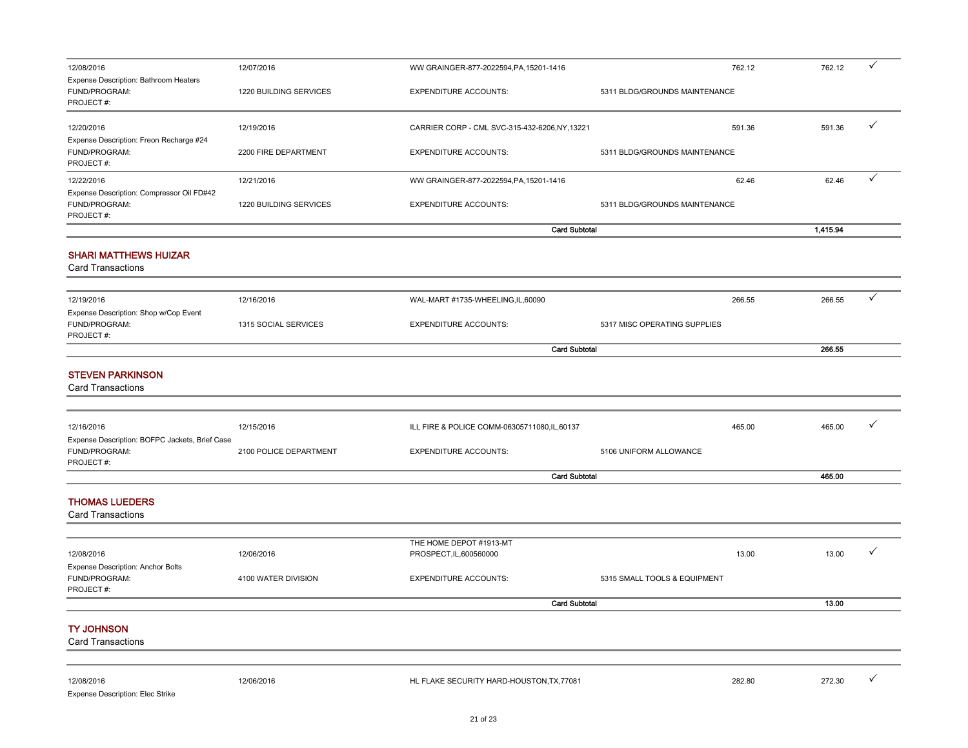| 12/08/2016                                                              | 12/07/2016             | WW GRAINGER-877-2022594, PA, 15201-1416        | 762.12                        | 762.12   | ✓ |
|-------------------------------------------------------------------------|------------------------|------------------------------------------------|-------------------------------|----------|---|
| Expense Description: Bathroom Heaters<br>FUND/PROGRAM:<br>PROJECT#:     | 1220 BUILDING SERVICES | <b>EXPENDITURE ACCOUNTS:</b>                   | 5311 BLDG/GROUNDS MAINTENANCE |          |   |
| 12/20/2016<br>Expense Description: Freon Recharge #24                   | 12/19/2016             | CARRIER CORP - CML SVC-315-432-6206, NY, 13221 | 591.36                        | 591.36   | ✓ |
| FUND/PROGRAM:<br>PROJECT#:                                              | 2200 FIRE DEPARTMENT   | <b>EXPENDITURE ACCOUNTS:</b>                   | 5311 BLDG/GROUNDS MAINTENANCE |          |   |
| 12/22/2016                                                              | 12/21/2016             | WW GRAINGER-877-2022594, PA, 15201-1416        | 62.46                         | 62.46    | ✓ |
| Expense Description: Compressor Oil FD#42<br>FUND/PROGRAM:<br>PROJECT#: | 1220 BUILDING SERVICES | <b>EXPENDITURE ACCOUNTS:</b>                   | 5311 BLDG/GROUNDS MAINTENANCE |          |   |
|                                                                         |                        |                                                | <b>Card Subtotal</b>          | 1,415.94 |   |
| <b>SHARI MATTHEWS HUIZAR</b><br><b>Card Transactions</b>                |                        |                                                |                               |          |   |
|                                                                         |                        |                                                |                               |          |   |
| 12/19/2016<br>Expense Description: Shop w/Cop Event                     | 12/16/2016             | WAL-MART #1735-WHEELING,IL,60090               | 266.55                        | 266.55   | ✓ |
| FUND/PROGRAM:<br>PROJECT#:                                              | 1315 SOCIAL SERVICES   | <b>EXPENDITURE ACCOUNTS:</b>                   | 5317 MISC OPERATING SUPPLIES  |          |   |
|                                                                         |                        |                                                | <b>Card Subtotal</b>          | 266.55   |   |
| <b>STEVEN PARKINSON</b><br><b>Card Transactions</b>                     |                        |                                                |                               |          |   |
|                                                                         |                        |                                                |                               |          |   |
| 12/16/2016<br>Expense Description: BOFPC Jackets, Brief Case            | 12/15/2016             | ILL FIRE & POLICE COMM-06305711080,IL,60137    | 465.00                        | 465.00   | ✓ |
| FUND/PROGRAM:<br>PROJECT#:                                              | 2100 POLICE DEPARTMENT | <b>EXPENDITURE ACCOUNTS:</b>                   | 5106 UNIFORM ALLOWANCE        |          |   |
|                                                                         |                        |                                                | <b>Card Subtotal</b>          | 465.00   |   |
| <b>THOMAS LUEDERS</b><br><b>Card Transactions</b>                       |                        |                                                |                               |          |   |
|                                                                         |                        | THE HOME DEPOT #1913-MT                        |                               |          |   |
| 12/08/2016                                                              | 12/06/2016             | PROSPECT, IL, 600560000                        | 13.00                         | 13.00    | ✓ |
| Expense Description: Anchor Bolts<br>FUND/PROGRAM:<br>PROJECT#:         | 4100 WATER DIVISION    | <b>EXPENDITURE ACCOUNTS:</b>                   | 5315 SMALL TOOLS & EQUIPMENT  |          |   |
|                                                                         |                        |                                                | <b>Card Subtotal</b>          | 13.00    |   |
| <b>TY JOHNSON</b><br><b>Card Transactions</b>                           |                        |                                                |                               |          |   |
|                                                                         |                        |                                                |                               |          |   |
| 12/08/2016<br>Expense Description: Elec Strike                          | 12/06/2016             | HL FLAKE SECURITY HARD-HOUSTON, TX, 77081      | 282.80                        | 272.30   | ✓ |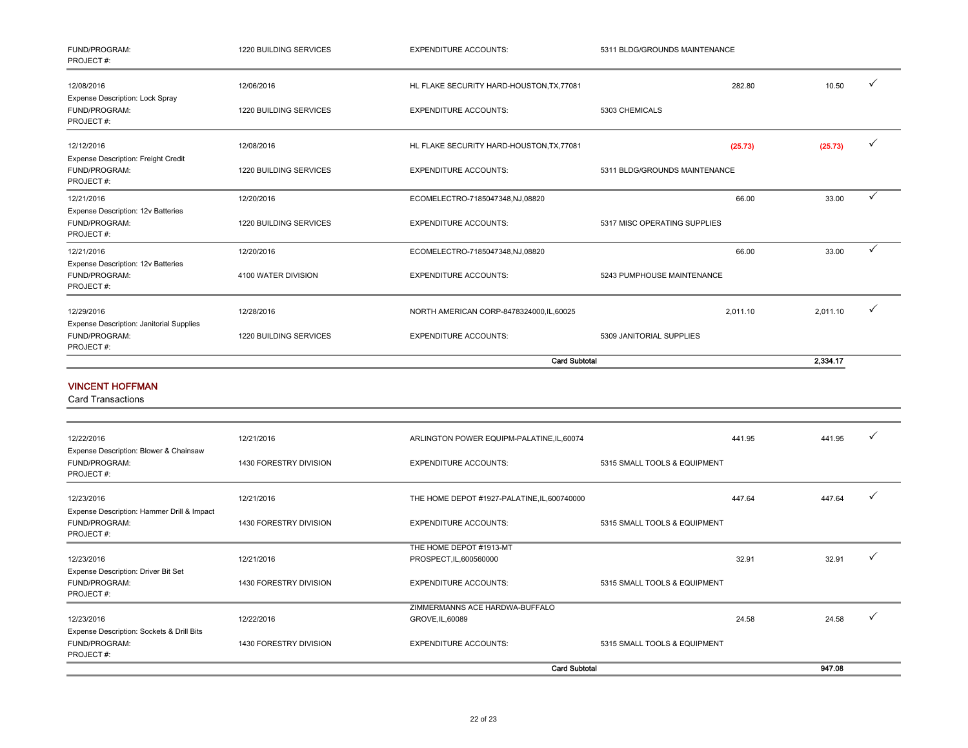| FUND/PROGRAM:<br>PROJECT#:                                                    | 1220 BUILDING SERVICES        | <b>EXPENDITURE ACCOUNTS:</b>                       | 5311 BLDG/GROUNDS MAINTENANCE |          |              |
|-------------------------------------------------------------------------------|-------------------------------|----------------------------------------------------|-------------------------------|----------|--------------|
| 12/08/2016                                                                    | 12/06/2016                    | HL FLAKE SECURITY HARD-HOUSTON, TX, 77081          | 282.80                        | 10.50    | ✓            |
| Expense Description: Lock Spray<br>FUND/PROGRAM:<br>PROJECT#:                 | 1220 BUILDING SERVICES        | <b>EXPENDITURE ACCOUNTS:</b>                       | 5303 CHEMICALS                |          |              |
| 12/12/2016                                                                    | 12/08/2016                    | HL FLAKE SECURITY HARD-HOUSTON, TX, 77081          | (25.73)                       | (25.73)  | $\checkmark$ |
| <b>Expense Description: Freight Credit</b><br>FUND/PROGRAM:<br>PROJECT#:      | 1220 BUILDING SERVICES        | <b>EXPENDITURE ACCOUNTS:</b>                       | 5311 BLDG/GROUNDS MAINTENANCE |          |              |
| 12/21/2016                                                                    | 12/20/2016                    | ECOMELECTRO-7185047348,NJ,08820                    | 66.00                         | 33.00    | ✓            |
| Expense Description: 12v Batteries<br>FUND/PROGRAM:<br>PROJECT#:              | 1220 BUILDING SERVICES        | <b>EXPENDITURE ACCOUNTS:</b>                       | 5317 MISC OPERATING SUPPLIES  |          |              |
| 12/21/2016                                                                    | 12/20/2016                    | ECOMELECTRO-7185047348,NJ,08820                    | 66.00                         | 33.00    | $\checkmark$ |
| Expense Description: 12v Batteries<br>FUND/PROGRAM:<br>PROJECT#:              | 4100 WATER DIVISION           | <b>EXPENDITURE ACCOUNTS:</b>                       | 5243 PUMPHOUSE MAINTENANCE    |          |              |
| 12/29/2016                                                                    | 12/28/2016                    | NORTH AMERICAN CORP-8478324000,IL,60025            | 2,011.10                      | 2,011.10 | $\checkmark$ |
| <b>Expense Description: Janitorial Supplies</b><br>FUND/PROGRAM:<br>PROJECT#: | <b>1220 BUILDING SERVICES</b> | <b>EXPENDITURE ACCOUNTS:</b>                       | 5309 JANITORIAL SUPPLIES      |          |              |
|                                                                               |                               | <b>Card Subtotal</b>                               |                               | 2,334.17 |              |
| <b>VINCENT HOFFMAN</b><br><b>Card Transactions</b>                            |                               |                                                    |                               |          |              |
| 12/22/2016                                                                    | 12/21/2016                    | ARLINGTON POWER EQUIPM-PALATINE, IL, 60074         | 441.95                        | 441.95   | ✓            |
| Expense Description: Blower & Chainsaw<br>FUND/PROGRAM:<br>PROJECT#:          | 1430 FORESTRY DIVISION        | <b>EXPENDITURE ACCOUNTS:</b>                       | 5315 SMALL TOOLS & EQUIPMENT  |          |              |
| 12/23/2016                                                                    | 12/21/2016                    | THE HOME DEPOT #1927-PALATINE, IL, 600740000       | 447.64                        | 447.64   | $\checkmark$ |
| Expense Description: Hammer Drill & Impact<br>FUND/PROGRAM:<br>PROJECT#:      | 1430 FORESTRY DIVISION        | <b>EXPENDITURE ACCOUNTS:</b>                       | 5315 SMALL TOOLS & EQUIPMENT  |          |              |
| 12/23/2016                                                                    | 12/21/2016                    | THE HOME DEPOT #1913-MT<br>PROSPECT, IL, 600560000 | 32.91                         | 32.91    | $\checkmark$ |

|                                           |                        |                                | <b>Card Subtotal</b>         |       | 947.08 |  |
|-------------------------------------------|------------------------|--------------------------------|------------------------------|-------|--------|--|
| PROJECT#:                                 |                        |                                |                              |       |        |  |
| FUND/PROGRAM:                             | 1430 FORESTRY DIVISION | <b>EXPENDITURE ACCOUNTS:</b>   | 5315 SMALL TOOLS & EQUIPMENT |       |        |  |
| Expense Description: Sockets & Drill Bits |                        |                                |                              |       |        |  |
| 12/23/2016                                | 12/22/2016             | GROVE, IL, 60089               |                              | 24.58 | 24.58  |  |
|                                           |                        | ZIMMERMANNS ACE HARDWA-BUFFALO |                              |       |        |  |
| PROJECT#:                                 |                        |                                |                              |       |        |  |
| FUND/PROGRAM:                             | 1430 FORESTRY DIVISION | <b>EXPENDITURE ACCOUNTS:</b>   | 5315 SMALL TOOLS & EQUIPMENT |       |        |  |
| Expense Description: Driver Bit Set       |                        |                                |                              |       |        |  |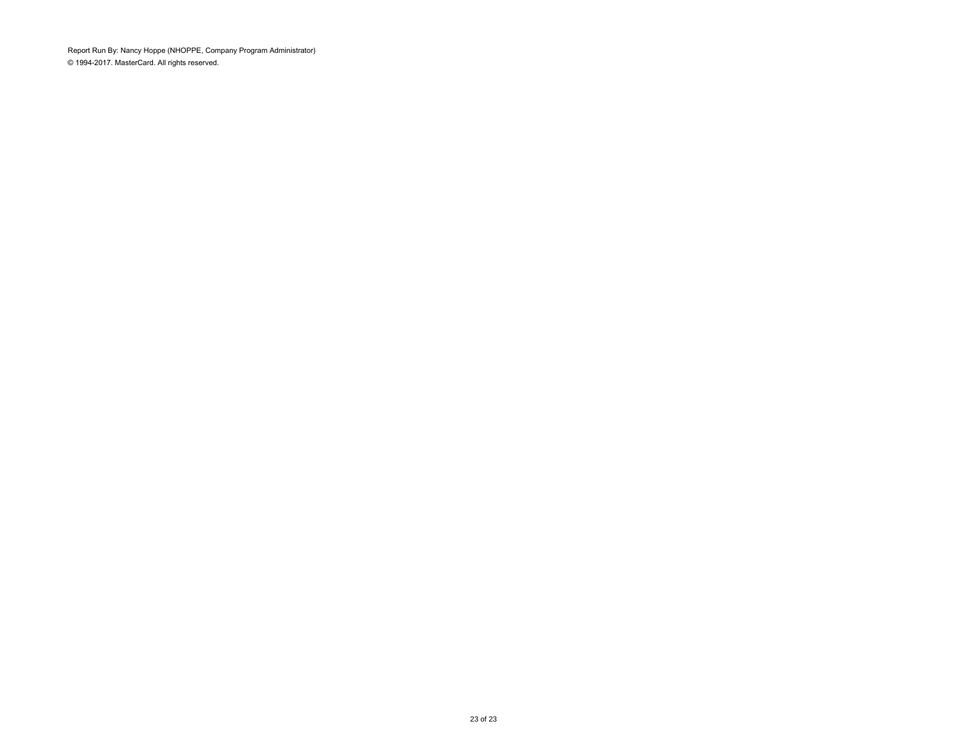Report Run By: Nancy Hoppe (NHOPPE, Company Program Administrator) © 1994-2017. MasterCard. All rights reserved.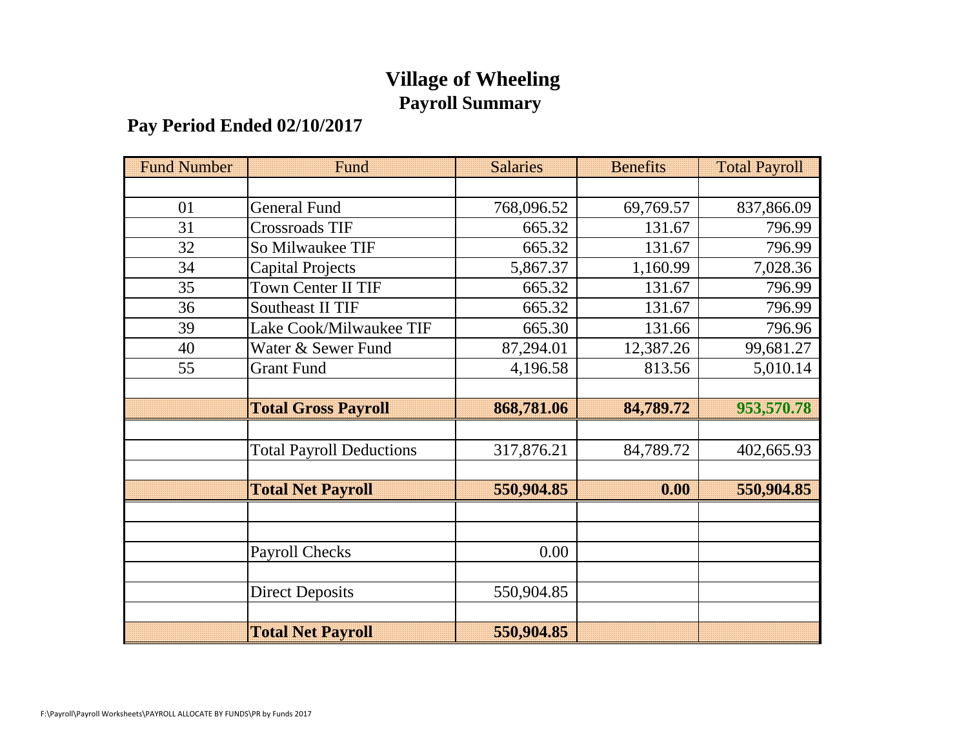# **Village of Wheeling Payroll Summary**

# **Pay Period Ended 02/10/2017**

| <b>Fund Number</b> | Fund                            | <b>Salaries</b> | <b>Benefits</b> | <b>Total Payroll</b> |
|--------------------|---------------------------------|-----------------|-----------------|----------------------|
|                    |                                 |                 |                 |                      |
| 01                 | <b>General Fund</b>             | 768,096.52      | 69,769.57       | 837,866.09           |
| 31                 | Crossroads TIF                  | 665.32          | 131.67          | 796.99               |
| 32                 | So Milwaukee TIF                | 665.32          | 131.67          | 796.99               |
| 34                 | Capital Projects                | 5,867.37        | 1,160.99        | 7,028.36             |
| 35                 | Town Center II TIF              | 665.32          | 131.67          | 796.99               |
| 36                 | <b>Southeast II TIF</b>         | 665.32          | 131.67          | 796.99               |
| 39                 | Lake Cook/Milwaukee TIF         | 665.30          | 131.66          | 796.96               |
| 40                 | Water & Sewer Fund              | 87,294.01       | 12,387.26       | 99,681.27            |
| 55                 | <b>Grant Fund</b>               | 4,196.58        | 813.56          | 5,010.14             |
|                    |                                 |                 |                 |                      |
|                    | <b>Total Gross Payroll</b>      | 868,781.06      | 84,789.72       | 953,570.78           |
|                    |                                 |                 |                 |                      |
|                    | <b>Total Payroll Deductions</b> | 317,876.21      | 84,789.72       | 402,665.93           |
|                    |                                 |                 |                 |                      |
|                    | <b>Total Net Payroll</b>        | 550,904.85      | 0.00            | 550,904.85           |
|                    |                                 |                 |                 |                      |
|                    |                                 |                 |                 |                      |
|                    | <b>Payroll Checks</b>           | 0.00            |                 |                      |
|                    |                                 |                 |                 |                      |
|                    | <b>Direct Deposits</b>          | 550,904.85      |                 |                      |
|                    |                                 |                 |                 |                      |
|                    | <b>Total Net Payroll</b>        | 550,904.85      |                 |                      |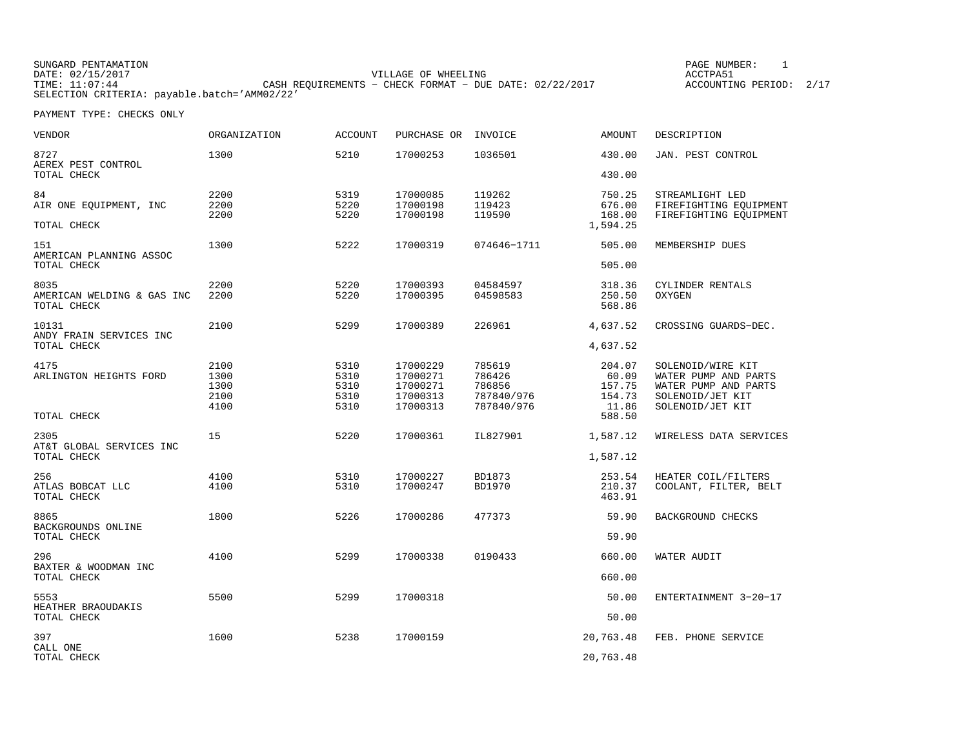| SUNGARD PENTAMATION                          |                                                           |                     |  | PAGE NUMBER:       |      |
|----------------------------------------------|-----------------------------------------------------------|---------------------|--|--------------------|------|
| DATE: 02/15/2017                             |                                                           | VILLAGE OF WHEELING |  | ACCTPA51           |      |
| TIME: 11:07:44                               | CASH REOUIREMENTS - CHECK FORMAT - DUE DATE: $02/22/2017$ |                     |  | ACCOUNTING PERIOD: | 2/17 |
| SELECTION CRITERIA: payable.batch='AMM02/22' |                                                           |                     |  |                    |      |

| VENDOR                                            | <b>ORGANIZATION</b>                  | <b>ACCOUNT</b>                       | PURCHASE OR INVOICE                                      |                                                        | <b>AMOUNT</b>                                          | DESCRIPTION                                                                                               |
|---------------------------------------------------|--------------------------------------|--------------------------------------|----------------------------------------------------------|--------------------------------------------------------|--------------------------------------------------------|-----------------------------------------------------------------------------------------------------------|
| 8727<br>AEREX PEST CONTROL<br>TOTAL CHECK         | 1300                                 | 5210                                 | 17000253                                                 | 1036501                                                | 430.00<br>430.00                                       | JAN. PEST CONTROL                                                                                         |
| 84<br>AIR ONE EQUIPMENT, INC<br>TOTAL CHECK       | 2200<br>2200<br>2200                 | 5319<br>5220<br>5220                 | 17000085<br>17000198<br>17000198                         | 119262<br>119423<br>119590                             | 750.25<br>676.00<br>168.00<br>1,594.25                 | STREAMLIGHT LED<br>FIREFIGHTING EOUIPMENT<br>FIREFIGHTING EOUIPMENT                                       |
| 151<br>AMERICAN PLANNING ASSOC<br>TOTAL CHECK     | 1300                                 | 5222                                 | 17000319                                                 | 074646-1711                                            | 505.00<br>505.00                                       | MEMBERSHIP DUES                                                                                           |
| 8035<br>AMERICAN WELDING & GAS INC<br>TOTAL CHECK | 2200<br>2200                         | 5220<br>5220                         | 17000393<br>17000395                                     | 04584597<br>04598583                                   | 318.36<br>250.50<br>568.86                             | CYLINDER RENTALS<br>OXYGEN                                                                                |
| 10131<br>ANDY FRAIN SERVICES INC<br>TOTAL CHECK   | 2100                                 | 5299                                 | 17000389                                                 | 226961                                                 | 4,637.52<br>4,637.52                                   | CROSSING GUARDS-DEC.                                                                                      |
| 4175<br>ARLINGTON HEIGHTS FORD<br>TOTAL CHECK     | 2100<br>1300<br>1300<br>2100<br>4100 | 5310<br>5310<br>5310<br>5310<br>5310 | 17000229<br>17000271<br>17000271<br>17000313<br>17000313 | 785619<br>786426<br>786856<br>787840/976<br>787840/976 | 204.07<br>60.09<br>157.75<br>154.73<br>11.86<br>588.50 | SOLENOID/WIRE KIT<br>WATER PUMP AND PARTS<br>WATER PUMP AND PARTS<br>SOLENOID/JET KIT<br>SOLENOID/JET KIT |
| 2305<br>AT&T GLOBAL SERVICES INC<br>TOTAL CHECK   | 15                                   | 5220                                 | 17000361                                                 | IL827901                                               | 1,587.12<br>1,587.12                                   | WIRELESS DATA SERVICES                                                                                    |
| 256<br>ATLAS BOBCAT LLC<br>TOTAL CHECK            | 4100<br>4100                         | 5310<br>5310                         | 17000227<br>17000247                                     | BD1873<br>BD1970                                       | 253.54<br>210.37<br>463.91                             | HEATER COIL/FILTERS<br>COOLANT, FILTER, BELT                                                              |
| 8865<br>BACKGROUNDS ONLINE<br>TOTAL CHECK         | 1800                                 | 5226                                 | 17000286                                                 | 477373                                                 | 59.90<br>59.90                                         | BACKGROUND CHECKS                                                                                         |
| 296<br>BAXTER & WOODMAN INC<br>TOTAL CHECK        | 4100                                 | 5299                                 | 17000338                                                 | 0190433                                                | 660.00<br>660.00                                       | WATER AUDIT                                                                                               |
| 5553<br>HEATHER BRAOUDAKIS<br>TOTAL CHECK         | 5500                                 | 5299                                 | 17000318                                                 |                                                        | 50.00<br>50.00                                         | ENTERTAINMENT 3-20-17                                                                                     |
| 397<br>CALL ONE<br>TOTAL CHECK                    | 1600                                 | 5238                                 | 17000159                                                 |                                                        | 20,763.48<br>20,763.48                                 | FEB. PHONE SERVICE                                                                                        |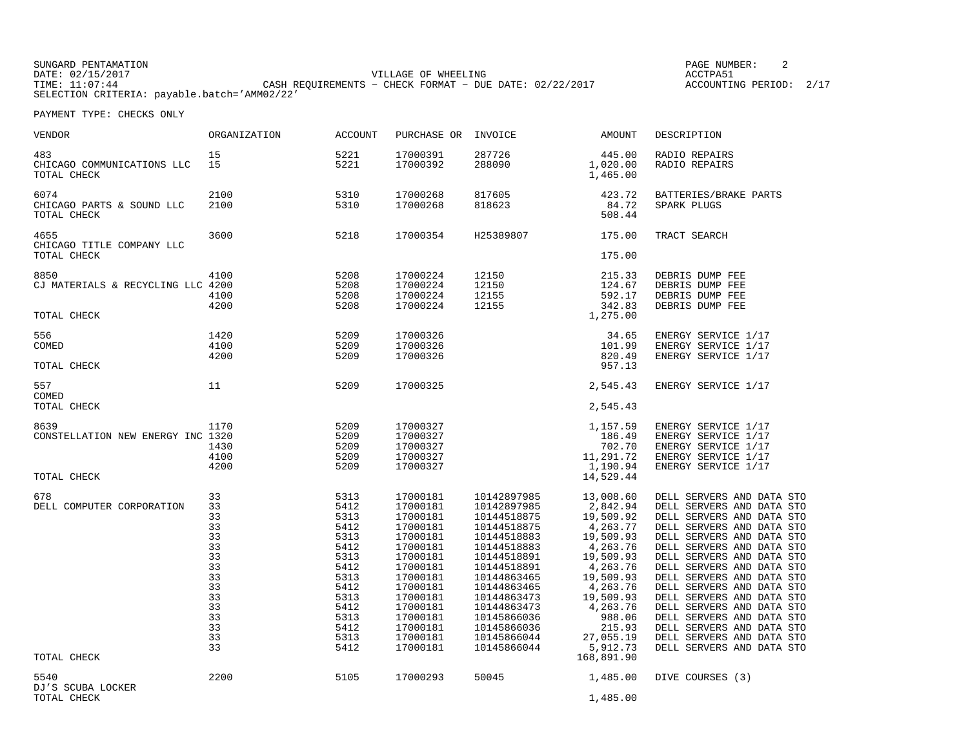SUNGARD PENTAMATION PAGE NUMBER: 2DATE: 02/15/2017 VILLAGE OF WHEELING ACCTPA51CASH REQUIREMENTS - CHECK FORMAT - DUE DATE: 02/22/2017 SELECTION CRITERIA: payable.batch='AMM02/22'

ACCOUNTING PERIOD: 2/17

| VENDOR                                                   | ORGANIZATION                                                                                 | <b>ACCOUNT</b>                                                                                                               | PURCHASE OR                                                                                                                                                                                  | INVOICE                                                                                                                                                                                                                                      | AMOUNT                                                                                                                                                                                                        | DESCRIPTION                                                                                                                                                                                                                                                                                                                                                                                                                                                                  |
|----------------------------------------------------------|----------------------------------------------------------------------------------------------|------------------------------------------------------------------------------------------------------------------------------|----------------------------------------------------------------------------------------------------------------------------------------------------------------------------------------------|----------------------------------------------------------------------------------------------------------------------------------------------------------------------------------------------------------------------------------------------|---------------------------------------------------------------------------------------------------------------------------------------------------------------------------------------------------------------|------------------------------------------------------------------------------------------------------------------------------------------------------------------------------------------------------------------------------------------------------------------------------------------------------------------------------------------------------------------------------------------------------------------------------------------------------------------------------|
| 483<br>CHICAGO COMMUNICATIONS LLC<br>TOTAL CHECK         | 15<br>15                                                                                     | 5221<br>5221                                                                                                                 | 17000391<br>17000392                                                                                                                                                                         | 287726<br>288090                                                                                                                                                                                                                             | 445.00<br>1,020.00<br>1,465.00                                                                                                                                                                                | RADIO REPAIRS<br>RADIO REPAIRS                                                                                                                                                                                                                                                                                                                                                                                                                                               |
| 6074<br>CHICAGO PARTS & SOUND LLC<br>TOTAL CHECK         | 2100<br>2100                                                                                 | 5310<br>5310                                                                                                                 | 17000268<br>17000268                                                                                                                                                                         | 817605<br>818623                                                                                                                                                                                                                             | 423.72<br>84.72<br>508.44                                                                                                                                                                                     | BATTERIES/BRAKE PARTS<br>SPARK PLUGS                                                                                                                                                                                                                                                                                                                                                                                                                                         |
| 4655<br>CHICAGO TITLE COMPANY LLC<br>TOTAL CHECK         | 3600                                                                                         | 5218                                                                                                                         | 17000354                                                                                                                                                                                     | H25389807                                                                                                                                                                                                                                    | 175.00<br>175.00                                                                                                                                                                                              | TRACT SEARCH                                                                                                                                                                                                                                                                                                                                                                                                                                                                 |
| 8850<br>CJ MATERIALS & RECYCLING LLC 4200<br>TOTAL CHECK | 4100<br>4100<br>4200                                                                         | 5208<br>5208<br>5208<br>5208                                                                                                 | 17000224<br>17000224<br>17000224<br>17000224                                                                                                                                                 | 12150<br>12150<br>12155<br>12155                                                                                                                                                                                                             | 215.33<br>124.67<br>592.17<br>342.83<br>1,275.00                                                                                                                                                              | DEBRIS DUMP FEE<br>DEBRIS DUMP FEE<br>DEBRIS DUMP FEE<br>DEBRIS DUMP FEE                                                                                                                                                                                                                                                                                                                                                                                                     |
| 556<br>COMED<br>TOTAL CHECK                              | 1420<br>4100<br>4200                                                                         | 5209<br>5209<br>5209                                                                                                         | 17000326<br>17000326<br>17000326                                                                                                                                                             |                                                                                                                                                                                                                                              | 34.65<br>101.99<br>820.49<br>957.13                                                                                                                                                                           | ENERGY SERVICE 1/17<br>ENERGY SERVICE 1/17<br>ENERGY SERVICE 1/17                                                                                                                                                                                                                                                                                                                                                                                                            |
| 557<br>COMED<br>TOTAL CHECK                              | 11                                                                                           | 5209                                                                                                                         | 17000325                                                                                                                                                                                     |                                                                                                                                                                                                                                              | 2,545.43<br>2,545.43                                                                                                                                                                                          | ENERGY SERVICE 1/17                                                                                                                                                                                                                                                                                                                                                                                                                                                          |
| 8639<br>CONSTELLATION NEW ENERGY INC 1320                | 1170<br>1430<br>4100<br>4200                                                                 | 5209<br>5209<br>5209<br>5209<br>5209                                                                                         | 17000327<br>17000327<br>17000327<br>17000327<br>17000327                                                                                                                                     |                                                                                                                                                                                                                                              | 1,157.59<br>186.49<br>702.70<br>11,291.72<br>1,190.94                                                                                                                                                         | ENERGY SERVICE 1/17<br>ENERGY SERVICE 1/17<br>ENERGY SERVICE 1/17<br>ENERGY SERVICE 1/17<br>ENERGY SERVICE 1/17                                                                                                                                                                                                                                                                                                                                                              |
| TOTAL CHECK                                              |                                                                                              |                                                                                                                              |                                                                                                                                                                                              |                                                                                                                                                                                                                                              | 14,529.44                                                                                                                                                                                                     |                                                                                                                                                                                                                                                                                                                                                                                                                                                                              |
| 678<br>DELL COMPUTER CORPORATION<br>TOTAL CHECK          | 33<br>33<br>33<br>33<br>33<br>33<br>33<br>33<br>33<br>33<br>33<br>33<br>33<br>33<br>33<br>33 | 5313<br>5412<br>5313<br>5412<br>5313<br>5412<br>5313<br>5412<br>5313<br>5412<br>5313<br>5412<br>5313<br>5412<br>5313<br>5412 | 17000181<br>17000181<br>17000181<br>17000181<br>17000181<br>17000181<br>17000181<br>17000181<br>17000181<br>17000181<br>17000181<br>17000181<br>17000181<br>17000181<br>17000181<br>17000181 | 10142897985<br>10142897985<br>10144518875<br>10144518875<br>10144518883<br>10144518883<br>10144518891<br>10144518891<br>10144863465<br>10144863465<br>10144863473<br>10144863473<br>10145866036<br>10145866036<br>10145866044<br>10145866044 | 13,008.60<br>2,842.94<br>19,509.92<br>4,263.77<br>19,509.93<br>4,263.76<br>19,509.93<br>4,263.76<br>19,509.93<br>4,263.76<br>19,509.93<br>4,263.76<br>988.06<br>215.93<br>27,055.19<br>5,912.73<br>168,891.90 | DELL SERVERS AND DATA STO<br>DELL SERVERS AND DATA STO<br>DELL SERVERS AND DATA STO<br>DELL SERVERS AND DATA STO<br>DELL SERVERS AND DATA STO<br>DELL SERVERS AND DATA STO<br>DELL SERVERS AND DATA STO<br>DELL SERVERS AND DATA STO<br>DELL SERVERS AND DATA STO<br>DELL SERVERS AND DATA STO<br>DELL SERVERS AND DATA STO<br>DELL SERVERS AND DATA STO<br>DELL SERVERS AND DATA STO<br>DELL SERVERS AND DATA STO<br>DELL SERVERS AND DATA STO<br>DELL SERVERS AND DATA STO |
| 5540<br>DJ'S SCUBA LOCKER<br>TOTAL CHECK                 | 2200                                                                                         | 5105                                                                                                                         | 17000293                                                                                                                                                                                     | 50045                                                                                                                                                                                                                                        | 1,485.00<br>1,485.00                                                                                                                                                                                          | DIVE COURSES (3)                                                                                                                                                                                                                                                                                                                                                                                                                                                             |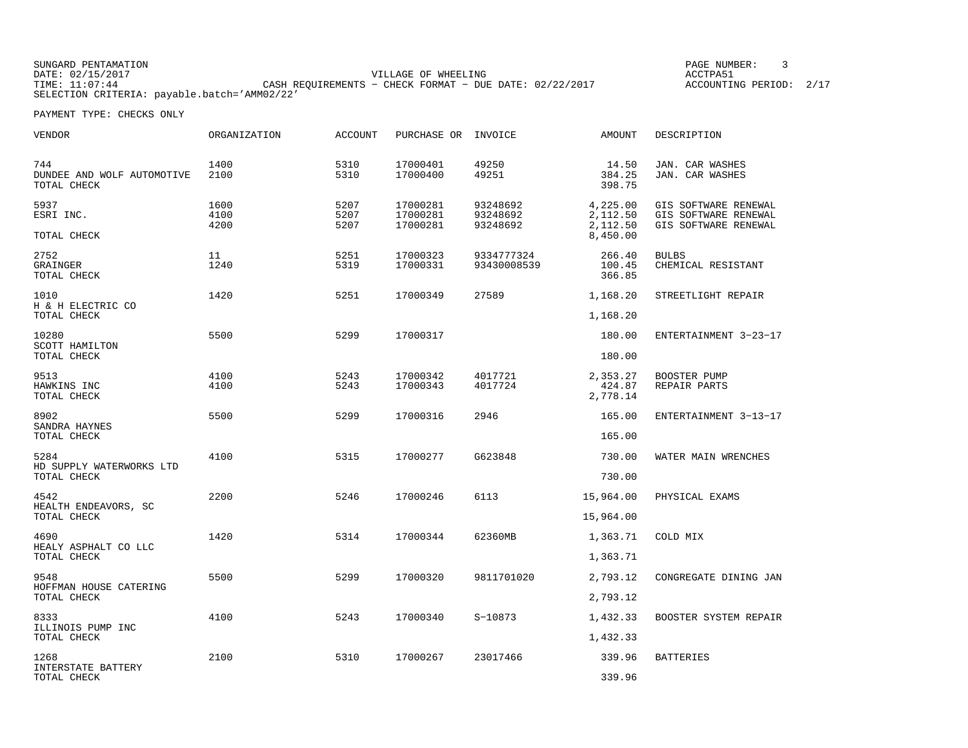| SUNGARD PENTAMATION                          |                                                         |                     |  | PAGE NUMBER:       |      |
|----------------------------------------------|---------------------------------------------------------|---------------------|--|--------------------|------|
| DATE: 02/15/2017                             |                                                         | VILLAGE OF WHEELING |  | ACCTPA51           |      |
| TIME: 11:07:44                               | CASH REOUIREMENTS - CHECK FORMAT - DUE DATE: 02/22/2017 |                     |  | ACCOUNTING PERIOD: | 2/17 |
| SELECTION CRITERIA: payable.batch='AMM02/22' |                                                         |                     |  |                    |      |

| <b>VENDOR</b>                                            | <b>ORGANIZATION</b>  | <b>ACCOUNT</b>       | PURCHASE OR INVOICE              |                                  | <b>AMOUNT</b>                                | DESCRIPTION                                                          |
|----------------------------------------------------------|----------------------|----------------------|----------------------------------|----------------------------------|----------------------------------------------|----------------------------------------------------------------------|
| 744<br>DUNDEE AND WOLF AUTOMOTIVE<br>TOTAL CHECK         | 1400<br>2100         | 5310<br>5310         | 17000401<br>17000400             | 49250<br>49251                   | 14.50<br>384.25<br>398.75                    | JAN. CAR WASHES<br>JAN. CAR WASHES                                   |
| 5937<br>ESRI INC.<br>TOTAL CHECK                         | 1600<br>4100<br>4200 | 5207<br>5207<br>5207 | 17000281<br>17000281<br>17000281 | 93248692<br>93248692<br>93248692 | 4,225.00<br>2,112.50<br>2,112.50<br>8,450.00 | GIS SOFTWARE RENEWAL<br>GIS SOFTWARE RENEWAL<br>GIS SOFTWARE RENEWAL |
| 2752<br>GRAINGER<br>TOTAL CHECK                          | 11<br>1240           | 5251<br>5319         | 17000323<br>17000331             | 9334777324<br>93430008539        | 266.40<br>100.45<br>366.85                   | <b>BULBS</b><br>CHEMICAL RESISTANT                                   |
| 1010<br>H & H ELECTRIC CO<br>TOTAL CHECK                 | 1420                 | 5251                 | 17000349                         | 27589                            | 1,168.20<br>1,168.20                         | STREETLIGHT REPAIR                                                   |
| 10280<br>SCOTT HAMILTON                                  | 5500                 | 5299                 | 17000317                         |                                  | 180.00                                       | ENTERTAINMENT 3-23-17                                                |
| TOTAL CHECK<br>9513<br>HAWKINS INC<br>TOTAL CHECK        | 4100<br>4100         | 5243<br>5243         | 17000342<br>17000343             | 4017721<br>4017724               | 180.00<br>2,353.27<br>424.87<br>2,778.14     | BOOSTER PUMP<br>REPAIR PARTS                                         |
| 8902<br>SANDRA HAYNES<br>TOTAL CHECK                     | 5500                 | 5299                 | 17000316                         | 2946                             | 165.00<br>165.00                             | ENTERTAINMENT 3-13-17                                                |
| 5284<br>HD SUPPLY WATERWORKS LTD<br>TOTAL CHECK          | 4100                 | 5315                 | 17000277                         | G623848                          | 730.00<br>730.00                             | WATER MAIN WRENCHES                                                  |
| 4542<br>HEALTH ENDEAVORS, SC<br>TOTAL CHECK              | 2200                 | 5246                 | 17000246                         | 6113                             | 15,964.00<br>15,964.00                       | PHYSICAL EXAMS                                                       |
| 4690<br>HEALY ASPHALT CO LLC<br>TOTAL CHECK              | 1420                 | 5314                 | 17000344                         | 62360MB                          | 1,363.71<br>1,363.71                         | COLD MIX                                                             |
| 9548<br>HOFFMAN HOUSE CATERING<br>TOTAL CHECK            | 5500                 | 5299                 | 17000320                         | 9811701020                       | 2,793.12<br>2,793.12                         | CONGREGATE DINING JAN                                                |
| 8333<br>ILLINOIS PUMP INC                                | 4100                 | 5243                 | 17000340                         | $S-10873$                        | 1,432.33                                     | BOOSTER SYSTEM REPAIR                                                |
| TOTAL CHECK<br>1268<br>INTERSTATE BATTERY<br>TOTAL CHECK | 2100                 | 5310                 | 17000267                         | 23017466                         | 1,432.33<br>339.96<br>339.96                 | <b>BATTERIES</b>                                                     |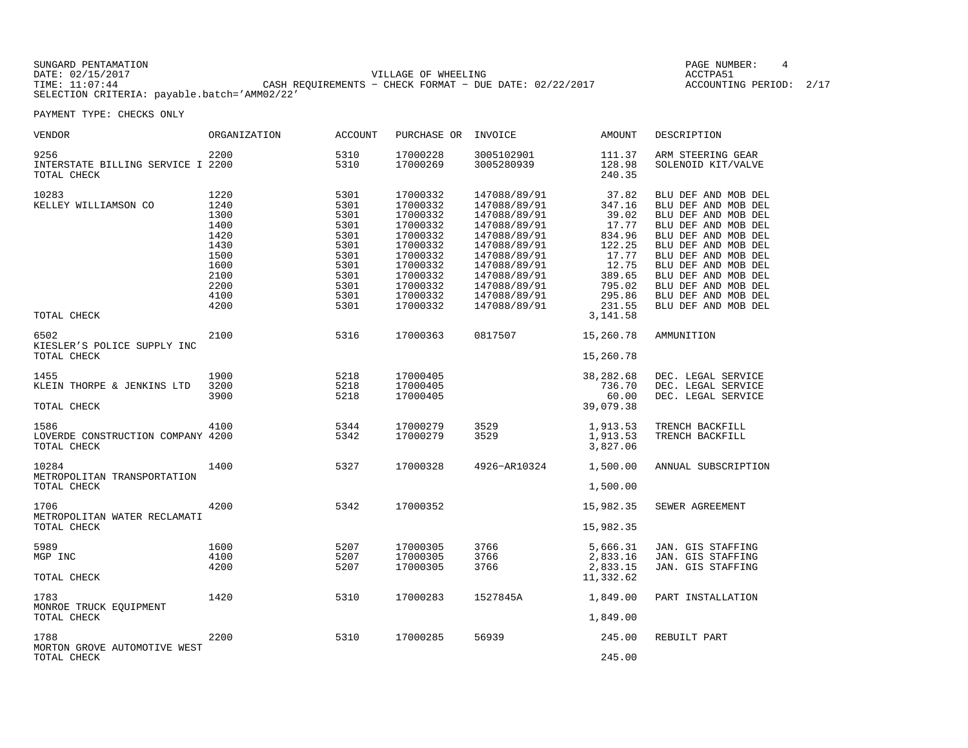| SUNGARD PENTAMATION                          |                                                           | PAGE NUMBER:               |  |
|----------------------------------------------|-----------------------------------------------------------|----------------------------|--|
| DATE: 02/15/2017                             | VILLAGE OF WHEELING                                       | ACCTPA5:                   |  |
| TIME: 11:07:44                               | CASH REOUIREMENTS - CHECK FORMAT - DUE DATE: $02/22/2017$ | 2/17<br>ACCOUNTING PERIOD: |  |
| SELECTION CRITERIA: payable.batch='AMM02/22' |                                                           |                            |  |

| VENDOR                                                   | ORGANIZATION                                                                                 | ACCOUNT                                                                                      | PURCHASE OR                                                                                                                                  | INVOICE                                                                                                                                                                                      | AMOUNT                                                                                                          | DESCRIPTION                                                                                                                                                                                                                                                                      |
|----------------------------------------------------------|----------------------------------------------------------------------------------------------|----------------------------------------------------------------------------------------------|----------------------------------------------------------------------------------------------------------------------------------------------|----------------------------------------------------------------------------------------------------------------------------------------------------------------------------------------------|-----------------------------------------------------------------------------------------------------------------|----------------------------------------------------------------------------------------------------------------------------------------------------------------------------------------------------------------------------------------------------------------------------------|
| 9256<br>INTERSTATE BILLING SERVICE I 2200<br>TOTAL CHECK | 2200                                                                                         | 5310<br>5310                                                                                 | 17000228<br>17000269                                                                                                                         | 3005102901<br>3005280939                                                                                                                                                                     | 111.37<br>128.98<br>240.35                                                                                      | ARM STEERING GEAR<br>SOLENOID KIT/VALVE                                                                                                                                                                                                                                          |
| 10283<br>KELLEY WILLIAMSON CO                            | 1220<br>1240<br>1300<br>1400<br>1420<br>1430<br>1500<br>1600<br>2100<br>2200<br>4100<br>4200 | 5301<br>5301<br>5301<br>5301<br>5301<br>5301<br>5301<br>5301<br>5301<br>5301<br>5301<br>5301 | 17000332<br>17000332<br>17000332<br>17000332<br>17000332<br>17000332<br>17000332<br>17000332<br>17000332<br>17000332<br>17000332<br>17000332 | 147088/89/91<br>147088/89/91<br>147088/89/91<br>147088/89/91<br>147088/89/91<br>147088/89/91<br>147088/89/91<br>147088/89/91<br>147088/89/91<br>147088/89/91<br>147088/89/91<br>147088/89/91 | 37.82<br>347.16<br>39.02<br>17.77<br>834.96<br>122.25<br>17.77<br>12.75<br>389.65<br>795.02<br>295.86<br>231.55 | BLU DEF AND MOB DEL<br>BLU DEF AND MOB DEL<br>BLU DEF AND MOB DEL<br>BLU DEF AND MOB DEL<br>BLU DEF AND MOB DEL<br>BLU DEF AND MOB DEL<br>BLU DEF AND MOB DEL<br>BLU DEF AND MOB DEL<br>BLU DEF AND MOB DEL<br>BLU DEF AND MOB DEL<br>BLU DEF AND MOB DEL<br>BLU DEF AND MOB DEL |
| TOTAL CHECK                                              |                                                                                              |                                                                                              |                                                                                                                                              |                                                                                                                                                                                              | 3, 141.58                                                                                                       |                                                                                                                                                                                                                                                                                  |
| 6502<br>KIESLER'S POLICE SUPPLY INC<br>TOTAL CHECK       | 2100                                                                                         | 5316                                                                                         | 17000363                                                                                                                                     | 0817507                                                                                                                                                                                      | 15,260.78<br>15,260.78                                                                                          | AMMUNITION                                                                                                                                                                                                                                                                       |
| 1455<br>KLEIN THORPE & JENKINS LTD<br>TOTAL CHECK        | 1900<br>3200<br>3900                                                                         | 5218<br>5218<br>5218                                                                         | 17000405<br>17000405<br>17000405                                                                                                             |                                                                                                                                                                                              | 38,282.68<br>736.70<br>60.00<br>39,079.38                                                                       | DEC. LEGAL SERVICE<br>DEC. LEGAL SERVICE<br>DEC. LEGAL SERVICE                                                                                                                                                                                                                   |
| 1586<br>LOVERDE CONSTRUCTION COMPANY 4200<br>TOTAL CHECK | 4100                                                                                         | 5344<br>5342                                                                                 | 17000279<br>17000279                                                                                                                         | 3529<br>3529                                                                                                                                                                                 | 1,913.53<br>1,913.53<br>3,827.06                                                                                | TRENCH BACKFILL<br>TRENCH BACKFILL                                                                                                                                                                                                                                               |
| 10284<br>METROPOLITAN TRANSPORTATION<br>TOTAL CHECK      | 1400                                                                                         | 5327                                                                                         | 17000328                                                                                                                                     | 4926-AR10324                                                                                                                                                                                 | 1,500.00<br>1,500.00                                                                                            | ANNUAL SUBSCRIPTION                                                                                                                                                                                                                                                              |
| 1706<br>METROPOLITAN WATER RECLAMATI<br>TOTAL CHECK      | 4200                                                                                         | 5342                                                                                         | 17000352                                                                                                                                     |                                                                                                                                                                                              | 15,982.35<br>15,982.35                                                                                          | SEWER AGREEMENT                                                                                                                                                                                                                                                                  |
| 5989<br>MGP INC                                          | 1600<br>4100<br>4200                                                                         | 5207<br>5207<br>5207                                                                         | 17000305<br>17000305<br>17000305                                                                                                             | 3766<br>3766<br>3766                                                                                                                                                                         | 5,666.31<br>2,833.16<br>2,833.15                                                                                | JAN. GIS STAFFING<br>JAN. GIS STAFFING<br>JAN. GIS STAFFING                                                                                                                                                                                                                      |
| TOTAL CHECK                                              |                                                                                              |                                                                                              |                                                                                                                                              |                                                                                                                                                                                              | 11,332.62                                                                                                       |                                                                                                                                                                                                                                                                                  |
| 1783<br>MONROE TRUCK EOUIPMENT<br>TOTAL CHECK            | 1420                                                                                         | 5310                                                                                         | 17000283                                                                                                                                     | 1527845A                                                                                                                                                                                     | 1,849.00<br>1,849.00                                                                                            | PART INSTALLATION                                                                                                                                                                                                                                                                |
| 1788<br>MORTON GROVE AUTOMOTIVE WEST<br>TOTAL CHECK      | 2200                                                                                         | 5310                                                                                         | 17000285                                                                                                                                     | 56939                                                                                                                                                                                        | 245.00<br>245.00                                                                                                | REBUILT PART                                                                                                                                                                                                                                                                     |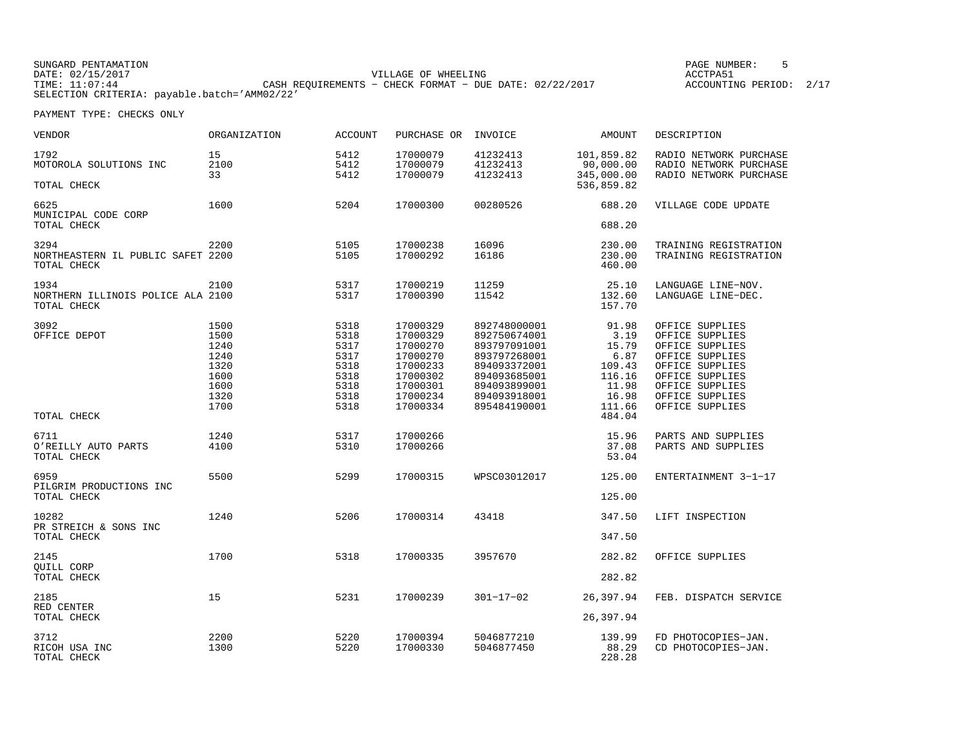| SUNGARD PENTAMATION                          |                                                         | PAGE NUMBER:            |
|----------------------------------------------|---------------------------------------------------------|-------------------------|
| DATE: 02/15/2017                             | VILLAGE OF WHEELING                                     | ACCTPA51                |
| TIME: 11:07:44                               | CASH REOUIREMENTS - CHECK FORMAT - DUE DATE: 02/22/2017 | ACCOUNTING PERIOD: 2/17 |
| SELECTION CRITERIA: payable.batch='AMM02/22' |                                                         |                         |

| VENDOR                                                   | ORGANIZATION                                                 | <b>ACCOUNT</b>                                               | PURCHASE OR INVOICE                                                                          |                                                                                                                              | AMOUNT                                                               | DESCRIPTION                                                                                                                                          |
|----------------------------------------------------------|--------------------------------------------------------------|--------------------------------------------------------------|----------------------------------------------------------------------------------------------|------------------------------------------------------------------------------------------------------------------------------|----------------------------------------------------------------------|------------------------------------------------------------------------------------------------------------------------------------------------------|
| 1792<br>MOTOROLA SOLUTIONS INC<br>TOTAL CHECK            | 15<br>2100<br>33                                             | 5412<br>5412<br>5412                                         | 17000079<br>17000079<br>17000079                                                             | 41232413<br>41232413<br>41232413                                                                                             | 101,859.82<br>90,000.00<br>345,000.00<br>536,859.82                  | RADIO NETWORK PURCHASE<br>RADIO NETWORK PURCHASE<br>RADIO NETWORK PURCHASE                                                                           |
|                                                          |                                                              |                                                              |                                                                                              |                                                                                                                              |                                                                      |                                                                                                                                                      |
| 6625<br>MUNICIPAL CODE CORP<br>TOTAL CHECK               | 1600                                                         | 5204                                                         | 17000300                                                                                     | 00280526                                                                                                                     | 688.20<br>688.20                                                     | VILLAGE CODE UPDATE                                                                                                                                  |
| 3294<br>NORTHEASTERN IL PUBLIC SAFET 2200<br>TOTAL CHECK | 2200                                                         | 5105<br>5105                                                 | 17000238<br>17000292                                                                         | 16096<br>16186                                                                                                               | 230.00<br>230.00<br>460.00                                           | TRAINING REGISTRATION<br>TRAINING REGISTRATION                                                                                                       |
| 1934<br>NORTHERN ILLINOIS POLICE ALA 2100<br>TOTAL CHECK | 2100                                                         | 5317<br>5317                                                 | 17000219<br>17000390                                                                         | 11259<br>11542                                                                                                               | 25.10<br>132.60<br>157.70                                            | LANGUAGE LINE-NOV.<br>LANGUAGE LINE-DEC.                                                                                                             |
| 3092<br>OFFICE DEPOT                                     | 1500<br>1500<br>1240<br>1240<br>1320<br>1600<br>1600<br>1320 | 5318<br>5318<br>5317<br>5317<br>5318<br>5318<br>5318<br>5318 | 17000329<br>17000329<br>17000270<br>17000270<br>17000233<br>17000302<br>17000301<br>17000234 | 892748000001<br>892750674001<br>893797091001<br>893797268001<br>894093372001<br>894093685001<br>894093899001<br>894093918001 | 91.98<br>3.19<br>15.79<br>6.87<br>109.43<br>116.16<br>11.98<br>16.98 | OFFICE SUPPLIES<br>OFFICE SUPPLIES<br>OFFICE SUPPLIES<br>OFFICE SUPPLIES<br>OFFICE SUPPLIES<br>OFFICE SUPPLIES<br>OFFICE SUPPLIES<br>OFFICE SUPPLIES |
| TOTAL CHECK                                              | 1700                                                         | 5318                                                         | 17000334                                                                                     | 895484190001                                                                                                                 | 111.66<br>484.04                                                     | OFFICE SUPPLIES                                                                                                                                      |
| 6711<br>O'REILLY AUTO PARTS<br>TOTAL CHECK               | 1240<br>4100                                                 | 5317<br>5310                                                 | 17000266<br>17000266                                                                         |                                                                                                                              | 15.96<br>37.08<br>53.04                                              | PARTS AND SUPPLIES<br>PARTS AND SUPPLIES                                                                                                             |
| 6959<br>PILGRIM PRODUCTIONS INC<br>TOTAL CHECK           | 5500                                                         | 5299                                                         | 17000315                                                                                     | WPSC03012017                                                                                                                 | 125.00<br>125.00                                                     | ENTERTAINMENT 3-1-17                                                                                                                                 |
| 10282<br>PR STREICH & SONS INC<br>TOTAL CHECK            | 1240                                                         | 5206                                                         | 17000314                                                                                     | 43418                                                                                                                        | 347.50<br>347.50                                                     | LIFT INSPECTION                                                                                                                                      |
| 2145<br>OUILL CORP<br>TOTAL CHECK                        | 1700                                                         | 5318                                                         | 17000335                                                                                     | 3957670                                                                                                                      | 282.82<br>282.82                                                     | OFFICE SUPPLIES                                                                                                                                      |
| 2185<br>RED CENTER<br>TOTAL CHECK                        | 15                                                           | 5231                                                         | 17000239                                                                                     | $301 - 17 - 02$                                                                                                              | 26,397.94<br>26,397.94                                               | FEB. DISPATCH SERVICE                                                                                                                                |
| 3712<br>RICOH USA INC<br>TOTAL CHECK                     | 2200<br>1300                                                 | 5220<br>5220                                                 | 17000394<br>17000330                                                                         | 5046877210<br>5046877450                                                                                                     | 139.99<br>88.29<br>228.28                                            | FD PHOTOCOPIES-JAN.<br>CD PHOTOCOPIES-JAN.                                                                                                           |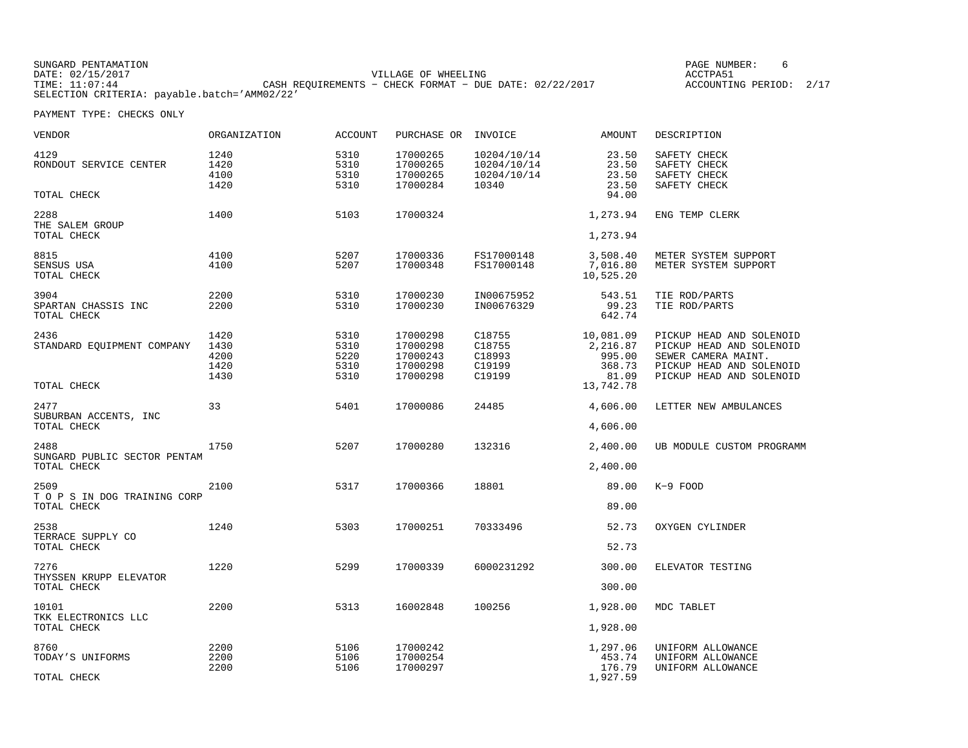| SUNGARD PENTAMATION                          |                                                         |                     | PAGE NUMBER:       |  |
|----------------------------------------------|---------------------------------------------------------|---------------------|--------------------|--|
| DATE: 02/15/2017                             |                                                         | VILLAGE OF WHEELING | ACCTPA5:           |  |
| TIME: 11:07:44                               | CASH REOUIREMENTS - CHECK FORMAT - DUE DATE: 02/22/2017 |                     | ACCOUNTING PERIOD: |  |
| SELECTION CRITERIA: payable.batch='AMM02/22' |                                                         |                     |                    |  |

| VENDOR                                              | ORGANIZATION                         | <b>ACCOUNT</b>                       | PURCHASE OR                                              | INVOICE                                            | AMOUNT                                             | DESCRIPTION                                                                                                                         |
|-----------------------------------------------------|--------------------------------------|--------------------------------------|----------------------------------------------------------|----------------------------------------------------|----------------------------------------------------|-------------------------------------------------------------------------------------------------------------------------------------|
| 4129<br>RONDOUT SERVICE CENTER                      | 1240<br>1420<br>4100<br>1420         | 5310<br>5310<br>5310<br>5310         | 17000265<br>17000265<br>17000265<br>17000284             | 10204/10/14<br>10204/10/14<br>10204/10/14<br>10340 | 23.50<br>23.50<br>23.50<br>23.50                   | SAFETY CHECK<br>SAFETY CHECK<br>SAFETY CHECK<br>SAFETY CHECK                                                                        |
| TOTAL CHECK                                         |                                      |                                      |                                                          |                                                    | 94.00                                              |                                                                                                                                     |
| 2288<br>THE SALEM GROUP                             | 1400                                 | 5103                                 | 17000324                                                 |                                                    | 1,273.94                                           | ENG TEMP CLERK                                                                                                                      |
| TOTAL CHECK                                         |                                      |                                      |                                                          |                                                    | 1,273.94                                           |                                                                                                                                     |
| 8815<br>SENSUS USA<br>TOTAL CHECK                   | 4100<br>4100                         | 5207<br>5207                         | 17000336<br>17000348                                     | FS17000148<br>FS17000148                           | 3,508.40<br>7,016.80<br>10,525.20                  | METER SYSTEM SUPPORT<br>METER SYSTEM SUPPORT                                                                                        |
| 3904<br>SPARTAN CHASSIS INC<br>TOTAL CHECK          | 2200<br>2200                         | 5310<br>5310                         | 17000230<br>17000230                                     | IN00675952<br>IN00676329                           | 543.51<br>99.23<br>642.74                          | TIE ROD/PARTS<br>TIE ROD/PARTS                                                                                                      |
| 2436<br>STANDARD EQUIPMENT COMPANY                  | 1420<br>1430<br>4200<br>1420<br>1430 | 5310<br>5310<br>5220<br>5310<br>5310 | 17000298<br>17000298<br>17000243<br>17000298<br>17000298 | C18755<br>C18755<br>C18993<br>C19199<br>C19199     | 10,081.09<br>2,216.87<br>995.00<br>368.73<br>81.09 | PICKUP HEAD AND SOLENOID<br>PICKUP HEAD AND SOLENOID<br>SEWER CAMERA MAINT.<br>PICKUP HEAD AND SOLENOID<br>PICKUP HEAD AND SOLENOID |
| TOTAL CHECK                                         |                                      |                                      |                                                          |                                                    | 13,742.78                                          |                                                                                                                                     |
| 2477<br>SUBURBAN ACCENTS, INC<br>TOTAL CHECK        | 33                                   | 5401                                 | 17000086                                                 | 24485                                              | 4,606.00<br>4,606.00                               | LETTER NEW AMBULANCES                                                                                                               |
|                                                     |                                      |                                      |                                                          |                                                    |                                                    |                                                                                                                                     |
| 2488<br>SUNGARD PUBLIC SECTOR PENTAM<br>TOTAL CHECK | 1750                                 | 5207                                 | 17000280                                                 | 132316                                             | 2,400.00<br>2,400.00                               | UB MODULE CUSTOM PROGRAMM                                                                                                           |
| 2509<br>T O P S IN DOG TRAINING CORP                | 2100                                 | 5317                                 | 17000366                                                 | 18801                                              | 89.00                                              | $K-9$ FOOD                                                                                                                          |
| TOTAL CHECK                                         |                                      |                                      |                                                          |                                                    | 89.00                                              |                                                                                                                                     |
| 2538<br>TERRACE SUPPLY CO                           | 1240                                 | 5303                                 | 17000251                                                 | 70333496                                           | 52.73                                              | OXYGEN CYLINDER                                                                                                                     |
| TOTAL CHECK                                         |                                      |                                      |                                                          |                                                    | 52.73                                              |                                                                                                                                     |
| 7276<br>THYSSEN KRUPP ELEVATOR                      | 1220                                 | 5299                                 | 17000339                                                 | 6000231292                                         | 300.00                                             | ELEVATOR TESTING                                                                                                                    |
| TOTAL CHECK                                         |                                      |                                      |                                                          |                                                    | 300.00                                             |                                                                                                                                     |
| 10101<br>TKK ELECTRONICS LLC                        | 2200                                 | 5313                                 | 16002848                                                 | 100256                                             | 1,928.00                                           | MDC TABLET                                                                                                                          |
| TOTAL CHECK                                         |                                      |                                      |                                                          |                                                    | 1,928.00                                           |                                                                                                                                     |
| 8760<br>TODAY'S UNIFORMS                            | 2200<br>2200<br>2200                 | 5106<br>5106<br>5106                 | 17000242<br>17000254<br>17000297                         |                                                    | 1,297.06<br>453.74<br>176.79                       | UNIFORM ALLOWANCE<br>UNIFORM ALLOWANCE<br>UNIFORM ALLOWANCE                                                                         |
| TOTAL CHECK                                         |                                      |                                      |                                                          |                                                    | 1,927.59                                           |                                                                                                                                     |